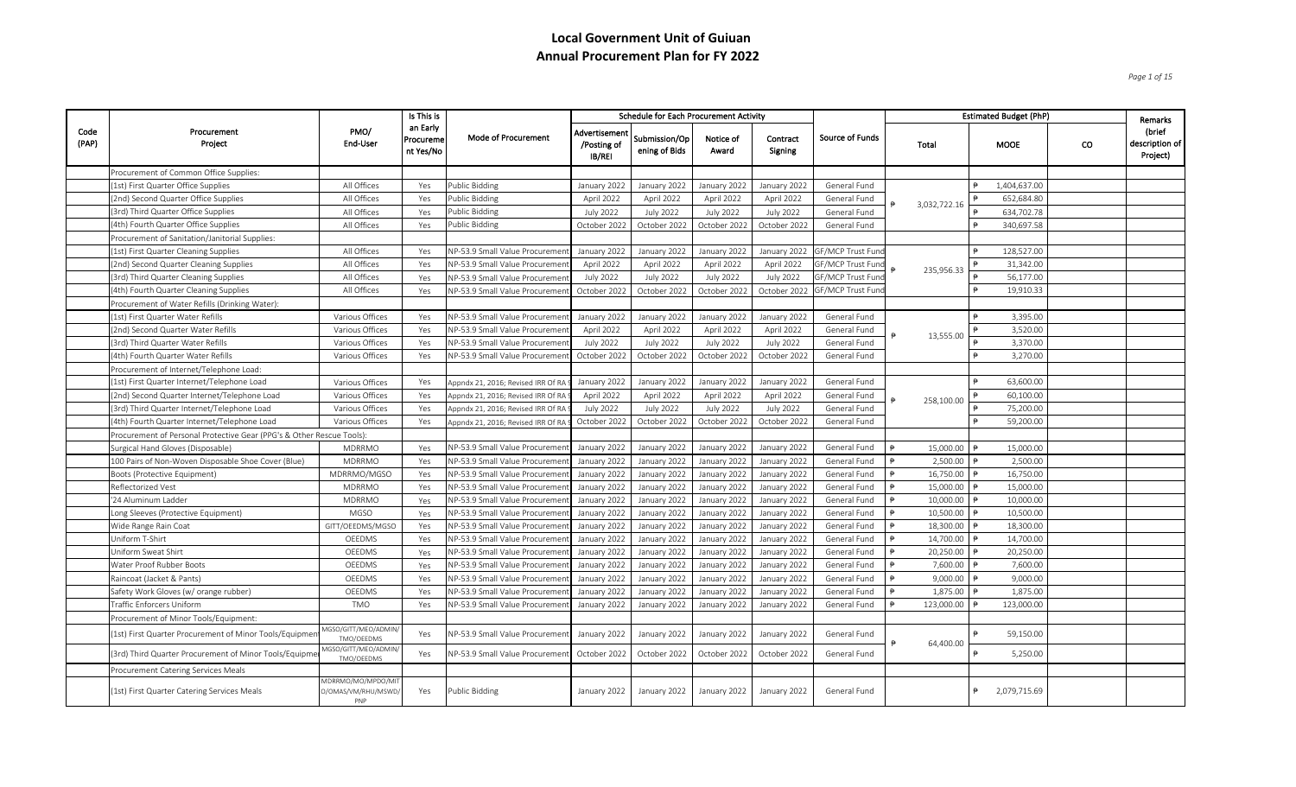*Page 1 of 15*

|               |                                                                       |                                                 | Is This is                         |                                    |                                              | <b>Schedule for Each Procurement Activity</b> |                    |                     |                          |           |              | <b>Estimated Budget (PhP)</b> |              |    | Remarks                                |
|---------------|-----------------------------------------------------------------------|-------------------------------------------------|------------------------------------|------------------------------------|----------------------------------------------|-----------------------------------------------|--------------------|---------------------|--------------------------|-----------|--------------|-------------------------------|--------------|----|----------------------------------------|
| Code<br>(PAP) | Procurement<br>Project                                                | PMO/<br>End-User                                | an Early<br>Procureme<br>nt Yes/No | Mode of Procurement                | Advertisemen<br>/Posting of<br><b>IB/REI</b> | Submission/Op<br>ening of Bids                | Notice of<br>Award | Contract<br>Signing | Source of Funds          | Total     |              | <b>MOOE</b>                   |              | co | (brief<br>description of  <br>Project) |
|               | Procurement of Common Office Supplies:                                |                                                 |                                    |                                    |                                              |                                               |                    |                     |                          |           |              |                               |              |    |                                        |
|               | (1st) First Quarter Office Supplies                                   | All Offices                                     | Yes                                | Public Bidding                     | January 2022                                 | January 2022                                  | January 2022       | January 2022        | General Fund             |           |              |                               | 1,404,637.00 |    |                                        |
|               | (2nd) Second Quarter Office Supplies                                  | All Offices                                     | Yes                                | Public Bidding                     | April 2022                                   | April 2022                                    | April 2022         | April 2022          | General Fund             |           | 3,032,722.16 |                               | 652,684.80   |    |                                        |
|               | (3rd) Third Quarter Office Supplies                                   | All Offices                                     | Yes                                | Public Bidding                     | <b>July 2022</b>                             | <b>July 2022</b>                              | <b>July 2022</b>   | <b>July 2022</b>    | General Fund             |           |              |                               | 634,702.78   |    |                                        |
|               | (4th) Fourth Quarter Office Supplies                                  | All Offices                                     | Yes                                | Public Bidding                     | October 2022                                 | October 2022                                  | October 2022       | October 2022        | General Fund             |           |              |                               | 340,697.58   |    |                                        |
|               | Procurement of Sanitation/Janitorial Supplies:                        |                                                 |                                    |                                    |                                              |                                               |                    |                     |                          |           |              |                               |              |    |                                        |
|               | (1st) First Quarter Cleaning Supplies                                 | All Offices                                     | Yes                                | NP-53.9 Small Value Procureme      | January 2022                                 | January 2022                                  | January 2022       | January 2022        | GF/MCP Trust Fund        |           |              |                               | 128,527.00   |    |                                        |
|               | (2nd) Second Quarter Cleaning Supplies                                | All Offices                                     | Yes                                | NP-53.9 Small Value Procureme      | April 2022                                   | April 2022                                    | April 2022         | April 2022          | <b>GF/MCP Trust Fun</b>  |           | 235,956.33   |                               | 31,342.00    |    |                                        |
|               | (3rd) Third Quarter Cleaning Supplies                                 | All Offices                                     | Yes                                | NP-53.9 Small Value Procuremer     | <b>July 2022</b>                             | <b>July 2022</b>                              | <b>July 2022</b>   | <b>July 2022</b>    | <b>GF/MCP Trust Fund</b> |           |              |                               | 56,177.00    |    |                                        |
|               | (4th) Fourth Quarter Cleaning Supplies                                | All Offices                                     | Yes                                | NP-53.9 Small Value Procuremer     | October 2022                                 | October 2022                                  | October 2022       | October 2022        | <b>GF/MCP Trust Fun</b>  |           |              |                               | 19,910.33    |    |                                        |
|               | Procurement of Water Refills (Drinking Water):                        |                                                 |                                    |                                    |                                              |                                               |                    |                     |                          |           |              |                               |              |    |                                        |
|               | (1st) First Quarter Water Refills                                     | Various Offices                                 | Yes                                | NP-53.9 Small Value Procuremen     | January 2022                                 | January 2022                                  | January 2022       | January 2022        | General Fund             |           |              |                               | 3,395.00     |    |                                        |
|               | (2nd) Second Quarter Water Refills                                    | Various Offices                                 | Yes                                | NP-53.9 Small Value Procuremen     | April 2022                                   | April 2022                                    | April 2022         | April 2022          | General Fund             |           | 13,555.00    |                               | 3,520.00     |    |                                        |
|               | (3rd) Third Quarter Water Refills                                     | Various Offices                                 | Yes                                | NP-53.9 Small Value Procureme      | <b>July 2022</b>                             | <b>July 2022</b>                              | <b>July 2022</b>   | <b>July 2022</b>    | General Fund             |           |              |                               | 3,370.00     |    |                                        |
|               | (4th) Fourth Quarter Water Refills                                    | Various Offices                                 | Yes                                | NP-53.9 Small Value Procuremer     | October 2022                                 | October 2022                                  | October 2022       | October 2022        | General Fund             |           |              |                               | 3,270.00     |    |                                        |
|               | Procurement of Internet/Telephone Load:                               |                                                 |                                    |                                    |                                              |                                               |                    |                     |                          |           |              |                               |              |    |                                        |
|               | (1st) First Quarter Internet/Telephone Load                           | Various Offices                                 | Yes                                | Appndx 21, 2016; Revised IRR Of R  | January 2022                                 | January 2022                                  | January 2022       | January 2022        | General Fund             |           |              |                               | 63,600.00    |    |                                        |
|               | (2nd) Second Quarter Internet/Telephone Load                          | Various Offices                                 | Yes                                | Appndx 21, 2016; Revised IRR Of R  | April 2022                                   | April 2022                                    | April 2022         | April 2022          | General Fund             |           | 258,100.00   |                               | 60,100.00    |    |                                        |
|               | (3rd) Third Quarter Internet/Telephone Load                           | Various Offices                                 | Yes                                | Appndx 21, 2016; Revised IRR Of RA | <b>July 2022</b>                             | <b>July 2022</b>                              | <b>July 2022</b>   | <b>July 2022</b>    | General Fund             |           |              |                               | 75,200.00    |    |                                        |
|               | (4th) Fourth Quarter Internet/Telephone Load                          | Various Offices                                 | Yes                                | Appndx 21, 2016; Revised IRR Of R  | October 2022                                 | October 2022                                  | October 2022       | October 2022        | General Fund             |           |              |                               | 59,200.00    |    |                                        |
|               | Procurement of Personal Protective Gear (PPG's & Other Rescue Tools): |                                                 |                                    |                                    |                                              |                                               |                    |                     |                          |           |              |                               |              |    |                                        |
|               | Surgical Hand Gloves (Disposable)                                     | MDRRMO                                          | Yes                                | NP-53.9 Small Value Procureme      | January 2022                                 | January 2022                                  | January 2022       | January 2022        | General Fund             |           | 15,000.00    |                               | 15,000.00    |    |                                        |
|               | 100 Pairs of Non-Woven Disposable Shoe Cover (Blue)                   | MDRRMO                                          | Yes                                | NP-53.9 Small Value Procureme      | January 2022                                 | January 2022                                  | January 2022       | January 2022        | General Fund             |           | 2,500.00     |                               | 2,500.00     |    |                                        |
|               | Boots (Protective Equipment)                                          | MDRRMO/MGSO                                     | Yes                                | NP-53.9 Small Value Procureme      | January 2022                                 | January 2022                                  | January 2022       | January 2022        | General Fund             |           | 16,750.00    |                               | 16,750.00    |    |                                        |
|               | Reflectorized Vest                                                    | <b>MDRRMO</b>                                   | Yes                                | NP-53.9 Small Value Procureme      | January 2022                                 | January 2022                                  | January 2022       | January 2022        | General Fund             |           | 15,000.00    |                               | 15,000.00    |    |                                        |
|               | '24 Aluminum Ladder                                                   | <b>MDRRMO</b>                                   | Yes                                | NP-53.9 Small Value Procureme      | January 2022                                 | January 2022                                  | January 2022       | January 2022        | General Fund             |           | 10,000.00    |                               | 10,000.00    |    |                                        |
|               | Long Sleeves (Protective Equipment)                                   | <b>MGSO</b>                                     | Yes                                | NP-53.9 Small Value Procureme      | January 2022                                 | January 2022                                  | January 2022       | January 2022        | General Fund             |           | 10,500.00    |                               | 10,500.00    |    |                                        |
|               | Wide Range Rain Coat                                                  | GITT/OEEDMS/MGSO                                | Yes                                | NP-53.9 Small Value Procureme      | January 2022                                 | January 2022                                  | January 2022       | January 2022        | General Fund             |           | 18,300.00    |                               | 18,300.00    |    |                                        |
|               | Uniform T-Shirt                                                       | OEEDMS                                          | Yes                                | NP-53.9 Small Value Procureme      | January 2022                                 | January 2022                                  | January 2022       | January 2022        | General Fund             |           | 14,700.00    |                               | 14,700.00    |    |                                        |
|               | Uniform Sweat Shirt                                                   | OEEDMS                                          | Yes                                | NP-53.9 Small Value Procureme      | January 2022                                 | January 2022                                  | January 2022       | January 2022        | General Fund             |           | 20,250.00    |                               | 20,250.00    |    |                                        |
|               | Water Proof Rubber Boots                                              | OEEDMS                                          | Yes                                | NP-53.9 Small Value Procureme      | January 2022                                 | January 2022                                  | January 2022       | January 2022        | General Fund             |           | 7,600.00     |                               | 7,600.00     |    |                                        |
|               | Raincoat (Jacket & Pants)                                             | OEEDMS                                          | Yes                                | NP-53.9 Small Value Procureme      | January 2022                                 | January 2022                                  | January 2022       | January 2022        | General Fund             |           | 9,000.00     |                               | 9,000.00     |    |                                        |
|               | Safety Work Gloves (w/ orange rubber)                                 | OEEDMS                                          | Yes                                | NP-53.9 Small Value Procureme      | January 2022                                 | January 2022                                  | January 2022       | January 2022        | General Fund             |           | 1,875.00     |                               | 1,875.00     |    |                                        |
|               | Traffic Enforcers Uniform                                             | <b>TMO</b>                                      | Yes                                | NP-53.9 Small Value Procuremer     | January 2022                                 | January 2022                                  | January 2022       | January 2022        | General Fund             |           | 123,000.00   |                               | 123,000.00   |    |                                        |
|               | Procurement of Minor Tools/Equipment:                                 |                                                 |                                    |                                    |                                              |                                               |                    |                     |                          |           |              |                               |              |    |                                        |
|               | (1st) First Quarter Procurement of Minor Tools/Equipmen               | <b>MGSO/GITT/MEO/ADMIN</b><br>TMO/OEEDMS        | Yes                                | NP-53.9 Small Value Procuremen     | January 2022                                 | January 2022                                  | January 2022       | January 2022        | General Fund             |           |              |                               | 59,150.00    |    |                                        |
|               | 3rd) Third Quarter Procurement of Minor Tools/Equipme                 | MGSO/GITT/MEO/ADMIN<br>TMO/OEEDMS               | Yes                                | NP-53.9 Small Value Procuremer     | October 2022                                 | October 2022                                  | October 2022       | October 2022        | General Fund             | 64,400.00 |              |                               | 5,250.00     |    |                                        |
|               | Procurement Catering Services Meals                                   |                                                 |                                    |                                    |                                              |                                               |                    |                     |                          |           |              |                               |              |    |                                        |
|               | (1st) First Quarter Catering Services Meals                           | MDRRMO/MO/MPDO/MI<br>O/OMAS/VM/RHU/MSWD/<br>PNP | Yes                                | Public Bidding                     | January 2022                                 | January 2022                                  | January 2022       | January 2022        | General Fund             |           |              |                               | 2,079,715.69 |    |                                        |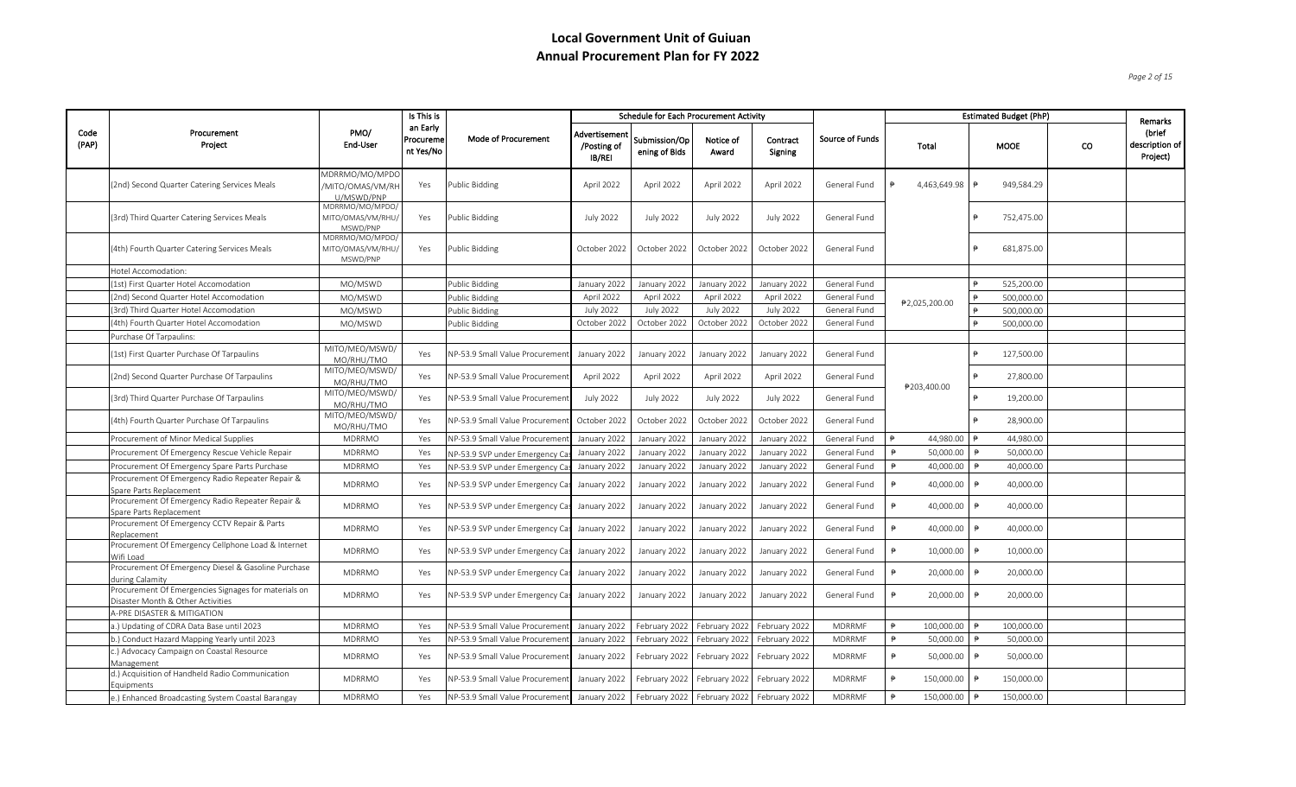*Page 2 of 15*

|               |                                                                                           |                                                  | Is This is                         |                                 |                                        | <b>Schedule for Each Procurement Activity</b> |                                               |                                           |                 |                              |               | <b>Estimated Budget (PhP)</b> |    | Remarks                              |
|---------------|-------------------------------------------------------------------------------------------|--------------------------------------------------|------------------------------------|---------------------------------|----------------------------------------|-----------------------------------------------|-----------------------------------------------|-------------------------------------------|-----------------|------------------------------|---------------|-------------------------------|----|--------------------------------------|
| Code<br>(PAP) | Procurement<br>Project                                                                    | PMO/<br>End-User                                 | an Early<br>Procureme<br>nt Yes/No | Mode of Procurement             | Advertisement<br>/Posting of<br>IB/REI | Submission/Op<br>ening of Bids                | Notice of<br>Award                            | Contract<br>Signing                       | Source of Funds | Total                        |               | <b>MOOE</b>                   | co | (brief<br>description of<br>Project) |
|               | (2nd) Second Quarter Catering Services Meals                                              | MDRRMO/MO/MPDC<br>/MITO/OMAS/VM/RH<br>U/MSWD/PNP | Yes                                | <b>Public Bidding</b>           | April 2022                             | April 2022                                    | April 2022                                    | April 2022                                | General Fund    | 4,463,649.98                 | ₱             | 949,584.29                    |    |                                      |
|               | (3rd) Third Quarter Catering Services Meals                                               | MDRRMO/MO/MPDO,<br>MITO/OMAS/VM/RHU/<br>MSWD/PNP | Yes                                | Public Bidding                  | <b>July 2022</b>                       | <b>July 2022</b>                              | <b>July 2022</b>                              | <b>July 2022</b>                          | General Fund    |                              | ₿             | 752,475.00                    |    |                                      |
|               | (4th) Fourth Quarter Catering Services Meals                                              | MDRRMO/MO/MPDO/<br>MITO/OMAS/VM/RHU/<br>MSWD/PNP | Yes                                | <b>Public Bidding</b>           | October 2022                           | October 2022                                  | October 2022                                  | October 2022                              | General Fund    |                              | ₿.            | 681,875.00                    |    |                                      |
|               | Hotel Accomodation:                                                                       |                                                  |                                    |                                 |                                        |                                               |                                               |                                           |                 |                              |               |                               |    |                                      |
|               | (1st) First Quarter Hotel Accomodation                                                    | MO/MSWD                                          |                                    | Public Bidding                  | January 2022                           | January 2022                                  | January 2022                                  | January 2022                              | General Fund    |                              |               | 525,200.00                    |    |                                      |
|               | (2nd) Second Quarter Hotel Accomodation                                                   | MO/MSWD                                          |                                    | <b>Public Bidding</b>           | April 2022                             | April 2022                                    | April 2022                                    | April 2022                                | General Fund    |                              |               | 500,000.00                    |    |                                      |
|               | (3rd) Third Quarter Hotel Accomodation                                                    | MO/MSWD                                          |                                    | Public Bidding                  | <b>July 2022</b>                       | <b>July 2022</b>                              | <b>July 2022</b>                              | <b>July 2022</b>                          | General Fund    | ₱2,025,200.00                |               | 500,000.00                    |    |                                      |
|               | (4th) Fourth Quarter Hotel Accomodation                                                   | MO/MSWD                                          |                                    | Public Bidding                  | October 2022                           | October 2022                                  | October 2022                                  | October 2022                              | General Fund    |                              |               | 500,000.00                    |    |                                      |
|               | Purchase Of Tarpaulins:                                                                   |                                                  |                                    |                                 |                                        |                                               |                                               |                                           |                 |                              |               |                               |    |                                      |
|               | (1st) First Quarter Purchase Of Tarpaulins                                                | MITO/MEO/MSWD/<br>MO/RHU/TMO                     | Yes                                | NP-53.9 Small Value Procuremer  | January 2022                           | January 2022                                  | January 2022                                  | January 2022                              | General Fund    |                              | ₿             | 127,500.00                    |    |                                      |
|               | (2nd) Second Quarter Purchase Of Tarpaulins                                               | MITO/MEO/MSWD/<br>MO/RHU/TMO                     | Yes                                | NP-53.9 Small Value Procuremen  | April 2022                             | April 2022                                    | April 2022                                    | April 2022                                | General Fund    | ₱203,400.00                  |               | 27,800.00                     |    |                                      |
|               | (3rd) Third Quarter Purchase Of Tarpaulins                                                | MITO/MEO/MSWD/<br>MO/RHU/TMO                     | Yes                                | NP-53.9 Small Value Procuremen  | <b>July 2022</b>                       | <b>July 2022</b>                              | <b>July 2022</b>                              | <b>July 2022</b>                          | General Fund    |                              | ₿             | 19,200.00                     |    |                                      |
|               | 4th) Fourth Quarter Purchase Of Tarpaulins                                                | MITO/MEO/MSWD/<br>MO/RHU/TMO                     | Yes                                | NP-53.9 Small Value Procuremer  | October 2022                           | October 2022                                  | October 2022                                  | October 2022                              | General Fund    |                              | ₿.            | 28,900.00                     |    |                                      |
|               | Procurement of Minor Medical Supplies                                                     | <b>MDRRMO</b>                                    | Yes                                | NP-53.9 Small Value Procureme   | January 2022                           | January 2022                                  | January 2022                                  | January 2022                              | General Fund    | 44,980.00                    |               | 44,980.00                     |    |                                      |
|               | Procurement Of Emergency Rescue Vehicle Repair                                            | MDRRMO                                           | Yes                                | NP-53.9 SVP under Emergency O   | January 2022                           | January 2022                                  | January 2022                                  | January 2022                              | General Fund    | 50,000.00<br>$\Rightarrow$   | $\Rightarrow$ | 50,000.00                     |    |                                      |
|               | Procurement Of Emergency Spare Parts Purchase                                             | MDRRMO                                           | Yes                                | NP-53.9 SVP under Emergency Cas | January 2022                           | January 2022                                  | January 2022                                  | January 2022                              | General Fund    | 40,000.00                    |               | 40,000.00                     |    |                                      |
|               | Procurement Of Emergency Radio Repeater Repair &<br>Spare Parts Replacement               | MDRRMO                                           | Yes                                | NP-53.9 SVP under Emergency Cas | January 2022                           | January 2022                                  | January 2022                                  | January 2022                              | General Fund    | 40,000.00                    | ₿             | 40,000.00                     |    |                                      |
|               | Procurement Of Emergency Radio Repeater Repair &<br>Spare Parts Replacement               | <b>MDRRMO</b>                                    | Yes                                | NP-53.9 SVP under Emergency Cas | January 2022                           | January 2022                                  | January 2022                                  | January 2022                              | General Fund    | 40,000.00                    | ₿             | 40,000.00                     |    |                                      |
|               | Procurement Of Emergency CCTV Repair & Parts<br>Replacement                               | MDRRMO                                           | Yes                                | NP-53.9 SVP under Emergency Cas | January 2022                           | January 2022                                  | January 2022                                  | January 2022                              | General Fund    | 40,000.00                    |               | 40,000.00                     |    |                                      |
|               | Procurement Of Emergency Cellphone Load & Internet<br>Wifi Load                           | <b>MDRRMO</b>                                    | Yes                                | NP-53.9 SVP under Emergency Cas | January 2022                           | January 2022                                  | January 2022                                  | January 2022                              | General Fund    | 10,000.00                    |               | 10,000.00                     |    |                                      |
|               | Procurement Of Emergency Diesel & Gasoline Purchase<br>during Calamity                    | <b>MDRRMO</b>                                    | Yes                                | NP-53.9 SVP under Emergency Cas | January 2022                           | January 2022                                  | January 2022                                  | January 2022                              | General Fund    | 20,000.00                    | ₿             | 20,000.00                     |    |                                      |
|               | Procurement Of Emergencies Signages for materials on<br>Disaster Month & Other Activities | MDRRMO                                           | Yes                                | NP-53.9 SVP under Emergency Cas | January 2022                           | January 2022                                  | January 2022                                  | January 2022                              | General Fund    | 20,000.00                    | ₿             | 20,000.00                     |    |                                      |
|               | A-PRE DISASTER & MITIGATION                                                               |                                                  |                                    |                                 |                                        |                                               |                                               |                                           |                 |                              |               |                               |    |                                      |
|               | a.) Updating of CDRA Data Base until 2023                                                 | MDRRMO                                           | Yes                                | NP-53.9 Small Value Procuremen  | January 2022                           |                                               | February 2022   February 2022   February 2022 |                                           | <b>MDRRMF</b>   | 100,000.00                   |               | 100,000.00                    |    |                                      |
|               | b.) Conduct Hazard Mapping Yearly until 2023                                              | MDRRMO                                           | Yes                                | NP-53.9 Small Value Procuremer  | January 2022                           | February 2022                                 | February 2022                                 | February 2022                             | <b>MDRRMF</b>   | $\Rightarrow$<br>50,000.00   | ₿             | 50,000.00                     |    |                                      |
|               | c.) Advocacy Campaign on Coastal Resource<br>Management                                   | MDRRMO                                           | Yes                                | NP-53.9 Small Value Procuremer  | January 2022                           |                                               | February 2022 February 2022                   | February 2022                             | <b>MDRRMF</b>   | 50,000.00<br>$\ddot{\theta}$ |               | 50,000.00                     |    |                                      |
|               | d.) Acquisition of Handheld Radio Communication<br>Equipments                             | MDRRMO                                           | Yes                                | NP-53.9 Small Value Procuremen  | January 2022                           | February 2022                                 | February 2022                                 | February 2022                             | <b>MDRRMF</b>   | 150,000.00<br>₿              |               | 150,000.00                    |    |                                      |
|               | e.) Enhanced Broadcasting System Coastal Barangay                                         | <b>MDRRMO</b>                                    | Yes                                | NP-53.9 Small Value Procurement | January 2022                           |                                               |                                               | February 2022 February 2022 February 2022 | <b>MDRRMF</b>   | $\ddot{P}$<br>150,000.00     |               | 150,000.00                    |    |                                      |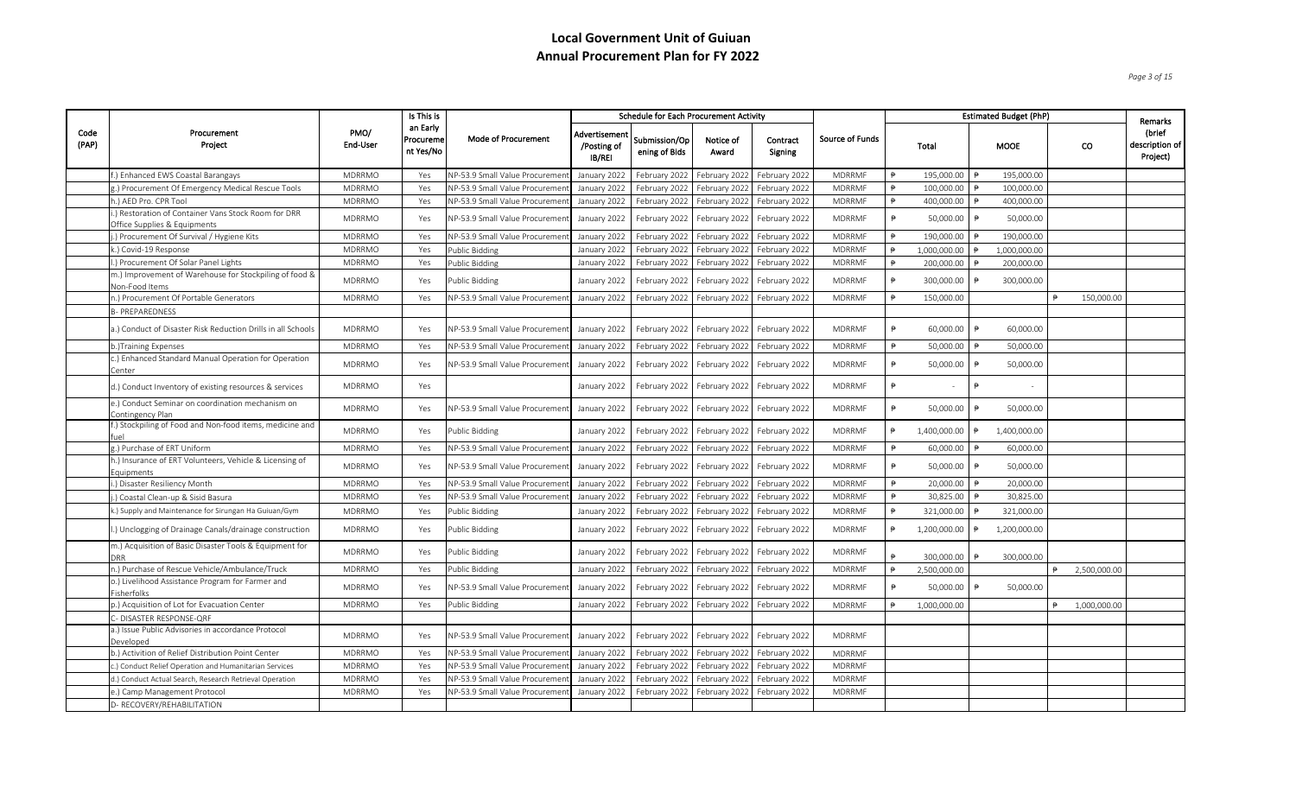*Page 3 of 15*

|               |                                                                                     |                  | Is This is                         |                                       |                                        | <b>Schedule for Each Procurement Activity</b> |                               |                     |                 |                     |              |               | <b>Estimated Budget (PhP)</b> |              | Remarks                              |
|---------------|-------------------------------------------------------------------------------------|------------------|------------------------------------|---------------------------------------|----------------------------------------|-----------------------------------------------|-------------------------------|---------------------|-----------------|---------------------|--------------|---------------|-------------------------------|--------------|--------------------------------------|
| Code<br>(PAP) | Procurement<br>Project                                                              | PMO/<br>End-User | an Early<br>Procureme<br>nt Yes/No | Mode of Procurement                   | Advertisement<br>/Posting of<br>IB/REI | Submission/Op<br>ening of Bids                | Notice of<br>Award            | Contract<br>Signing | Source of Funds |                     | Total        |               | <b>MOOE</b>                   | CO.          | (brief<br>description of<br>Project) |
|               | f.) Enhanced EWS Coastal Barangays                                                  | <b>MDRRMO</b>    | Yes                                | NP-53.9 Small Value Procureme         | January 2022                           | February 2022                                 | February 2022                 | February 2022       | MDRRMF          | $\ddot{P}$          | 195,000.00   |               | 195,000.00                    |              |                                      |
|               | g.) Procurement Of Emergency Medical Rescue Tools                                   | <b>MDRRMO</b>    | Yes                                | NP-53.9 Small Value Procureme         | January 2022                           | February 2022                                 | February 2022                 | February 2022       | <b>MDRRMF</b>   | $\ddot{\theta}$     | 100,000.00   |               | 100,000.00                    |              |                                      |
|               | 1.) AED Pro. CPR Tool                                                               | MDRRMO           | Yes                                | VP-53.9 Small Value Procureme         | January 2022                           | February 2022                                 | February 2022                 | February 2022       | <b>MDRRMF</b>   |                     | 400,000.00   |               | 400,000.00                    |              |                                      |
|               | .) Restoration of Container Vans Stock Room for DRR<br>Office Supplies & Equipments | <b>MDRRMO</b>    | Yes                                | NP-53.9 Small Value Procuremer        | January 2022                           | February 2022                                 | February 2022                 | February 2022       | MDRRMF          | $\ddot{P}$          | 50,000.00    | ₱             | 50,000.00                     |              |                                      |
|               | j.) Procurement Of Survival / Hygiene Kits                                          | MDRRMO           | Yes                                | NP-53.9 Small Value Procuremer        | January 2022                           | February 2022                                 | February 2022                 | February 2022       | MDRRMF          | $\ddot{\theta}$     | 190,000.00   |               | 190,000.00                    |              |                                      |
|               | k.) Covid-19 Response                                                               | <b>MDRRMO</b>    | Yes                                | Public Bidding                        | January 2022                           | February 2022                                 | February 2022                 | February 2022       | MDRRMF          |                     | 1,000,000.00 |               | 1,000,000.00                  |              |                                      |
|               | l.) Procurement Of Solar Panel Lights                                               | <b>MDRRMO</b>    | Yes                                | Public Bidding                        | January 2022                           | February 2022                                 | February 2022                 | February 2022       | MDRRMF          | ₿                   | 200,000.00   |               | 200,000.00                    |              |                                      |
|               | m.) Improvement of Warehouse for Stockpiling of food &<br>Non-Food Items            | <b>MDRRMO</b>    | Yes                                | Public Bidding                        | January 2022                           | February 2022                                 | February 2022                 | February 2022       | MDRRMF          | $\ddot{P}$          | 300,000.00   | $\Rightarrow$ | 300,000.00                    |              |                                      |
|               | n.) Procurement Of Portable Generators                                              | MDRRMO           | Yes                                | VP-53.9 Small Value Procuremer        | January 2022                           | February 2022                                 | February 2022                 | February 2022       | <b>MDRRMF</b>   | $\ddot{P}$          | 150,000.00   |               |                               | 150,000.00   |                                      |
|               | <b>B- PREPAREDNESS</b>                                                              |                  |                                    |                                       |                                        |                                               |                               |                     |                 |                     |              |               |                               |              |                                      |
|               | a.) Conduct of Disaster Risk Reduction Drills in all Schools                        | <b>MDRRMO</b>    | Yes                                | NP-53.9 Small Value Procuremen        | January 2022                           | February 2022                                 | February 2022                 | February 2022       | MDRRMF          | ₿                   | 60,000.00    | ₿             | 60,000.00                     |              |                                      |
|               | b.)Training Expenses                                                                | <b>MDRRMO</b>    | Yes                                | <b>NP-53.9 Small Value Procuremer</b> | January 2022                           | February 2022                                 | February 2022                 | February 2022       | <b>MDRRMF</b>   | ₿                   | 50,000.00    |               | 50,000.00                     |              |                                      |
|               | c.) Enhanced Standard Manual Operation for Operation<br>Center                      | <b>MDRRMO</b>    | Yes                                | NP-53.9 Small Value Procuremer        | January 2022                           | February 2022                                 | February 2022                 | February 2022       | MDRRMF          | $\ddot{\mathbf{p}}$ | 50,000.00    | ₱             | 50,000.00                     |              |                                      |
|               | d.) Conduct Inventory of existing resources & services                              | <b>MDRRMO</b>    | Yes                                |                                       | January 2022                           | February 2022                                 | February 2022                 | February 2022       | MDRRMF          |                     | $\sim$       | $\Rightarrow$ |                               |              |                                      |
|               | e.) Conduct Seminar on coordination mechanism on<br>Contingency Plan                | <b>MDRRMO</b>    | Yes                                | NP-53.9 Small Value Procuremen        | January 2022                           | February 2022                                 | February 2022                 | February 2022       | MDRRMF          | $\Rightarrow$       | 50,000.00    | $\Rightarrow$ | 50,000.00                     |              |                                      |
|               | f.) Stockpiling of Food and Non-food items, medicine and<br>fuel                    | <b>MDRRMO</b>    | Yes                                | Public Bidding                        | January 2022                           | February 2022                                 | February 2022                 | February 2022       | MDRRMF          | ₿                   | 1,400,000.00 | $\Rightarrow$ | 1,400,000.00                  |              |                                      |
|               | g.) Purchase of ERT Uniform                                                         | MDRRMO           | Yes                                | NP-53.9 Small Value Procuremer        | January 2022                           | February 2022                                 | February 2022                 | February 2022       | MDRRMF          | $\Rightarrow$       | 60,000.00    |               | 60,000.00                     |              |                                      |
|               | h.) Insurance of ERT Volunteers, Vehicle & Licensing of<br>Equipments               | <b>MDRRMO</b>    | Yes                                | NP-53.9 Small Value Procuremer        | January 2022                           | February 2022                                 | February 2022                 | February 2022       | <b>MDRRMF</b>   | ₿                   | 50,000.00    | $\Rightarrow$ | 50,000.00                     |              |                                      |
|               | .) Disaster Resiliency Month                                                        | <b>MDRRMO</b>    | Yes                                | <b>NP-53.9 Small Value Procureme</b>  | January 2022                           | February 2022                                 | February 2022                 | February 2022       | MDRRMF          | ₿                   | 20,000.00    |               | 20,000.00                     |              |                                      |
|               | .) Coastal Clean-up & Sisid Basura                                                  | MDRRMO           | Yes                                | NP-53.9 Small Value Procuremer        | January 2022                           | February 2022                                 | February 2022                 | February 2022       | MDRRMF          |                     | 30,825.00    |               | 30,825.00                     |              |                                      |
|               | k.) Supply and Maintenance for Sirungan Ha Guiuan/Gym                               | MDRRMO           | Yes                                | Public Bidding                        | January 2022                           | February 2022                                 | February 2022                 | February 2022       | MDRRMF          | $\ddot{P}$          | 321,000.00   | ₿             | 321,000.00                    |              |                                      |
|               | l.) Unclogging of Drainage Canals/drainage construction                             | <b>MDRRMO</b>    | Yes                                | Public Bidding                        | January 2022                           | February 2022                                 | February 2022                 | February 2022       | MDRRMF          | ₿                   | 1,200,000.00 | $\mathbf{P}$  | 1,200,000.00                  |              |                                      |
|               | m.) Acquisition of Basic Disaster Tools & Equipment for<br><b>DRR</b>               | MDRRMO           | Yes                                | Public Bidding                        | January 2022                           | February 2022                                 | February 2022                 | February 2022       | MDRRMF          |                     | 300,000.00   |               | 300,000.00                    |              |                                      |
|               | n.) Purchase of Rescue Vehicle/Ambulance/Truck                                      | <b>MDRRMO</b>    | Yes                                | Public Bidding                        | January 2022                           |                                               | February 2022   February 2022 | February 2022       | MDRRMF          | ₿                   | 2,500,000.00 |               |                               | 2,500,000.00 |                                      |
|               | o.) Livelihood Assistance Program for Farmer and<br>Fisherfolks                     | <b>MDRRMO</b>    | Yes                                | NP-53.9 Small Value Procuremer        | January 2022                           | February 2022                                 | February 2022                 | February 2022       | MDRRMF          |                     | 50,000.00    | $\rightarrow$ | 50,000.00                     |              |                                      |
|               | p.) Acquisition of Lot for Evacuation Center                                        | <b>MDRRMO</b>    | Yes                                | Public Bidding                        | January 2022                           | February 2022                                 | February 2022                 | February 2022       | <b>MDRRMF</b>   |                     | 1,000,000.00 |               |                               | 1,000,000.00 |                                      |
|               | C- DISASTER RESPONSE-QRF                                                            |                  |                                    |                                       |                                        |                                               |                               |                     |                 |                     |              |               |                               |              |                                      |
|               | a.) Issue Public Advisories in accordance Protocol<br>Developed                     | <b>MDRRMO</b>    | Yes                                | NP-53.9 Small Value Procuremen        | January 2022                           | February 2022                                 | February 2022                 | February 2022       | <b>MDRRMF</b>   |                     |              |               |                               |              |                                      |
|               | b.) Activition of Relief Distribution Point Center                                  | <b>MDRRMO</b>    | Yes                                | NP-53.9 Small Value Procuremer        | January 2022                           | February 2022                                 | February 2022                 | February 2022       | MDRRMF          |                     |              |               |                               |              |                                      |
|               | c.) Conduct Relief Operation and Humanitarian Services                              | MDRRMO           | Yes                                | NP-53.9 Small Value Procuremer        | January 2022                           | February 2022                                 | February 2022                 | February 2022       | MDRRMF          |                     |              |               |                               |              |                                      |
|               | d.) Conduct Actual Search, Research Retrieval Operation                             | <b>MDRRMO</b>    | Yes                                | NP-53.9 Small Value Procureme         | January 2022                           | February 2022                                 | February 2022                 | February 2022       | MDRRMF          |                     |              |               |                               |              |                                      |
|               | e.) Camp Management Protocol                                                        | <b>MDRRMO</b>    | Yes                                | NP-53.9 Small Value Procuremer        | January 2022                           |                                               | February 2022   February 2022 | February 2022       | MDRRMF          |                     |              |               |                               |              |                                      |
|               | D- RECOVERY/REHABILITATION                                                          |                  |                                    |                                       |                                        |                                               |                               |                     |                 |                     |              |               |                               |              |                                      |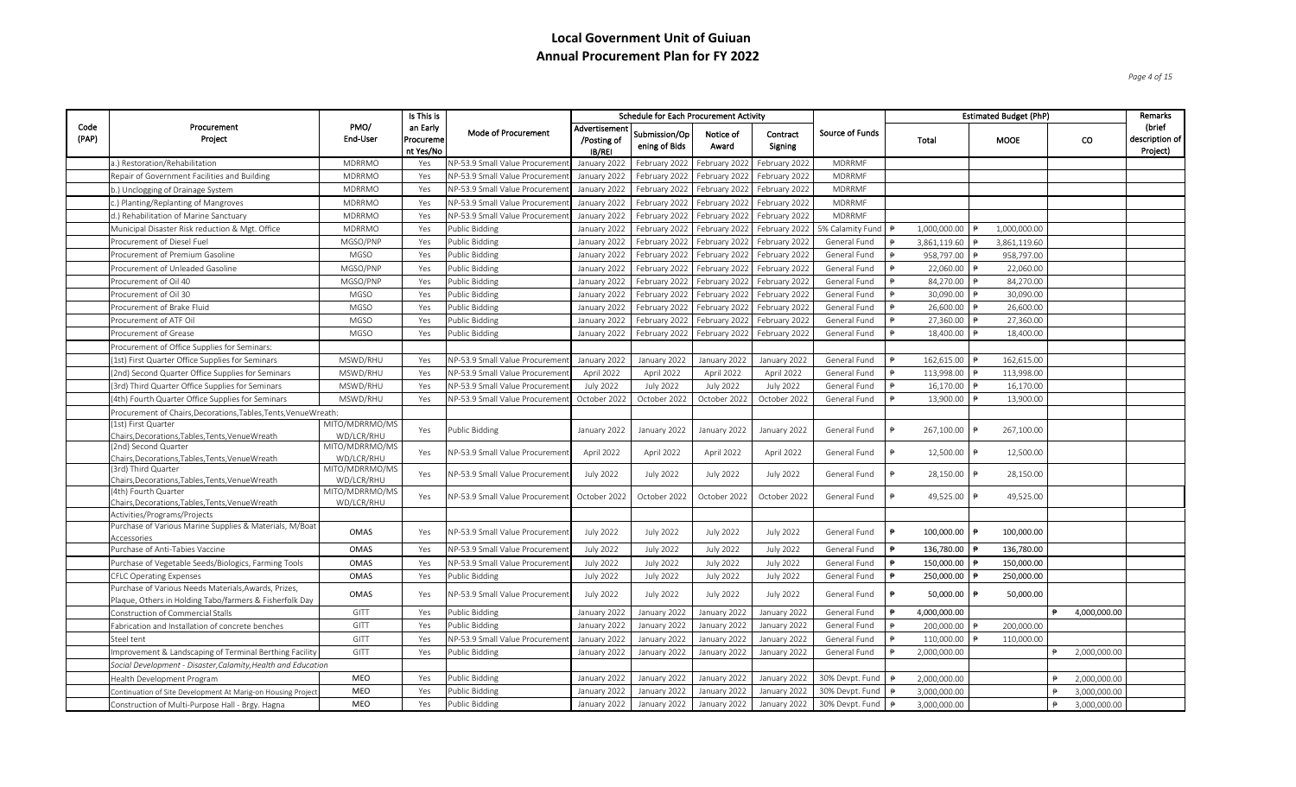*Page 4 of 15*

|               |                                                                                         |                              | Is This is                         |                                |                                        | <b>Schedule for Each Procurement Activity</b> |                             |                     |                              |                     |              |            | <b>Estimated Budget (PhP)</b> |    |              | Remarks                                |
|---------------|-----------------------------------------------------------------------------------------|------------------------------|------------------------------------|--------------------------------|----------------------------------------|-----------------------------------------------|-----------------------------|---------------------|------------------------------|---------------------|--------------|------------|-------------------------------|----|--------------|----------------------------------------|
| Code<br>(PAP) | Procurement<br>Project                                                                  | PMO/<br>End-User             | an Early<br>Procureme<br>nt Yes/No | Mode of Procurement            | Advertisement<br>/Posting of<br>IB/REI | Submission/Op<br>ening of Bids                | Notice of<br>Award          | Contract<br>Signing | Source of Funds              |                     | Total        |            | MOOE                          | co |              | (brief<br>description of  <br>Project) |
|               | a.) Restoration/Rehabilitation                                                          | <b>MDRRMO</b>                | Yes                                | NP-53.9 Small Value Procureme  | January 2022                           | February 2022                                 | February 2022               | February 2022       | MDRRMF                       |                     |              |            |                               |    |              |                                        |
|               | Repair of Government Facilities and Building                                            | <b>MDRRMO</b>                | Yes                                | NP-53.9 Small Value Procureme  | January 2022                           | February 2022                                 | February 2022               | February 2022       | <b>MDRRMF</b>                |                     |              |            |                               |    |              |                                        |
|               | b.) Unclogging of Drainage System                                                       | <b>MDRRMO</b>                | Yes                                | NP-53.9 Small Value Procureme  | January 2022                           | February 2022 February 2022                   |                             | February 2022       | <b>MDRRMF</b>                |                     |              |            |                               |    |              |                                        |
|               | ) Planting/Replanting of Mangroves                                                      | <b>MDRRMO</b>                | Yes                                | NP-53.9 Small Value Procureme  | January 2022                           |                                               | February 2022 February 2022 | February 2022       | MDRRMF                       |                     |              |            |                               |    |              |                                        |
|               | d.) Rehabilitation of Marine Sanctuary                                                  | <b>MDRRMO</b>                | Yes                                | NP-53.9 Small Value Procuremer | January 2022                           | February 2022                                 | February 2022               | February 2022       | MDRRMF                       |                     |              |            |                               |    |              |                                        |
|               | Municipal Disaster Risk reduction & Mgt. Office                                         | <b>MDRRMO</b>                | Yes                                | <b>Public Bidding</b>          | January 2022                           | February 2022   February 2022                 |                             | February 2022       | 5% Calamity Fund             |                     | 1,000,000.00 |            | 1,000,000.00                  |    |              |                                        |
|               | Procurement of Diesel Fuel                                                              | MGSO/PNP                     | Yes                                | Public Bidding                 | January 2022                           | February 2022                                 | February 2022               | February 2022       | General Fund                 |                     | 3,861,119.60 |            | 3,861,119.60                  |    |              |                                        |
|               | Procurement of Premium Gasoline                                                         | MGSO                         | Yes                                | Public Bidding                 | January 2022                           |                                               | February 2022 February 2022 | February 2022       | General Fund                 |                     | 958,797.00   |            | 958,797.00                    |    |              |                                        |
|               | Procurement of Unleaded Gasoline                                                        | MGSO/PNP                     | Yes                                | <b>Public Bidding</b>          | January 2022                           | February 2022                                 | February 2022               | February 2022       | General Fund                 |                     | 22,060.00    |            | 22,060.00                     |    |              |                                        |
|               | Procurement of Oil 40                                                                   | MGSO/PNP                     | Yes                                | Public Bidding                 | January 2022                           | February 2022                                 | February 2022               | February 2022       | General Fund                 |                     | 84,270.00    |            | 84,270.00                     |    |              |                                        |
|               | Procurement of Oil 30                                                                   | <b>MGSO</b>                  |                                    | Public Bidding                 |                                        |                                               |                             |                     |                              |                     | 30,090.00    |            | 30,090.00                     |    |              |                                        |
|               | Procurement of Brake Fluid                                                              | <b>MGSO</b>                  | Yes<br>Yes                         | Public Bidding                 | January 2022                           | February 2022                                 | February 2022               | February 2022       | General Fund                 |                     | 26,600.00    |            | 26,600.00                     |    |              |                                        |
|               | Procurement of ATF Oil                                                                  | MGSO                         |                                    | Public Bidding                 | January 2022                           |                                               | February 2022 February 2022 | February 2022       | General Fund<br>General Fund |                     | 27,360.00    |            | 27,360.00                     |    |              |                                        |
|               | Procurement of Grease                                                                   | MGSO                         | Yes                                |                                | January 2022                           | February 2022                                 | February 2022               | February 2022       |                              |                     |              |            | 18,400.00                     |    |              |                                        |
|               |                                                                                         |                              | Yes                                | Public Bidding                 | January 2022                           |                                               | February 2022 February 2022 | February 2022       | General Fund                 |                     | 18,400.00    |            |                               |    |              |                                        |
|               | Procurement of Office Supplies for Seminars:                                            |                              |                                    |                                |                                        |                                               |                             |                     |                              | ₿                   |              |            |                               |    |              |                                        |
|               | (1st) First Quarter Office Supplies for Seminars                                        | MSWD/RHU                     | Yes                                | NP-53.9 Small Value Procuremer | January 2022                           | January 2022                                  | January 2022                | January 2022        | General Fund                 |                     | 162,615.00   |            | 162,615.00                    |    |              |                                        |
|               | (2nd) Second Quarter Office Supplies for Seminars                                       | MSWD/RHU                     | Yes                                | NP-53.9 Small Value Procuremer | April 2022                             | April 2022                                    | April 2022                  | April 2022          | General Fund                 |                     | 113,998.00   |            | 113,998.00                    |    |              |                                        |
|               | (3rd) Third Quarter Office Supplies for Seminars                                        | MSWD/RHU                     | Yes                                | NP-53.9 Small Value Procuremer | <b>July 2022</b>                       | <b>July 2022</b>                              | <b>July 2022</b>            | <b>July 2022</b>    | General Fund                 |                     | 16,170.00    |            | 16,170.00                     |    |              |                                        |
|               | (4th) Fourth Quarter Office Supplies for Seminars                                       | MSWD/RHU                     | Yes                                | VP-53.9 Small Value Procuremen | October 2022                           | October 2022                                  | October 2022                | October 2022        | General Fund                 |                     | 13,900.00    |            | 13,900.00                     |    |              |                                        |
|               | Procurement of Chairs, Decorations, Tables, Tents, Venue Wreath:<br>(1st) First Quarter | MITO/MDRRMO/MS               |                                    |                                |                                        |                                               |                             |                     |                              |                     |              |            |                               |    |              |                                        |
|               | Chairs, Decorations, Tables, Tents, Venue Wreath                                        | WD/LCR/RHU                   | Yes                                | Public Bidding                 | January 2022                           | January 2022                                  | January 2022                | January 2022        | General Fund                 |                     | 267,100.00   | $\ddot{P}$ | 267,100.00                    |    |              |                                        |
|               | (2nd) Second Quarter                                                                    | MITO/MDRRMO/MS               |                                    |                                |                                        |                                               |                             |                     |                              |                     |              |            |                               |    |              |                                        |
|               | Chairs, Decorations, Tables, Tents, Venue Wreath                                        | WD/LCR/RHU                   | Yes                                | NP-53.9 Small Value Procuremen | April 2022                             | April 2022                                    | April 2022                  | April 2022          | General Fund                 |                     | 12,500.00    |            | 12,500.00                     |    |              |                                        |
|               | (3rd) Third Quarter                                                                     | MITO/MDRRMO/MS               | Yes                                | NP-53.9 Small Value Procuremen | <b>July 2022</b>                       | <b>July 2022</b>                              | <b>July 2022</b>            | <b>July 2022</b>    | General Fund                 |                     | 28,150.00 ₱  |            | 28,150.00                     |    |              |                                        |
|               | Chairs, Decorations, Tables, Tents, Venue Wreath                                        | WD/LCR/RHU                   |                                    |                                |                                        |                                               |                             |                     |                              |                     |              |            |                               |    |              |                                        |
|               | (4th) Fourth Quarter<br>Chairs, Decorations, Tables, Tents, Venue Wreath                | MITO/MDRRMO/MS<br>WD/LCR/RHU | Yes                                | NP-53.9 Small Value Procuremer | October 2022                           | October 2022                                  | October 2022                | October 2022        | General Fund                 |                     | 49,525.00    |            | 49,525.00                     |    |              |                                        |
|               | Activities/Programs/Projects                                                            |                              |                                    |                                |                                        |                                               |                             |                     |                              |                     |              |            |                               |    |              |                                        |
|               | Purchase of Various Marine Supplies & Materials, M/Boat                                 |                              |                                    |                                |                                        |                                               |                             |                     |                              |                     |              |            |                               |    |              |                                        |
|               | Accessories                                                                             | OMAS                         | Yes                                | NP-53.9 Small Value Procuremen | <b>July 2022</b>                       | <b>July 2022</b>                              | <b>July 2022</b>            | <b>July 2022</b>    | General Fund                 | $\ddot{P}$          | 100,000.00   |            | 100,000.00                    |    |              |                                        |
|               | Purchase of Anti-Tabies Vaccine                                                         | OMAS                         | Yes                                | NP-53.9 Small Value Procuremen | <b>July 2022</b>                       | <b>July 2022</b>                              | <b>July 2022</b>            | <b>July 2022</b>    | General Fund                 | $\ddot{p}$          | 136,780.00   |            | 136,780.00                    |    |              |                                        |
|               | Purchase of Vegetable Seeds/Biologics, Farming Tools                                    | OMAS                         | Yes                                | NP-53.9 Small Value Procuremer | <b>July 2022</b>                       | <b>July 2022</b>                              | <b>July 2022</b>            | <b>July 2022</b>    | General Fund                 | $\ddot{P}$          | 150,000.00   |            | 150,000.00                    |    |              |                                        |
|               | <b>CFLC Operating Expenses</b>                                                          | OMAS                         | Yes                                | Public Bidding                 | <b>July 2022</b>                       | <b>July 2022</b>                              | <b>July 2022</b>            | <b>July 2022</b>    | General Fund                 | $\ddot{\mathbf{e}}$ | 250,000.00   |            | 250,000.00                    |    |              |                                        |
|               | Purchase of Various Needs Materials, Awards, Prizes,                                    | OMAS                         | Yes                                | NP-53.9 Small Value Procuremen | <b>July 2022</b>                       | <b>July 2022</b>                              | <b>July 2022</b>            | <b>July 2022</b>    | General Fund                 |                     | 50,000.00 ₱  |            | 50,000.00                     |    |              |                                        |
|               | Plaque, Others in Holding Tabo/farmers & Fisherfolk Day                                 |                              |                                    |                                |                                        |                                               |                             |                     |                              |                     |              |            |                               |    |              |                                        |
|               | Construction of Commercial Stalls                                                       | GITT                         | Yes                                | Public Bidding                 | January 2022                           | January 2022                                  | January 2022                | January 2022        | General Fund                 |                     | 4,000,000.00 |            |                               |    | 4,000,000.00 |                                        |
|               | Fabrication and Installation of concrete benches                                        | GITT                         | Yes                                | Public Bidding                 | January 2022                           | January 2022                                  | January 2022                | January 2022        | General Fund                 |                     | 200,000.00   |            | 200,000.00                    |    |              |                                        |
|               | Steel tent                                                                              | GITT                         | Yes                                | NP-53.9 Small Value Procuremer | January 2022                           | January 2022                                  | January 2022                | January 2022        | General Fund                 |                     | 110,000.00   |            | 110,000.00                    |    |              |                                        |
|               | Improvement & Landscaping of Terminal Berthing Facility                                 | GITT                         | Yes                                | Public Bidding                 | January 2022                           | January 2022                                  | January 2022                | January 2022        | General Fund                 |                     | 2,000,000.00 |            |                               |    | 2,000,000.00 |                                        |
|               | Social Development - Disaster, Calamity, Health and Education                           |                              |                                    |                                |                                        |                                               |                             |                     |                              |                     |              |            |                               |    |              |                                        |
|               | Health Development Program                                                              | MEO                          | Yes                                | Public Bidding                 | January 2022                           | January 2022                                  | January 2022                | January 2022        | 30% Devpt. Fund              |                     | 2,000,000.00 |            |                               | ₿  | 2,000,000.00 |                                        |
|               | Continuation of Site Development At Marig-on Housing Project                            | MEO                          | Yes                                | Public Bidding                 | January 2022                           | January 2022                                  | January 2022                | January 2022        | 30% Devpt. Fund              |                     | 3,000,000.00 |            |                               |    | 3,000,000.00 |                                        |
|               | Construction of Multi-Purpose Hall - Brgy. Hagna                                        | MEO                          | Yes                                | <b>Public Bidding</b>          | January 2022                           | January 2022                                  | January 2022                | January 2022        | 30% Devpt. Fund              |                     | 3,000,000.00 |            |                               |    | 3,000,000.00 |                                        |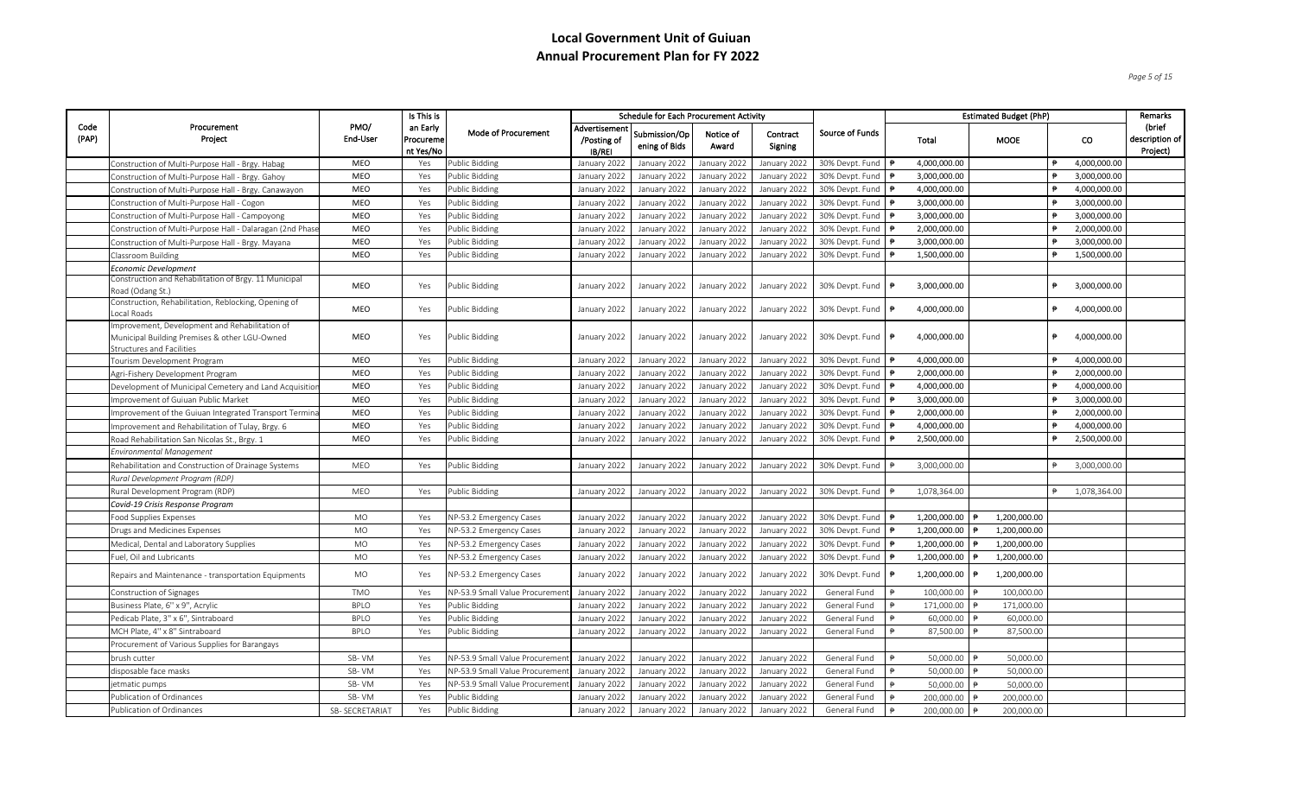*Page 5 of 15*

|               |                                                                                                                              |                  | Is This is                         |                                |                                        | <b>Schedule for Each Procurement Activity</b> |                    |                     |                 |                    | <b>Estimated Budget (PhP)</b> |                   | Remarks                              |
|---------------|------------------------------------------------------------------------------------------------------------------------------|------------------|------------------------------------|--------------------------------|----------------------------------------|-----------------------------------------------|--------------------|---------------------|-----------------|--------------------|-------------------------------|-------------------|--------------------------------------|
| Code<br>(PAP) | Procurement<br>Project                                                                                                       | PMO/<br>End-User | an Early<br>Procureme<br>nt Yes/No | Mode of Procurement            | Advertisement<br>/Posting of<br>IB/REI | Submission/Op<br>ening of Bids                | Notice of<br>Award | Contract<br>Signing | Source of Funds | Total              | MOOE                          | co                | (brief<br>description of<br>Project) |
|               | Construction of Multi-Purpose Hall - Brgy. Habag                                                                             | MEO              | Yes                                | Public Bidding                 | January 2022                           | January 2022                                  | January 2022       | January 2022        | 30% Devpt. Fund | 4,000,000.00       |                               | 4,000,000.00<br>₿ |                                      |
|               | Construction of Multi-Purpose Hall - Brgy. Gahoy                                                                             | MEO              | Yes                                | Public Bidding                 | January 2022                           | January 2022                                  | January 2022       | January 2022        | 30% Devpt. Fund | 3,000,000.00       |                               | 3,000,000.00      |                                      |
|               | Construction of Multi-Purpose Hall - Brgy. Canawayon                                                                         | MEO              | Yes                                | Public Bidding                 | January 2022                           | January 2022                                  | January 2022       | January 2022        | 30% Devpt. Fund | 4,000,000.00       |                               | 4,000,000.00      |                                      |
|               | Construction of Multi-Purpose Hall - Cogon                                                                                   | MEO              | Yes                                | Public Bidding                 | January 2022                           | January 2022                                  | January 2022       | January 2022        | 30% Devpt. Fund | 3,000,000.00       |                               | 3,000,000.00      |                                      |
|               | Construction of Multi-Purpose Hall - Campoyong                                                                               | MEO              | Yes                                | Public Bidding                 | January 2022                           | January 2022                                  | January 2022       | January 2022        | 30% Devpt. Fund | 3,000,000.00       |                               | 3,000,000.00      |                                      |
|               | Construction of Multi-Purpose Hall - Dalaragan (2nd Phase                                                                    | MEO              | Yes                                | Public Bidding                 | January 2022                           | January 2022                                  | January 2022       | January 2022        | 30% Devpt. Fund | 2,000,000.00       |                               | 2,000,000.00      |                                      |
|               | Construction of Multi-Purpose Hall - Brgy. Mayana                                                                            | MEO              | Yes                                | Public Bidding                 | January 2022                           | January 2022                                  | January 2022       | January 2022        | 30% Devpt. Fund | 3,000,000.00       |                               | 3,000,000.00      |                                      |
|               | Classroom Building                                                                                                           | MEO              | Yes                                | Public Bidding                 | January 2022                           | January 2022                                  | January 2022       | January 2022        | 30% Devpt. Fund | 1,500,000.00       |                               | 1,500,000.00      |                                      |
|               | Economic Development                                                                                                         |                  |                                    |                                |                                        |                                               |                    |                     |                 |                    |                               |                   |                                      |
|               | Construction and Rehabilitation of Brgy. 11 Municipal<br>Road (Odang St.)                                                    | MEO              | Yes                                | Public Bidding                 | January 2022                           | January 2022                                  | January 2022       | January 2022        | 30% Devpt. Fund | 3,000,000.00       |                               | ₿<br>3,000,000.00 |                                      |
|               | Construction, Rehabilitation, Reblocking, Opening of<br>Local Roads                                                          | MEO              | Yes                                | Public Bidding                 | January 2022                           | January 2022                                  | January 2022       | January 2022        | 30% Devpt. Fund | 4,000,000.00       |                               | 4,000,000.00<br>₱ |                                      |
|               | Improvement, Development and Rehabilitation of<br>Municipal Building Premises & other LGU-Owned<br>Structures and Facilities | MEO              | Yes                                | Public Bidding                 | January 2022                           | January 2022                                  | January 2022       | January 2022        | 30% Devpt. Fund | 4,000,000.00<br>I₱ |                               | ₱<br>4,000,000.00 |                                      |
|               | Fourism Development Program                                                                                                  | MEO              | Yes                                | Public Bidding                 | January 2022                           | January 2022                                  | January 2022       | January 2022        | 30% Devpt. Fund | 4,000,000.00       |                               | 4,000,000.00      |                                      |
|               | Agri-Fishery Development Program                                                                                             | <b>MEO</b>       | Yes                                | Public Bidding                 | January 2022                           | January 2022                                  | January 2022       | January 2022        | 30% Devpt. Fund | 2,000,000.00       |                               | 2,000,000.00      |                                      |
|               | Development of Municipal Cemetery and Land Acquisitior                                                                       | MEO              | Yes                                | Public Bidding                 | January 2022                           | January 2022                                  | January 2022       | January 2022        | 30% Devpt. Fund | 4,000,000.00       |                               | 4,000,000.00      |                                      |
|               | Improvement of Guiuan Public Market                                                                                          | MEO              | Yes                                | Public Bidding                 | January 2022                           | January 2022                                  | January 2022       | January 2022        | 30% Devpt. Fund | 3,000,000.00       |                               | 3,000,000.00      |                                      |
|               | Improvement of the Guiuan Integrated Transport Termina                                                                       | MEO              | Yes                                | Public Bidding                 | January 2022                           | January 2022                                  | January 2022       | January 2022        | 30% Devpt. Fund | 2,000,000.00       |                               | 2,000,000.00      |                                      |
|               | Improvement and Rehabilitation of Tulay, Brgy. 6                                                                             | <b>MEO</b>       | Yes                                | Public Bidding                 | January 2022                           | January 2022                                  | January 2022       | January 2022        | 30% Devpt. Fund | 4,000,000.00       |                               | 4,000,000.00      |                                      |
|               | Road Rehabilitation San Nicolas St., Brgy. 1                                                                                 | MEO              | Yes                                | Public Bidding                 | January 2022                           | January 2022                                  | January 2022       | January 2022        | 30% Devpt. Fund | 2,500,000.00       |                               | 2,500,000.00      |                                      |
|               | Environmental Management                                                                                                     |                  |                                    |                                |                                        |                                               |                    |                     |                 |                    |                               |                   |                                      |
|               | Rehabilitation and Construction of Drainage Systems                                                                          | MEO              | Yes                                | Public Bidding                 | January 2022                           | January 2022                                  | January 2022       | January 2022        | 30% Devpt. Fund | 3,000,000.00       |                               | 3,000,000.00      |                                      |
|               | Rural Development Program (RDP)                                                                                              |                  |                                    |                                |                                        |                                               |                    |                     |                 |                    |                               |                   |                                      |
|               | Rural Development Program (RDP)                                                                                              | <b>MEO</b>       | Yes                                | Public Bidding                 | January 2022                           | January 2022                                  | January 2022       | January 2022        | 30% Devpt. Fund | 1,078,364.00       |                               | 1,078,364.00      |                                      |
|               | Covid-19 Crisis Response Program                                                                                             |                  |                                    |                                |                                        |                                               |                    |                     |                 |                    |                               |                   |                                      |
|               | Food Supplies Expenses                                                                                                       | <b>MO</b>        | Yes                                | NP-53.2 Emergency Cases        | January 2022                           | January 2022                                  | January 2022       | January 2022        | 30% Devpt. Fund | 1,200,000.00       | 1,200,000.00                  |                   |                                      |
|               | Drugs and Medicines Expenses                                                                                                 | <b>MO</b>        | Yes                                | NP-53.2 Emergency Cases        | January 2022                           | January 2022                                  | January 2022       | January 2022        | 30% Devpt. Fund | 1,200,000.00       | 1,200,000.00                  |                   |                                      |
|               | Medical, Dental and Laboratory Supplies                                                                                      | <b>MO</b>        | Yes                                | NP-53.2 Emergency Cases        | January 2022                           | January 2022                                  | January 2022       | January 2022        | 30% Devpt. Fund | 1,200,000.00       | 1,200,000.00                  |                   |                                      |
|               | Fuel, Oil and Lubricants                                                                                                     | MO               | Yes                                | VP-53.2 Emergency Cases        | January 2022                           | January 2022                                  | January 2022       | January 2022        | 30% Devpt. Fund | 1,200,000.00       | 1,200,000.00                  |                   |                                      |
|               | Repairs and Maintenance - transportation Equipments                                                                          | MO               | Yes                                | NP-53.2 Emergency Cases        | January 2022                           | January 2022                                  | January 2022       | January 2022        | 30% Devpt. Fund | 1,200,000.00       | 1,200,000.00                  |                   |                                      |
|               | Construction of Signages                                                                                                     | <b>TMO</b>       | Yes                                | NP-53.9 Small Value Procuremer | January 2022                           | January 2022                                  | January 2022       | January 2022        | General Fund    | 100,000.00         | 100,000.00                    |                   |                                      |
|               | Business Plate, 6'' x 9'', Acrylic                                                                                           | <b>BPLO</b>      | Yes                                | Public Bidding                 | January 2022                           | January 2022                                  | January 2022       | January 2022        | General Fund    | 171,000.00         | 171,000.00                    |                   |                                      |
|               | Pedicab Plate, 3" x 6", Sintraboard                                                                                          | <b>BPLO</b>      | Yes                                | Public Bidding                 | January 2022                           | January 2022                                  | January 2022       | January 2022        | General Fund    | 60,000.00          | 60,000.00                     |                   |                                      |
|               | MCH Plate, 4" x 8" Sintraboard                                                                                               | <b>BPLO</b>      | Yes                                | Public Bidding                 | January 2022                           | January 2022                                  | January 2022       | January 2022        | General Fund    | 87,500.00          | 87,500.00                     |                   |                                      |
|               | Procurement of Various Supplies for Barangays                                                                                |                  |                                    |                                |                                        |                                               |                    |                     |                 |                    |                               |                   |                                      |
|               | brush cutter                                                                                                                 | SB-VM            | Yes                                | NP-53.9 Small Value Procuremer | January 2022                           | January 2022                                  | January 2022       | January 2022        | General Fund    | 50,000.00          | 50,000.00                     |                   |                                      |
|               | disposable face masks                                                                                                        | SB-VM            | Yes                                | NP-53.9 Small Value Procuremer | January 2022                           | January 2022                                  | January 2022       | January 2022        | General Fund    | 50,000.00          | 50,000.00                     |                   |                                      |
|               | etmatic pumps                                                                                                                | SB-VM            | Yes                                | NP-53.9 Small Value Procuremen | January 2022                           | January 2022                                  | January 2022       | January 2022        | General Fund    | 50,000.00          | 50,000.00                     |                   |                                      |
|               | Publication of Ordinances                                                                                                    | SB-VM            | Yes                                | Public Bidding                 | January 2022                           | January 2022                                  | January 2022       | January 2022        | General Fund    | 200,000.00         | 200,000.00                    |                   |                                      |
|               | Publication of Ordinances                                                                                                    | SB-SECRETARIAT   | Yes                                | <b>Public Bidding</b>          | January 2022                           | January 2022                                  | January 2022       | January 2022        | General Fund    | 200,000.00         | 200,000.00                    |                   |                                      |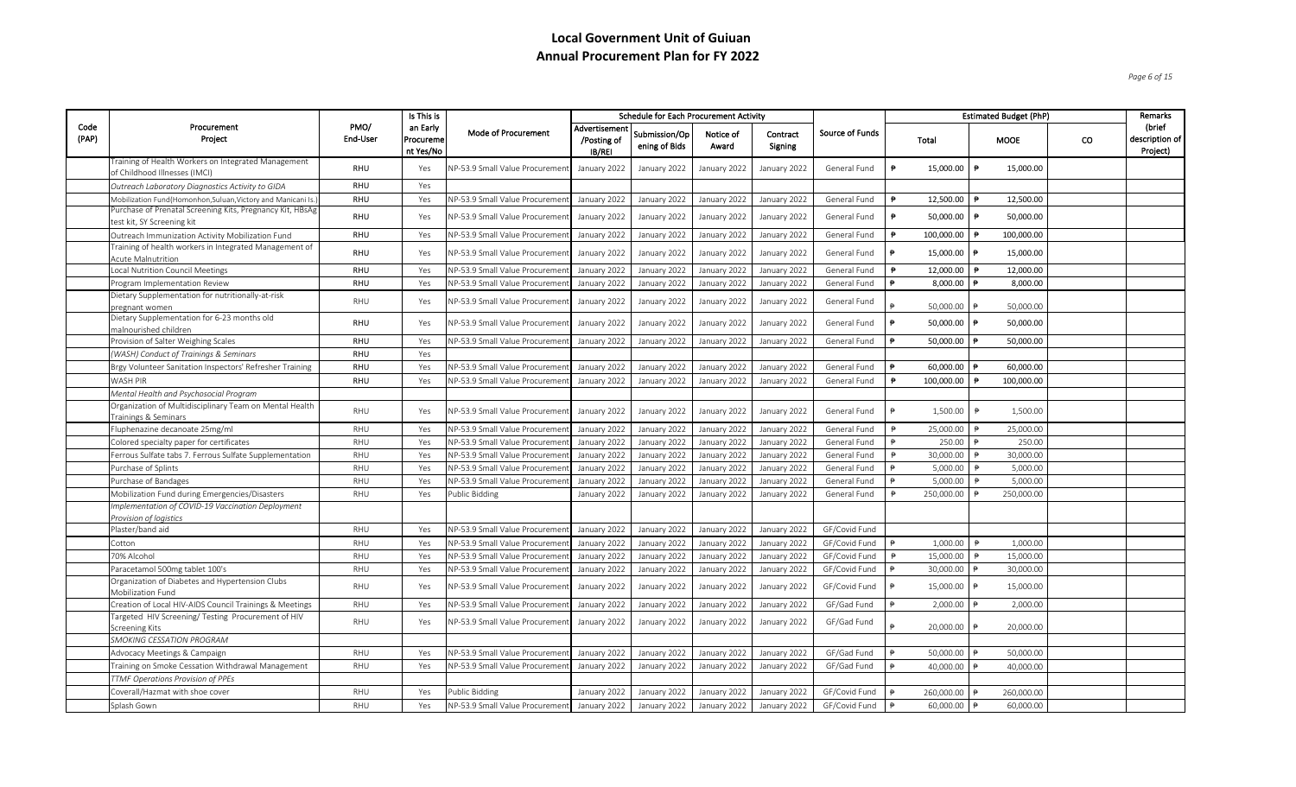*Page 6 of 15*

|               |                                                                                            |                  | Is This is                         |                                 |                                       | <b>Schedule for Each Procurement Activity</b> |                    |                     |                 |            |            |                | <b>Estimated Budget (PhP)</b> |    | Remarks                              |
|---------------|--------------------------------------------------------------------------------------------|------------------|------------------------------------|---------------------------------|---------------------------------------|-----------------------------------------------|--------------------|---------------------|-----------------|------------|------------|----------------|-------------------------------|----|--------------------------------------|
| Code<br>(PAP) | Procurement<br>Project                                                                     | PMO/<br>End-User | an Early<br>Procureme<br>nt Yes/No | Mode of Procurement             | Advertisemen<br>/Posting of<br>IB/REI | Submission/Op<br>ening of Bids                | Notice of<br>Award | Contract<br>Signing | Source of Funds |            | Total      |                | <b>MOOE</b>                   | co | (brief<br>description of<br>Project) |
|               | Fraining of Health Workers on Integrated Management<br>of Childhood Illnesses (IMCI)       | RHU              | Yes                                | NP-53.9 Small Value Procuremer  | January 2022                          | January 2022                                  | January 2022       | January 2022        | General Fund    |            | 15,000.00  | ₱              | 15,000.00                     |    |                                      |
|               | Outreach Laboratory Diagnostics Activity to GIDA                                           | RHU              | Yes                                |                                 |                                       |                                               |                    |                     |                 |            |            |                |                               |    |                                      |
|               | Mobilization Fund(Homonhon,Suluan,Victory and Manicani Is.                                 | RHU              | Yes                                | NP-53.9 Small Value Procuremer  | January 2022                          | January 2022                                  | January 2022       | January 2022        | General Fund    | $\ddot{P}$ | 12,500.00  |                | 12,500.00                     |    |                                      |
|               | Purchase of Prenatal Screening Kits, Pregnancy Kit, HBsAg<br>test kit, SY Screening kit    | RHU              | Yes                                | NP-53.9 Small Value Procuremer  | January 2022                          | January 2022                                  | January 2022       | January 2022        | General Fund    | ₿          | 50,000.00  | ₱              | 50,000.00                     |    |                                      |
|               | Outreach Immunization Activity Mobilization Fund                                           | RHU              | Yes                                | NP-53.9 Small Value Procuremen  | January 2022                          | January 2022                                  | January 2022       | January 2022        | General Fund    | ₱          | 100,000.00 |                | 100,000.00                    |    |                                      |
|               | Training of health workers in Integrated Management of<br>Acute Malnutrition               | RHU              | Yes                                | NP-53.9 Small Value Procuremen  | January 2022                          | January 2022                                  | January 2022       | January 2022        | General Fund    |            | 15,000.00  |                | 15,000.00                     |    |                                      |
|               | Local Nutrition Council Meetings                                                           | RHU              | Yes                                | NP-53.9 Small Value Procuremen  | January 2022                          | January 2022                                  | January 2022       | January 2022        | General Fund    |            | 12,000.00  |                | 12,000.00                     |    |                                      |
|               | Program Implementation Review                                                              | RHU              | Yes                                | NP-53.9 Small Value Procuremen  | January 2022                          | January 2022                                  | January 2022       | January 2022        | General Fund    | ₿          | 8,000.00   |                | 8,000.00                      |    |                                      |
|               | Dietary Supplementation for nutritionally-at-risk<br>pregnant women                        | RHU              | Yes                                | NP-53.9 Small Value Procurement | January 2022                          | January 2022                                  | January 2022       | January 2022        | General Fund    |            | 50,000.00  |                | 50,000.00                     |    |                                      |
|               | Dietary Supplementation for 6-23 months old<br>malnourished children                       | RHU              | Yes                                | NP-53.9 Small Value Procuremer  | January 2022                          | January 2022                                  | January 2022       | January 2022        | General Fund    | ₿          | 50,000.00  |                | 50,000.00                     |    |                                      |
|               | Provision of Salter Weighing Scales                                                        | RHU              | Yes                                | NP-53.9 Small Value Procurement | January 2022                          | January 2022                                  | January 2022       | January 2022        | General Fund    | ₿          | 50,000.00  |                | 50,000.00                     |    |                                      |
|               | (WASH) Conduct of Trainings & Seminars                                                     | RHU              | Yes                                |                                 |                                       |                                               |                    |                     |                 |            |            |                |                               |    |                                      |
|               | Brgy Volunteer Sanitation Inspectors' Refresher Training                                   | RHU              | Yes                                | NP-53.9 Small Value Procuremen  | January 2022                          | January 2022                                  | January 2022       | January 2022        | General Fund    |            | 60,000.00  |                | 60,000.00                     |    |                                      |
|               | WASH PIR                                                                                   | RHU              | Yes                                | NP-53.9 Small Value Procuremen  | January 2022                          | January 2022                                  | January 2022       | January 2022        | General Fund    | ₱          | 100,000.00 |                | 100,000.00                    |    |                                      |
|               | Mental Health and Psychosocial Program                                                     |                  |                                    |                                 |                                       |                                               |                    |                     |                 |            |            |                |                               |    |                                      |
|               | Organization of Multidisciplinary Team on Mental Health<br><b>Trainings &amp; Seminars</b> | RHU              | Yes                                | NP-53.9 Small Value Procuremer  | January 2022                          | January 2022                                  | January 2022       | January 2022        | General Fund    | ₱          | 1,500.00   | $\overline{P}$ | 1,500.00                      |    |                                      |
|               | Fluphenazine decanoate 25mg/ml                                                             | <b>RHU</b>       | Yes                                | NP-53.9 Small Value Procuremer  | January 2022                          | January 2022                                  | January 2022       | January 2022        | General Fund    | ₿          | 25,000.00  |                | 25,000.00                     |    |                                      |
|               | Colored specialty paper for certificates                                                   | RHU              | Yes                                | NP-53.9 Small Value Procuremer  | January 2022                          | January 2022                                  | January 2022       | January 2022        | General Fund    |            | 250.00     |                | 250.00                        |    |                                      |
|               | Ferrous Sulfate tabs 7. Ferrous Sulfate Supplementation                                    | RHU              | Yes                                | NP-53.9 Small Value Procuremer  | January 2022                          | January 2022                                  | January 2022       | January 2022        | General Fund    |            | 30,000.00  |                | 30,000.00                     |    |                                      |
|               | Purchase of Splints                                                                        | RHU              | Yes                                | NP-53.9 Small Value Procuremer  | January 2022                          | January 2022                                  | January 2022       | January 2022        | General Fund    |            | 5,000.00   |                | 5,000.00                      |    |                                      |
|               | Purchase of Bandages                                                                       | RHU              | Yes                                | NP-53.9 Small Value Procuremen  | January 2022                          | January 2022                                  | January 2022       | January 2022        | General Fund    | ₿          | 5,000.00   | $\ddot{P}$     | 5,000.00                      |    |                                      |
|               | Mobilization Fund during Emergencies/Disasters                                             | RHU              | Yes                                | Public Bidding                  | January 2022                          | January 2022                                  | January 2022       | January 2022        | General Fund    |            | 250,000.00 |                | 250,000.00                    |    |                                      |
|               | Implementation of COVID-19 Vaccination Deployment                                          |                  |                                    |                                 |                                       |                                               |                    |                     |                 |            |            |                |                               |    |                                      |
|               | Provision of logistics                                                                     |                  |                                    |                                 |                                       |                                               |                    |                     |                 |            |            |                |                               |    |                                      |
|               | Plaster/band aid                                                                           | RHU              | Yes                                | NP-53.9 Small Value Procuremer  | January 2022                          | January 2022                                  | January 2022       | January 2022        | GF/Covid Fund   |            |            |                |                               |    |                                      |
|               | Cotton                                                                                     | RHU              | Yes                                | NP-53.9 Small Value Procuremer  | January 2022                          | January 2022                                  | January 2022       | January 2022        | GF/Covid Fund   |            | 1,000.00   |                | 1,000.00                      |    |                                      |
|               | 70% Alcohol                                                                                | RHU              | Yes                                | NP-53.9 Small Value Procuremer  | January 2022                          | January 2022                                  | January 2022       | January 2022        | GF/Covid Fund   |            | 15,000.00  |                | 15,000.00                     |    |                                      |
|               | Paracetamol 500mg tablet 100's                                                             | RHU              | Yes                                | NP-53.9 Small Value Procuremen  | January 2022                          | January 2022                                  | January 2022       | January 2022        | GF/Covid Fund   |            | 30,000.00  |                | 30,000.00                     |    |                                      |
|               | Organization of Diabetes and Hypertension Clubs<br>Mobilization Fund                       | RHU              | Yes                                | NP-53.9 Small Value Procuremen  | January 2022                          | January 2022                                  | January 2022       | January 2022        | GF/Covid Fund   |            | 15,000.00  |                | 15,000.00                     |    |                                      |
|               | Creation of Local HIV-AIDS Council Trainings & Meetings                                    | RHU              | Yes                                | NP-53.9 Small Value Procuremer  | January 2022                          | January 2022                                  | January 2022       | January 2022        | GF/Gad Fund     |            | 2,000.00   |                | 2,000.00                      |    |                                      |
|               | Targeted HIV Screening/ Testing Procurement of HIV<br>Screening Kits                       | RHU              | Yes                                | NP-53.9 Small Value Procuremen  | January 2022                          | January 2022                                  | January 2022       | January 2022        | GF/Gad Fund     |            | 20,000.00  |                | 20,000.00                     |    |                                      |
|               | <b>SMOKING CESSATION PROGRAM</b>                                                           |                  |                                    |                                 |                                       |                                               |                    |                     |                 |            |            |                |                               |    |                                      |
|               | Advocacy Meetings & Campaign                                                               | RHU              | Yes                                | NP-53.9 Small Value Procuremen  | January 2022                          | January 2022                                  | January 2022       | January 2022        | GF/Gad Fund     |            | 50,000.00  |                | 50,000.00                     |    |                                      |
|               | Fraining on Smoke Cessation Withdrawal Management                                          | RHU              | Yes                                | NP-53.9 Small Value Procurement | January 2022                          | January 2022                                  | January 2022       | January 2022        | GF/Gad Fund     |            | 40,000.00  |                | 40,000.00                     |    |                                      |
|               | TTMF Operations Provision of PPEs                                                          |                  |                                    |                                 |                                       |                                               |                    |                     |                 |            |            |                |                               |    |                                      |
|               | Coverall/Hazmat with shoe cover                                                            | RHU              | Yes                                | Public Bidding                  | January 2022                          | January 2022                                  | January 2022       | January 2022        | GF/Covid Fund   |            | 260,000.00 |                | 260,000.00                    |    |                                      |
|               | Splash Gown                                                                                | <b>RHU</b>       | Yes                                | NP-53.9 Small Value Procurement | January 2022                          | January 2022                                  | January 2022       | January 2022        | GF/Covid Fund   |            | 60.000.00  |                | 60.000.00                     |    |                                      |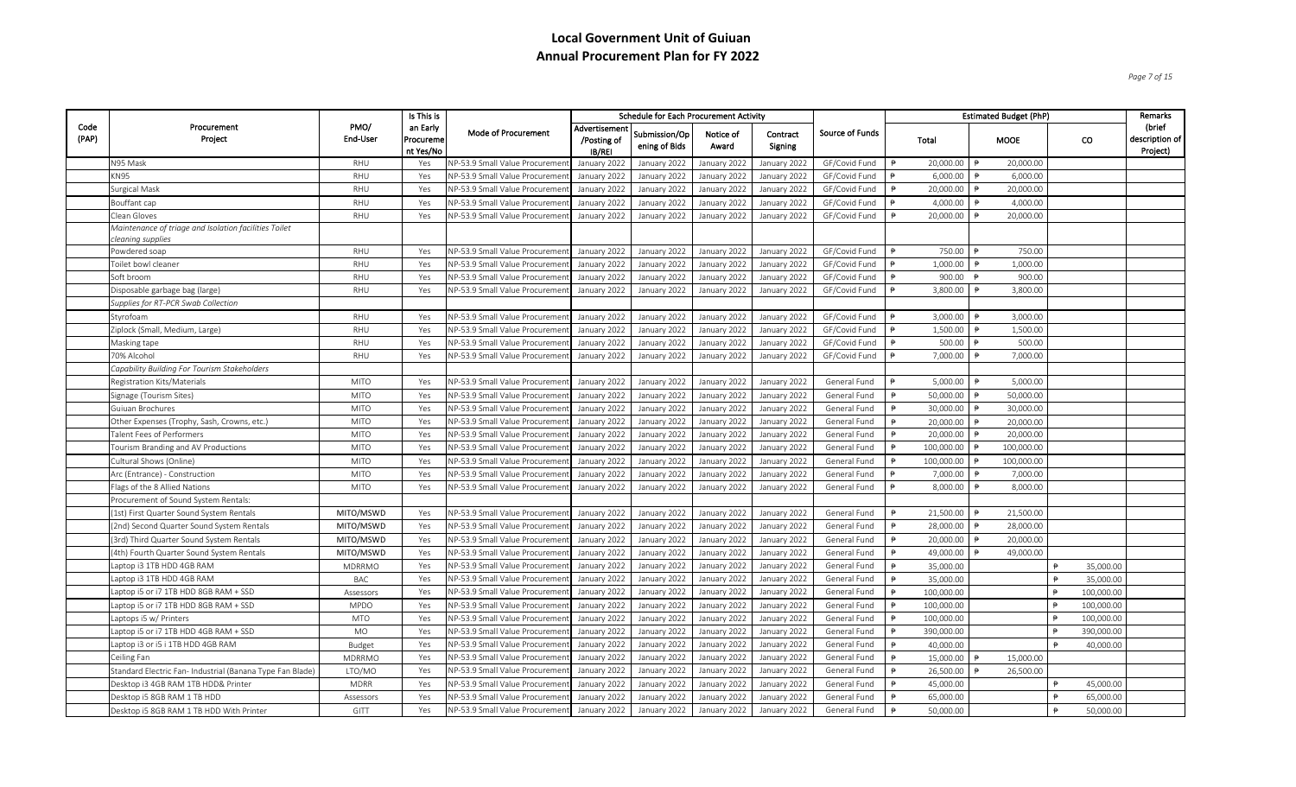*Page 7 of 15*

|               |                                                                            |                  | Is This is                         |                                 |                                        | <b>Schedule for Each Procurement Activity</b> |                    |                     |                 |               |            |                | <b>Estimated Budget (PhP)</b> |               |            | Remarks                                |
|---------------|----------------------------------------------------------------------------|------------------|------------------------------------|---------------------------------|----------------------------------------|-----------------------------------------------|--------------------|---------------------|-----------------|---------------|------------|----------------|-------------------------------|---------------|------------|----------------------------------------|
| Code<br>(PAP) | Procurement<br>Project                                                     | PMO/<br>End-User | an Early<br>Procureme<br>nt Yes/No | Mode of Procurement             | Advertisement<br>/Posting of<br>IB/REI | Submission/Op<br>ening of Bids                | Notice of<br>Award | Contract<br>Signing | Source of Funds |               | Total      |                | <b>MOOE</b>                   |               | co         | (brief<br>description of  <br>Project) |
|               | N95 Mask                                                                   | RHU              | Yes                                | NP-53.9 Small Value Procureme   | January 2022                           | January 2022                                  | January 2022       | January 2022        | GF/Covid Fund   | $\ddot{P}$    | 20,000.00  |                | 20,000.00                     |               |            |                                        |
|               | <b>KN95</b>                                                                | RHU              | Yes                                | NP-53.9 Small Value Procureme   | January 2022                           | January 2022                                  | January 2022       | January 2022        | GF/Covid Fund   |               | 6,000.00   | $\Rightarrow$  | 6,000.00                      |               |            |                                        |
|               | <b>Surgical Mask</b>                                                       | RHU              | Yes                                | NP-53.9 Small Value Procureme   | January 2022                           | January 2022                                  | January 2022       | January 2022        | GF/Covid Fund   |               | 20,000.00  |                | 20,000.00                     |               |            |                                        |
|               | Bouffant cap                                                               | <b>RHU</b>       | Yes                                | NP-53.9 Small Value Procureme   | January 2022                           | January 2022                                  | January 2022       | January 2022        | GF/Covid Fund   |               | 4.000.00   |                | 4,000.00                      |               |            |                                        |
|               | Clean Gloves                                                               | RHU              | Yes                                | NP-53.9 Small Value Procuremen  | January 2022                           | January 2022                                  | January 2022       | January 2022        | GF/Covid Fund   |               | 20,000.00  |                | 20,000.00                     |               |            |                                        |
|               | Maintenance of triage and Isolation facilities Toilet<br>leaning supplies: |                  |                                    |                                 |                                        |                                               |                    |                     |                 |               |            |                |                               |               |            |                                        |
|               | Powdered soap                                                              | <b>RHU</b>       | Yes                                | NP-53.9 Small Value Procuremer  | January 2022                           | January 2022                                  | January 2022       | January 2022        | GF/Covid Fund   |               | 750.00     |                | 750.00                        |               |            |                                        |
|               | Toilet bowl cleaner                                                        | RHU              | Yes                                | NP-53.9 Small Value Procuremer  | January 2022                           | January 2022                                  | January 2022       | January 2022        | GF/Covid Fund   |               | 1,000.00   |                | 1,000.00                      |               |            |                                        |
|               | Soft broom                                                                 | RHU              | Yes                                | NP-53.9 Small Value Procuremer  | January 2022                           | January 2022                                  | January 2022       | January 2022        | GF/Covid Fund   |               | 900.00     |                | 900.00                        |               |            |                                        |
|               | Disposable garbage bag (large)                                             | RHU              | Yes                                | NP-53.9 Small Value Procuremer  | January 2022                           | January 2022                                  | January 2022       | January 2022        | GF/Covid Fund   |               | 3,800.00   |                | 3,800.00                      |               |            |                                        |
|               | Supplies for RT-PCR Swab Collection                                        |                  |                                    |                                 |                                        |                                               |                    |                     |                 |               |            |                |                               |               |            |                                        |
|               | Styrofoam                                                                  | RHU              | Yes                                | NP-53.9 Small Value Procuremer  | January 2022                           | January 2022                                  | January 2022       | January 2022        | GF/Covid Fund   |               | 3,000.00   |                | 3,000.00                      |               |            |                                        |
|               | Ziplock (Small, Medium, Large)                                             | <b>RHU</b>       | Yes                                | NP-53.9 Small Value Procureme   | January 2022                           | January 2022                                  | January 2022       | January 2022        | GF/Covid Fund   | ₿             | 1,500.00   | $\overline{P}$ | 1,500.00                      |               |            |                                        |
|               | Masking tape                                                               | RHU              | Yes                                | NP-53.9 Small Value Procuremer  | January 2022                           | January 2022                                  | January 2022       | January 2022        | GF/Covid Fund   |               | 500.00     |                | 500.00                        |               |            |                                        |
|               | 70% Alcohol                                                                | RHU              | Yes                                | NP-53.9 Small Value Procureme   | January 2022                           | January 2022                                  | January 2022       | January 2022        | GF/Covid Fund   |               | 7,000.00   |                | 7,000.00                      |               |            |                                        |
|               | Capability Building For Tourism Stakeholders                               |                  |                                    |                                 |                                        |                                               |                    |                     |                 |               |            |                |                               |               |            |                                        |
|               | Registration Kits/Materials                                                | <b>MITO</b>      | Yes                                | NP-53.9 Small Value Procuremer  | January 2022                           | January 2022                                  | January 2022       | January 2022        | General Fund    |               | 5,000.00   |                | 5,000.00                      |               |            |                                        |
|               | Signage (Tourism Sites)                                                    | <b>MITO</b>      | Yes                                | NP-53.9 Small Value Procuremer  | January 2022                           | January 2022                                  | January 2022       | January 2022        | General Fund    | $\Rightarrow$ | 50,000.00  |                | 50,000.00                     |               |            |                                        |
|               | Guiuan Brochures                                                           | <b>MITO</b>      | Yes                                | NP-53.9 Small Value Procureme   | January 2022                           | January 2022                                  | January 2022       | January 2022        | General Fund    |               | 30,000.00  |                | 30,000.00                     |               |            |                                        |
|               | Other Expenses (Trophy, Sash, Crowns, etc.)                                | <b>MITO</b>      | Yes                                | NP-53.9 Small Value Procuremer  | January 2022                           | January 2022                                  | January 2022       | January 2022        | General Fund    |               | 20,000.00  |                | 20,000.00                     |               |            |                                        |
|               | Talent Fees of Performers                                                  | <b>MITO</b>      | Yes                                | NP-53.9 Small Value Procuremer  | January 2022                           | January 2022                                  | January 2022       | January 2022        | General Fund    |               | 20,000.00  |                | 20,000.00                     |               |            |                                        |
|               | Tourism Branding and AV Productions                                        | <b>MITO</b>      | Yes                                | NP-53.9 Small Value Procuremer  | January 2022                           | January 2022                                  | January 2022       | January 2022        | General Fund    | ₿             | 100,000.00 |                | 100,000.00                    |               |            |                                        |
|               | Cultural Shows (Online)                                                    | <b>MITO</b>      | Yes                                | NP-53.9 Small Value Procuremer  | January 2022                           | January 2022                                  | January 2022       | January 2022        | General Fund    | ₿             | 100,000.00 |                | 100,000.00                    |               |            |                                        |
|               | Arc (Entrance) - Construction                                              | <b>MITO</b>      | Yes                                | NP-53.9 Small Value Procuremer  | January 2022                           | January 2022                                  | January 2022       | January 2022        | General Fund    |               | 7,000.00   |                | 7,000.00                      |               |            |                                        |
|               | Flags of the 8 Allied Nations                                              | <b>MITO</b>      | Yes                                | NP-53.9 Small Value Procuremer  | January 2022                           | January 2022                                  | January 2022       | January 2022        | General Fund    |               | 8,000.00   |                | 8,000.00                      |               |            |                                        |
|               | Procurement of Sound System Rentals:                                       |                  |                                    |                                 |                                        |                                               |                    |                     |                 |               |            |                |                               |               |            |                                        |
|               | (1st) First Quarter Sound System Rentals                                   | MITO/MSWD        | Yes                                | NP-53.9 Small Value Procuremer  | January 2022                           | January 2022                                  | January 2022       | January 2022        | General Fund    | $\ddot{P}$    | 21,500.00  |                | 21,500.00                     |               |            |                                        |
|               | (2nd) Second Quarter Sound System Rentals                                  | MITO/MSWD        | Yes                                | NP-53.9 Small Value Procureme   | January 2022                           | January 2022                                  | January 2022       | January 2022        | General Fund    |               | 28,000.00  |                | 28,000.00                     |               |            |                                        |
|               | (3rd) Third Quarter Sound System Rentals                                   | MITO/MSWD        | Yes                                | NP-53.9 Small Value Procuremer  | January 2022                           | January 2022                                  | January 2022       | January 2022        | General Fund    |               | 20,000.00  |                | 20,000.00                     |               |            |                                        |
|               | (4th) Fourth Quarter Sound System Rentals                                  | MITO/MSWD        | Yes                                | NP-53.9 Small Value Procuremer  | January 2022                           | January 2022                                  | January 2022       | January 2022        | General Fund    |               | 49,000.00  |                | 49,000.00                     |               |            |                                        |
|               | Laptop i3 1TB HDD 4GB RAM                                                  | <b>MDRRMO</b>    | Yes                                | NP-53.9 Small Value Procureme   | January 2022                           | January 2022                                  | January 2022       | January 2022        | General Fund    | $\ddot{=}$    | 35,000.00  |                |                               | $\ddot{P}$    | 35,000.00  |                                        |
|               | Laptop i3 1TB HDD 4GB RAM                                                  | <b>BAC</b>       | Yes                                | NP-53.9 Small Value Procureme   | January 2022                           | January 2022                                  | January 2022       | January 2022        | General Fund    |               | 35,000.00  |                |                               | $\ddot{p}$    | 35,000.00  |                                        |
|               | Laptop i5 or i7 1TB HDD 8GB RAM + SSD                                      | Assessors        | Yes                                | NP-53.9 Small Value Procuremer  | January 2022                           | January 2022                                  | January 2022       | January 2022        | General Fund    |               | 100,000.00 |                |                               |               | 100,000.00 |                                        |
|               | Laptop i5 or i7 1TB HDD 8GB RAM + SSD                                      | <b>MPDO</b>      | Yes                                | NP-53.9 Small Value Procureme   | January 2022                           | January 2022                                  | January 2022       | January 2022        | General Fund    |               | 100,000.00 |                |                               | $\ddot{P}$    | 100,000.00 |                                        |
|               | Laptops i5 w/ Printers                                                     | <b>MTO</b>       | Yes                                | NP-53.9 Small Value Procuremer  | January 2022                           | January 2022                                  | January 2022       | January 2022        | General Fund    |               | 100,000.00 |                |                               | $\theta$      | 100,000.00 |                                        |
|               | Laptop i5 or i7 1TB HDD 4GB RAM + SSD                                      | MO               | Yes                                | NP-53.9 Small Value Procuremer  | January 2022                           | January 2022                                  | January 2022       | January 2022        | General Fund    | $\ddot{P}$    | 390,000.00 |                |                               | $\theta$      | 390,000.00 |                                        |
|               | Laptop i3 or i5 i 1TB HDD 4GB RAM                                          | Budget           | Yes                                | NP-53.9 Small Value Procuremer  | January 2022                           | January 2022                                  | January 2022       | January 2022        | General Fund    |               | 40,000.00  |                |                               |               | 40,000.00  |                                        |
|               | Ceiling Fan                                                                | <b>MDRRMO</b>    | Yes                                | NP-53.9 Small Value Procuremer  | January 2022                           | January 2022                                  | January 2022       | January 2022        | General Fund    |               | 15,000.00  |                | 15,000.00                     |               |            |                                        |
|               | Standard Electric Fan- Industrial (Banana Type Fan Blade)                  | LTO/MO           | Yes                                | NP-53.9 Small Value Procuremer  | January 2022                           | January 2022                                  | January 2022       | January 2022        | General Fund    | $\ddot{P}$    | 26,500.00  |                | 26,500.00                     |               |            |                                        |
|               | Desktop i3 4GB RAM 1TB HDD& Printer                                        | <b>MDRR</b>      | Yes                                | NP-53.9 Small Value Procuremer  | January 2022                           | January 2022                                  | January 2022       | January 2022        | General Fund    |               | 45,000.00  |                |                               |               | 45,000.00  |                                        |
|               | Desktop i5 8GB RAM 1 TB HDD                                                | Assessors        | Yes                                | NP-53.9 Small Value Procuremer  | January 2022                           | January 2022                                  | January 2022       | January 2022        | General Fund    |               | 65,000.00  |                |                               | $\ddot{P}$    | 65,000.00  |                                        |
|               | Desktop i5 8GB RAM 1 TB HDD With Printer                                   | GITT             | Yes                                | NP-53.9 Small Value Procurement | January 2022                           | January 2022                                  | January 2022       | January 2022        | General Fund    |               | 50,000.00  |                |                               | $\Rightarrow$ | 50,000.00  |                                        |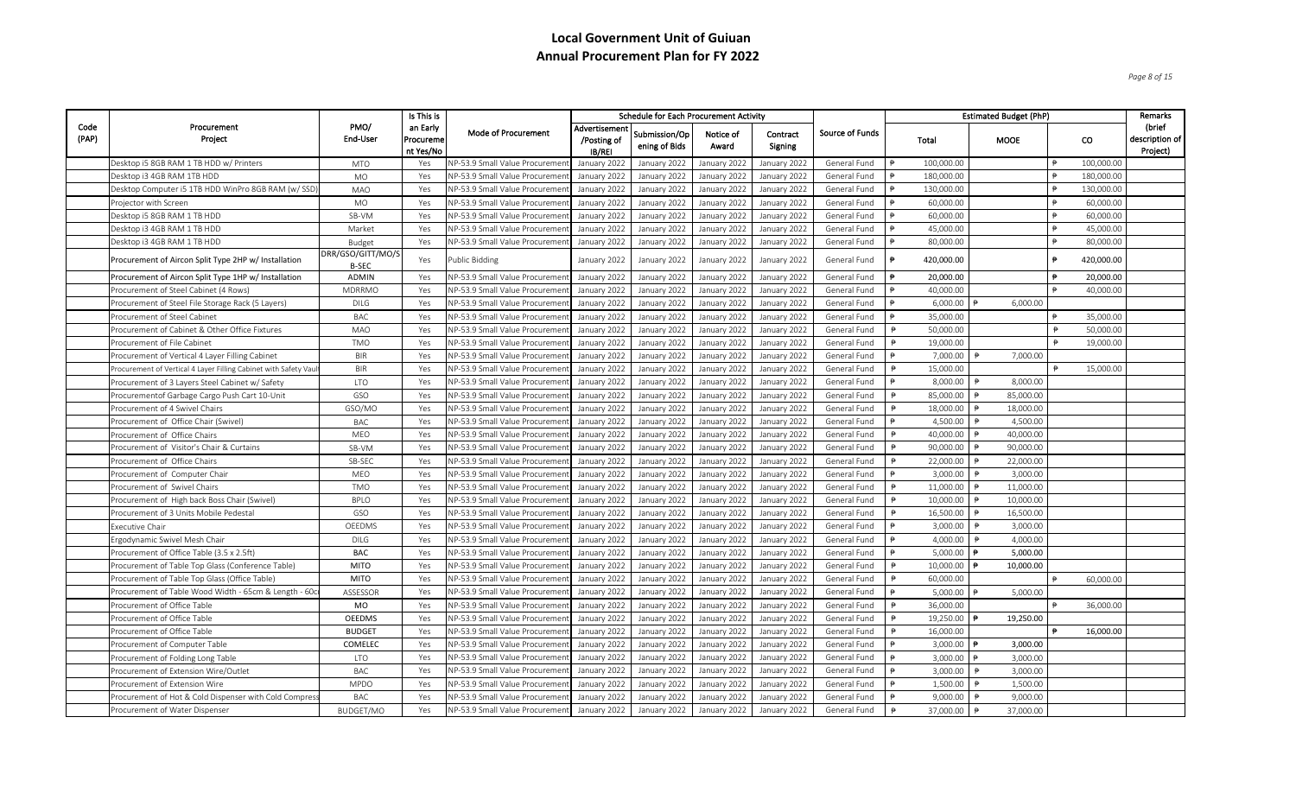*Page 8 of 15*

|               |                                                                 |                                   | Is This is                         |                                       |                                       | <b>Schedule for Each Procurement Activity</b> |                    |                     |                        |               |            | <b>Estimated Budget (PhP)</b> |                     |            | Remarks                                |
|---------------|-----------------------------------------------------------------|-----------------------------------|------------------------------------|---------------------------------------|---------------------------------------|-----------------------------------------------|--------------------|---------------------|------------------------|---------------|------------|-------------------------------|---------------------|------------|----------------------------------------|
| Code<br>(PAP) | Procurement<br>Project                                          | PMO/<br>End-User                  | an Early<br>Procureme<br>nt Yes/No | Mode of Procurement                   | Advertisemen<br>/Posting of<br>IB/REI | Submission/Op<br>ening of Bids                | Notice of<br>Award | Contract<br>Signing | <b>Source of Funds</b> |               | Total      | <b>MOOE</b>                   |                     | CO.        | (brief<br>description of  <br>Project) |
|               | Desktop i5 8GB RAM 1 TB HDD w/ Printers                         | <b>MTO</b>                        | Yes                                | NP-53.9 Small Value Procuremer        | January 202:                          | January 2022                                  | January 2022       | January 2022        | General Fund           | $\ddot{p}$    | 100,000.00 |                               | $\Rightarrow$       | 100,000.00 |                                        |
|               | Desktop i3 4GB RAM 1TB HDD                                      | <b>MO</b>                         | Yes                                | NP-53.9 Small Value Procuremer        | January 2022                          | January 2022                                  | January 2022       | January 2022        | General Fund           |               | 180,000.00 |                               |                     | 180,000.00 |                                        |
|               | Desktop Computer i5 1TB HDD WinPro 8GB RAM (w/SSD               | <b>MAO</b>                        | Yes                                | VP-53.9 Small Value Procureme         | January 2022                          | January 2022                                  | January 2022       | January 2022        | General Fund           |               | 130,000.00 |                               |                     | 130,000.00 |                                        |
|               | Projector with Screen                                           | MO                                | Yes                                | <b>NP-53.9 Small Value Procuremer</b> | January 2022                          | January 2022                                  | January 2022       | January 2022        | General Fund           |               | 60,000.00  |                               |                     | 60,000.00  |                                        |
|               | Desktop i5 8GB RAM 1 TB HDD                                     | SB-VM                             | Yes                                | <b>NP-53.9 Small Value Procureme</b>  | January 2022                          | January 2022                                  | January 2022       | January 2022        | General Fund           |               | 60,000.00  |                               | $\ddot{\mathbf{p}}$ | 60,000.00  |                                        |
|               | Desktop i3 4GB RAM 1 TB HDD                                     | Market                            | Yes                                | <b>VP-53.9 Small Value Procureme</b>  | January 2022                          | January 2022                                  | January 2022       | January 2022        | General Fund           |               | 45,000.00  |                               |                     | 45,000.00  |                                        |
|               | Desktop i3 4GB RAM 1 TB HDD                                     | Budget                            | Yes                                | VP-53.9 Small Value Procureme         | January 2022                          | January 2022                                  | January 2022       | January 2022        | General Fund           |               | 80,000.00  |                               | $\Rightarrow$       | 80,000.00  |                                        |
|               | Procurement of Aircon Split Type 2HP w/ Installation            | DRR/GSO/GITT/MO/S<br><b>B-SEC</b> | Yes                                | Public Bidding                        | January 2022                          | January 2022                                  | January 2022       | January 2022        | General Fund           | $\ddot{p}$    | 420,000.00 |                               | ₿                   | 420,000.00 |                                        |
|               | Procurement of Aircon Split Type 1HP w/ Installation            | <b>ADMIN</b>                      | Yes                                | VP-53.9 Small Value Procureme         | January 2022                          | January 2022                                  | January 2022       | January 2022        | General Fund           | $\ddot{p}$    | 20,000.00  |                               | ₿                   | 20,000.00  |                                        |
|               | Procurement of Steel Cabinet (4 Rows)                           | <b>MDRRMO</b>                     | Yes                                | NP-53.9 Small Value Procureme         | January 2022                          | January 2022                                  | January 2022       | January 2022        | General Fund           | $\ddot{=}$    | 40,000.00  |                               | $\Rightarrow$       | 40,000.00  |                                        |
|               | Procurement of Steel File Storage Rack (5 Layers)               | <b>DILG</b>                       | Yes                                | NP-53.9 Small Value Procureme         | January 2022                          | January 2022                                  | January 2022       | January 2022        | General Fund           |               | 6,000.00   | 6,000.00                      |                     |            |                                        |
|               | Procurement of Steel Cabinet                                    | <b>BAC</b>                        | Yes                                | NP-53.9 Small Value Procuremer        | January 2022                          | January 2022                                  | January 2022       | January 2022        | General Fund           |               | 35,000.00  |                               |                     | 35,000.00  |                                        |
|               | Procurement of Cabinet & Other Office Fixtures                  | <b>MAO</b>                        | Yes                                | NP-53.9 Small Value Procuremer        | January 2022                          | January 2022                                  | January 2022       | January 2022        | General Fund           | $\Rightarrow$ | 50,000.00  |                               | $\Rightarrow$       | 50,000.00  |                                        |
|               | Procurement of File Cabinet                                     | <b>TMO</b>                        | Yes                                | VP-53.9 Small Value Procuremer        | January 2022                          | January 2022                                  | January 2022       | January 2022        | General Fund           | $\ddot{P}$    | 19,000.00  |                               |                     | 19,000.00  |                                        |
|               | Procurement of Vertical 4 Layer Filling Cabinet                 | <b>BIR</b>                        | Yes                                | <b>VP-53.9 Small Value Procureme</b>  | January 2022                          | January 2022                                  | January 2022       | January 2022        | General Fund           |               | 7,000.00   | 7,000.00                      |                     |            |                                        |
|               | Procurement of Vertical 4 Layer Filling Cabinet with Safety Vau | <b>BIR</b>                        | Yes                                | VP-53.9 Small Value Procuremer        | January 2022                          | January 2022                                  | January 2022       | January 2022        | General Fund           |               | 15,000.00  |                               |                     | 15,000.00  |                                        |
|               | Procurement of 3 Layers Steel Cabinet w/ Safety                 | <b>LTO</b>                        | Yes                                | NP-53.9 Small Value Procuremer        | January 2022                          | January 2022                                  | January 2022       | January 2022        | General Fund           |               | 8,000.00   | 8,000.00                      |                     |            |                                        |
|               | Procurementof Garbage Cargo Push Cart 10-Unit                   | GSO                               | Yes                                | <b>NP-53.9 Small Value Procuremer</b> | January 2022                          | January 2022                                  | January 2022       | January 2022        | General Fund           |               | 85,000.00  | 85,000.00                     |                     |            |                                        |
|               | Procurement of 4 Swivel Chairs                                  | GSO/MO                            | Yes                                | NP-53.9 Small Value Procuremer        | January 2022                          | January 2022                                  | January 2022       | January 2022        | General Fund           | ₿             | 18,000.00  | 18,000.00                     |                     |            |                                        |
|               | Procurement of Office Chair (Swivel)                            | <b>BAC</b>                        | Yes                                | VP-53.9 Small Value Procuremer        | January 2022                          | January 2022                                  | January 2022       | January 2022        | General Fund           |               | 4,500.00   | 4,500.00                      |                     |            |                                        |
|               | Procurement of Office Chairs                                    | MEO                               | Yes                                | <b>NP-53.9 Small Value Procuremer</b> | January 2022                          | January 2022                                  | January 2022       | January 2022        | General Fund           |               | 40,000.00  | 40,000.00                     |                     |            |                                        |
|               | Procurement of Visitor's Chair & Curtains                       | SB-VM                             | Yes                                | NP-53.9 Small Value Procureme         | January 2022                          | January 2022                                  | January 2022       | January 2022        | General Fund           | ₿             | 90,000.00  | 90,000.00                     |                     |            |                                        |
|               | Procurement of Office Chairs                                    | SB-SEC                            | Yes                                | NP-53.9 Small Value Procureme         | January 2022                          | January 2022                                  | January 2022       | January 2022        | General Fund           | ₿             | 22,000.00  | 22,000.00                     |                     |            |                                        |
|               | Procurement of Computer Chair                                   | MEO                               | Yes                                | NP-53.9 Small Value Procuremer        | January 2022                          | January 2022                                  | January 2022       | January 2022        | General Fund           |               | 3,000.00   | 3,000.00                      |                     |            |                                        |
|               | Procurement of Swivel Chairs                                    | <b>TMO</b>                        | Yes                                | NP-53.9 Small Value Procuremer        | January 2022                          | January 2022                                  | January 2022       | January 2022        | General Fund           |               | 11,000.00  | 11,000.00                     |                     |            |                                        |
|               | Procurement of High back Boss Chair (Swivel)                    | <b>BPLO</b>                       | Yes                                | NP-53.9 Small Value Procureme         | January 2022                          | January 2022                                  | January 2022       | January 2022        | General Fund           | ₿             | 10,000.00  | 10,000.00                     |                     |            |                                        |
|               | Procurement of 3 Units Mobile Pedestal                          | GSO                               | Yes                                | <b>NP-53.9 Small Value Procureme</b>  | January 2022                          | January 2022                                  | January 2022       | January 2022        | General Fund           | $\ddot{P}$    | 16,500.00  | 16,500.00                     |                     |            |                                        |
|               | Executive Chair                                                 | OEEDMS                            | Yes                                | NP-53.9 Small Value Procureme         | January 2022                          | January 2022                                  | January 2022       | January 2022        | General Fund           |               | 3,000.00   | 3,000.00                      |                     |            |                                        |
|               | Ergodynamic Swivel Mesh Chair                                   | <b>DILG</b>                       | Yes                                | VP-53.9 Small Value Procuremer        | January 2022                          | January 2022                                  | January 2022       | January 2022        | General Fund           |               | 4,000.00   | 4,000.00                      |                     |            |                                        |
|               | Procurement of Office Table (3.5 x 2.5ft)                       | <b>BAC</b>                        | Yes                                | NP-53.9 Small Value Procuremer        | January 2022                          | January 2022                                  | January 2022       | January 2022        | General Fund           |               | 5,000.00   | 5,000.00                      |                     |            |                                        |
|               | Procurement of Table Top Glass (Conference Table)               | <b>MITO</b>                       | Yes                                | NP-53.9 Small Value Procureme         | January 2022                          | January 2022                                  | January 2022       | January 2022        | General Fund           |               | 10,000.00  | 10,000.00                     |                     |            |                                        |
|               | Procurement of Table Top Glass (Office Table)                   | <b>MITO</b>                       | Yes                                | <b>NP-53.9 Small Value Procureme</b>  | January 2022                          | January 2022                                  | January 2022       | January 2022        | General Fund           | ₿             | 60,000.00  |                               |                     | 60,000.00  |                                        |
|               | Procurement of Table Wood Width - 65cm & Length - 60c           | ASSESSOR                          | Yes                                | NP-53.9 Small Value Procuremer        | January 2022                          | January 2022                                  | January 2022       | January 2022        | General Fund           |               | 5,000.00   | 5,000.00                      |                     |            |                                        |
|               | Procurement of Office Table                                     | MO                                | Yes                                | NP-53.9 Small Value Procuremer        | January 2022                          | January 2022                                  | January 2022       | January 2022        | General Fund           |               | 36,000.00  |                               |                     | 36,000.00  |                                        |
|               | Procurement of Office Table                                     | <b>OEEDMS</b>                     | Yes                                | <b>NP-53.9 Small Value Procuremer</b> | January 2022                          | January 2022                                  | January 2022       | January 2022        | General Fund           | ₿             | 19,250.00  | 19,250.00                     |                     |            |                                        |
|               | Procurement of Office Table                                     | <b>BUDGET</b>                     | Yes                                | <b>NP-53.9 Small Value Procureme</b>  | January 2022                          | January 2022                                  | January 2022       | January 2022        | General Fund           | $\ddot{P}$    | 16,000.00  |                               |                     | 16,000.00  |                                        |
|               | Procurement of Computer Table                                   | COMELEC                           | Yes                                | NP-53.9 Small Value Procuremer        | January 2022                          | January 2022                                  | January 2022       | January 2022        | General Fund           |               | 3.000.00   | 3,000.00                      |                     |            |                                        |
|               | Procurement of Folding Long Table                               | <b>LTO</b>                        | Yes                                | NP-53.9 Small Value Procuremer        | January 2022                          | January 2022                                  | January 2022       | January 2022        | General Fund           |               | 3,000.00   | 3,000.00                      |                     |            |                                        |
|               | Procurement of Extension Wire/Outlet                            | BAC                               | Yes                                | NP-53.9 Small Value Procuremer        | January 2022                          | January 2022                                  | January 2022       | January 2022        | General Fund           | $\ddot{P}$    | 3,000.00   | 3,000.00                      |                     |            |                                        |
|               | Procurement of Extension Wire                                   | <b>MPDO</b>                       | Yes                                | <b>VP-53.9 Small Value Procuremer</b> | January 2022                          | January 2022                                  | January 2022       | January 2022        | General Fund           |               | 1,500.00   | 1,500.00                      |                     |            |                                        |
|               | Procurement of Hot & Cold Dispenser with Cold Compres:          | BAC                               | Yes                                | NP-53.9 Small Value Procureme         | January 2022                          | January 2022                                  | January 2022       | January 2022        | General Fund           |               | 9,000.00   | 9,000.00                      |                     |            |                                        |
|               | Procurement of Water Dispenser                                  | BUDGET/MO                         | Yes                                | VP-53.9 Small Value Procurement       | January 2022                          | January 2022                                  | January 2022       | January 2022        | General Fund           |               | 37,000.00  | 37,000.00                     |                     |            |                                        |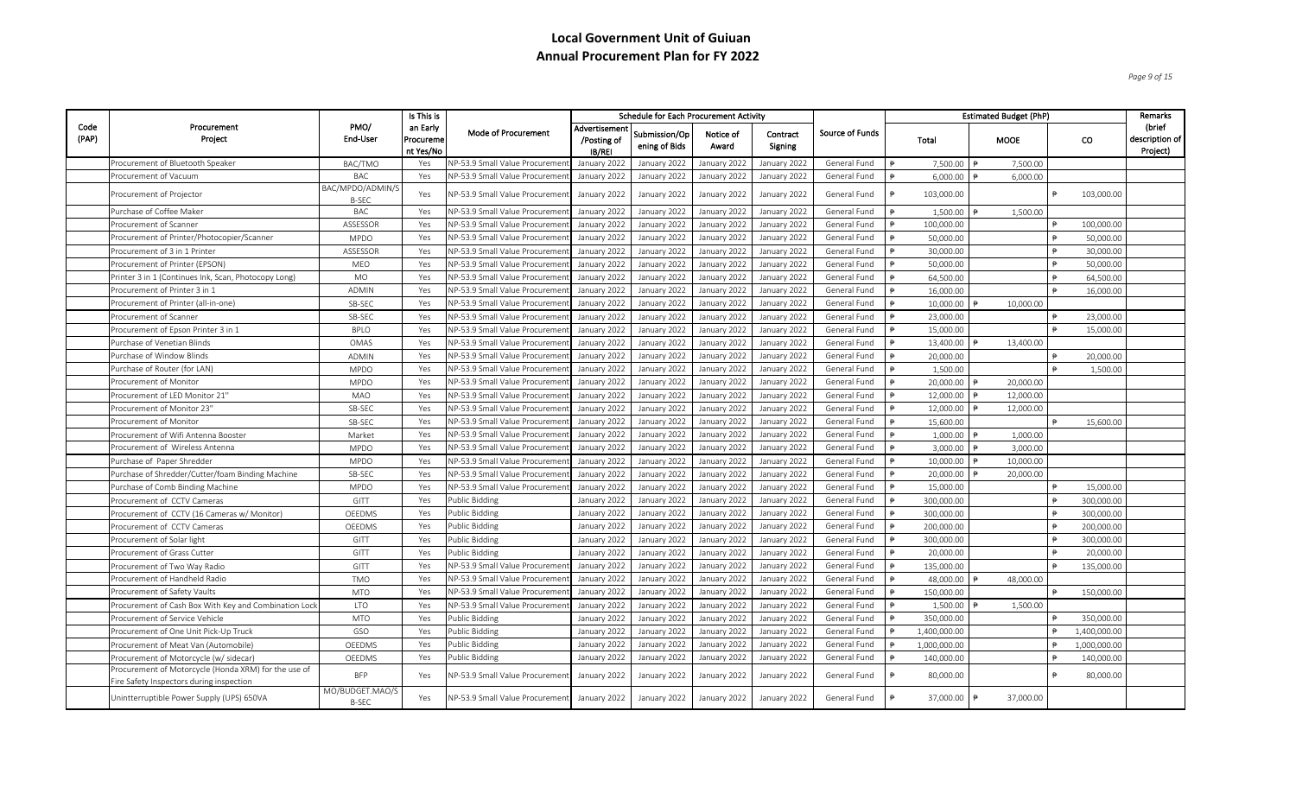*Page 9 of 15*

|               |                                                                                                  |                                  | Is This is                         |                                       |                                              | <b>Schedule for Each Procurement Activity</b> |                    |                     |                 |            |              | <b>Estimated Budget (PhP)</b> |                 |              | Remarks                                |
|---------------|--------------------------------------------------------------------------------------------------|----------------------------------|------------------------------------|---------------------------------------|----------------------------------------------|-----------------------------------------------|--------------------|---------------------|-----------------|------------|--------------|-------------------------------|-----------------|--------------|----------------------------------------|
| Code<br>(PAP) | Procurement<br>Project                                                                           | PMO/<br>End-User                 | an Early<br>Procureme<br>nt Yes/No | Mode of Procurement                   | Advertisemen<br>/Posting of<br><b>IB/REI</b> | Submission/Op<br>ening of Bids                | Notice of<br>Award | Contract<br>Signing | Source of Funds |            | Total        | <b>MOOE</b>                   |                 | <b>CO</b>    | (brief<br>description of  <br>Project) |
|               | Procurement of Bluetooth Speaker                                                                 | BAC/TMO                          | Yes                                | VP-53.9 Small Value Procureme         | January 2022                                 | January 2022                                  | January 2022       | January 2022        | General Fund    |            | 7,500.00     | 7,500.00                      |                 |              |                                        |
|               | Procurement of Vacuum                                                                            | BAC                              | Yes                                | VP-53.9 Small Value Procureme         | January 2022                                 | January 2022                                  | January 2022       | January 2022        | General Fund    |            | 6,000.00     | 6,000.00                      |                 |              |                                        |
|               | Procurement of Projector                                                                         | BAC/MPDO/ADMIN/S<br><b>B-SEC</b> | Yes                                | NP-53.9 Small Value Procuremer        | January 2022                                 | January 2022                                  | January 2022       | January 2022        | General Fund    |            | 103,000.00   |                               |                 | 103,000.00   |                                        |
|               | Purchase of Coffee Maker                                                                         | <b>BAC</b>                       | Yes                                | VP-53.9 Small Value Procureme         | January 2022                                 | January 2022                                  | January 2022       | January 2022        | General Fund    |            | 1,500.00     | 1,500.00                      |                 |              |                                        |
|               | Procurement of Scanner                                                                           | ASSESSOR                         | Yes                                | <b>NP-53.9 Small Value Procureme</b>  | January 2022                                 | January 2022                                  | January 2022       | January 2022        | General Fund    |            | 100,000.00   |                               |                 | 100,000.00   |                                        |
|               | Procurement of Printer/Photocopier/Scanner                                                       | <b>MPDO</b>                      | Yes                                | VP-53.9 Small Value Procuremer        | January 2022                                 | January 2022                                  | January 2022       | January 2022        | General Fund    |            | 50,000.00    |                               | ₿               | 50,000.00    |                                        |
|               | Procurement of 3 in 1 Printer                                                                    | ASSESSOR                         | Yes                                | <b>VP-53.9 Small Value Procureme</b>  | January 2022                                 | January 2022                                  | January 2022       | January 2022        | General Fund    |            | 30,000.00    |                               |                 | 30,000.00    |                                        |
|               | Procurement of Printer (EPSON)                                                                   | MEO                              | Yes                                | <b>VP-53.9 Small Value Procureme</b>  | January 2022                                 | January 2022                                  | January 2022       | January 2022        | General Fund    |            | 50,000.00    |                               | $\Rightarrow$   | 50,000.00    |                                        |
|               | Printer 3 in 1 (Continues Ink, Scan, Photocopy Long)                                             | <b>MO</b>                        | Yes                                | <b>NP-53.9 Small Value Procuremer</b> | January 2022                                 | January 2022                                  | January 2022       | January 2022        | General Fund    |            | 64,500.00    |                               |                 | 64,500.00    |                                        |
|               | Procurement of Printer 3 in 1                                                                    | <b>ADMIN</b>                     | Yes                                | <b>NP-53.9 Small Value Procuremer</b> | January 2022                                 | January 2022                                  | January 2022       | January 2022        | General Fund    |            | 16,000.00    |                               | $\Rightarrow$   | 16,000.00    |                                        |
|               | Procurement of Printer (all-in-one)                                                              | SB-SEC                           | Yes                                | <b>VP-53.9 Small Value Procureme</b>  | January 2022                                 | January 2022                                  | January 2022       | January 2022        | General Fund    |            | 10,000.00    | 10,000.00                     |                 |              |                                        |
|               | Procurement of Scanner                                                                           | SB-SEC                           | Yes                                | <b>VP-53.9 Small Value Procureme</b>  | January 2022                                 | January 2022                                  | January 2022       | January 2022        | General Fund    |            | 23,000.00    |                               |                 | 23,000.00    |                                        |
|               | Procurement of Epson Printer 3 in 1                                                              | <b>BPLO</b>                      | Yes                                | <b>VP-53.9 Small Value Procuremer</b> | January 2022                                 | January 2022                                  | January 2022       | January 2022        | General Fund    |            | 15,000.00    |                               |                 | 15,000.00    |                                        |
|               | Purchase of Venetian Blinds                                                                      | OMAS                             | Yes                                | <b>VP-53.9 Small Value Procuremer</b> | January 2022                                 | January 2022                                  | January 2022       | January 2022        | General Fund    | $\theta$   | 13,400.00    | 13,400.00                     |                 |              |                                        |
|               | Purchase of Window Blinds                                                                        | <b>ADMIN</b>                     | Yes                                | <b>VP-53.9 Small Value Procuremer</b> | January 2022                                 | January 2022                                  | January 2022       | January 2022        | General Fund    |            | 20,000.00    |                               |                 | 20,000.00    |                                        |
|               | Purchase of Router (for LAN)                                                                     | <b>MPDO</b>                      | Yes                                | <b>VP-53.9 Small Value Procureme</b>  | January 2022                                 | January 2022                                  | January 2022       | January 2022        | General Fund    |            | 1,500.00     |                               |                 | 1,500.00     |                                        |
|               | Procurement of Monitor                                                                           | <b>MPDO</b>                      | Yes                                | NP-53.9 Small Value Procuremer        | January 2022                                 | January 2022                                  | January 2022       | January 2022        | General Fund    |            | 20,000.00    | 20,000.00                     |                 |              |                                        |
|               | Procurement of LED Monitor 21"                                                                   | MAO                              | Yes                                | NP-53.9 Small Value Procureme         | January 2022                                 | January 2022                                  | January 2022       | January 2022        | General Fund    | $\theta$   | 12,000.00    | 12,000.00                     |                 |              |                                        |
|               | Procurement of Monitor 23"                                                                       | SB-SEC                           | Yes                                | VP-53.9 Small Value Procureme         | January 2022                                 | January 2022                                  | January 2022       | January 2022        | General Fund    |            | 12,000.00    | 12,000.00                     |                 |              |                                        |
|               | Procurement of Monitor                                                                           | SB-SEC                           | Yes                                | VP-53.9 Small Value Procuremer        | January 2022                                 | January 2022                                  | January 2022       | January 2022        | General Fund    |            | 15,600.00    |                               |                 | 15,600.00    |                                        |
|               | Procurement of Wifi Antenna Booster                                                              | Market                           | Yes                                | <b>VP-53.9 Small Value Procuremer</b> | January 2022                                 | January 2022                                  | January 2022       | January 2022        | General Fund    |            | 1,000.00     | 1,000.00                      |                 |              |                                        |
|               | Procurement of Wireless Antenna                                                                  | <b>MPDO</b>                      | Yes                                | VP-53.9 Small Value Procureme         | January 2022                                 | January 2022                                  | January 2022       | January 2022        | General Fund    |            | 3,000.00     | 3,000.00                      |                 |              |                                        |
|               | Purchase of Paper Shredder                                                                       | <b>MPDO</b>                      | Yes                                | NP-53.9 Small Value Procureme         | January 2022                                 | January 2022                                  | January 2022       | January 2022        | General Fund    |            | 10,000.00    | 10,000.00                     |                 |              |                                        |
|               | Purchase of Shredder/Cutter/foam Binding Machine                                                 | SB-SEC                           | Yes                                | <b>NP-53.9 Small Value Procuremer</b> | January 2022                                 | January 2022                                  | January 2022       | January 2022        | General Fund    |            | 20,000.00    | 20,000.00                     |                 |              |                                        |
|               | Purchase of Comb Binding Machine                                                                 | <b>MPDO</b>                      | Yes                                | NP-53.9 Small Value Procuremen        | January 2022                                 | January 2022                                  | January 2022       | January 2022        | General Fund    | ₿          | 15,000.00    |                               | ₿               | 15,000.00    |                                        |
|               | Procurement of CCTV Cameras                                                                      | GITT                             | Yes                                | Public Bidding                        | January 2022                                 | January 2022                                  | January 2022       | January 2022        | General Fund    |            | 300,000.00   |                               |                 | 300,000.00   |                                        |
|               | Procurement of CCTV (16 Cameras w/ Monitor)                                                      | OEEDMS                           | Yes                                | Public Bidding                        | January 2022                                 | January 2022                                  | January 2022       | January 2022        | General Fund    |            | 300,000.00   |                               |                 | 300,000.00   |                                        |
|               | Procurement of CCTV Cameras                                                                      | OEEDMS                           | Yes                                | Public Bidding                        | January 2022                                 | January 2022                                  | January 2022       | January 2022        | General Fund    |            | 200,000.00   |                               | ₿               | 200,000.00   |                                        |
|               | Procurement of Solar light                                                                       | GITT                             | Yes                                | Public Bidding                        | January 2022                                 | January 2022                                  | January 2022       | January 2022        | General Fund    |            | 300,000.00   |                               |                 | 300,000.00   |                                        |
|               | Procurement of Grass Cutter                                                                      | GITT                             | Yes                                | Public Bidding                        | January 2022                                 | January 2022                                  | January 2022       | January 2022        | General Fund    | $\ddot{a}$ | 20,000.00    |                               | $\Rightarrow$   | 20,000.00    |                                        |
|               | Procurement of Two Way Radio                                                                     | GITT                             | Yes                                | <b>NP-53.9 Small Value Procuremer</b> | January 2022                                 | January 2022                                  | January 2022       | January 2022        | General Fund    |            | 135,000.00   |                               |                 | 135,000.00   |                                        |
|               | Procurement of Handheld Radio                                                                    | <b>TMO</b>                       | Yes                                | NP-53.9 Small Value Procuremer        | January 2022                                 | January 2022                                  | January 2022       | January 2022        | General Fund    |            | 48,000.00    | 48.000.00                     |                 |              |                                        |
|               | Procurement of Safety Vaults                                                                     | <b>MTO</b>                       | Yes                                | VP-53.9 Small Value Procureme         | January 2022                                 | January 2022                                  | January 2022       | January 2022        | General Fund    | $\ddot{P}$ | 150,000.00   |                               |                 | 150,000.00   |                                        |
|               | Procurement of Cash Box With Key and Combination Lock                                            | <b>LTO</b>                       | Yes                                | NP-53.9 Small Value Procuremer        | January 2022                                 | January 2022                                  | January 2022       | January 2022        | General Fund    |            | 1.500.00     | 1.500.00                      |                 |              |                                        |
|               | Procurement of Service Vehicle                                                                   | <b>MTO</b>                       | Yes                                | Public Bidding                        | January 2022                                 | January 2022                                  | January 2022       | January 2022        | General Fund    |            | 350,000.00   |                               |                 | 350,000.00   |                                        |
|               | Procurement of One Unit Pick-Up Truck                                                            | GSO                              | Yes                                | Public Bidding                        | January 2022                                 | January 2022                                  | January 2022       | January 2022        | General Fund    |            | 1,400,000.00 |                               |                 | 1,400,000.00 |                                        |
|               | Procurement of Meat Van (Automobile)                                                             | OEEDMS                           | Yes                                | Public Bidding                        | January 2022                                 | January 2022                                  | January 2022       | January 2022        | General Fund    |            | 1,000,000.00 |                               |                 | 1,000,000.00 |                                        |
|               | Procurement of Motorcycle (w/ sidecar)                                                           | OEEDMS                           | Yes                                | Public Bidding                        | January 2022                                 | January 2022                                  | January 2022       | January 2022        | General Fund    |            | 140,000.00   |                               |                 | 140,000.00   |                                        |
|               | Procurement of Motorcycle (Honda XRM) for the use of<br>Fire Safety Inspectors during inspection | <b>BFP</b>                       | Yes                                | NP-53.9 Small Value Procuremer        | January 2022                                 | January 2022                                  | January 2022       | January 2022        | General Fund    |            | 80,000.00    |                               | $\ddot{\theta}$ | 80,000.00    |                                        |
|               | Unintterruptible Power Supply (UPS) 650VA                                                        | MO/BUDGET.MAO/S<br><b>B-SEC</b>  | Yes                                | NP-53.9 Small Value Procurement       | January 2022                                 | January 2022                                  | January 2022       | January 2022        | General Fund    |            | 37,000.00    | 37,000.00                     |                 |              |                                        |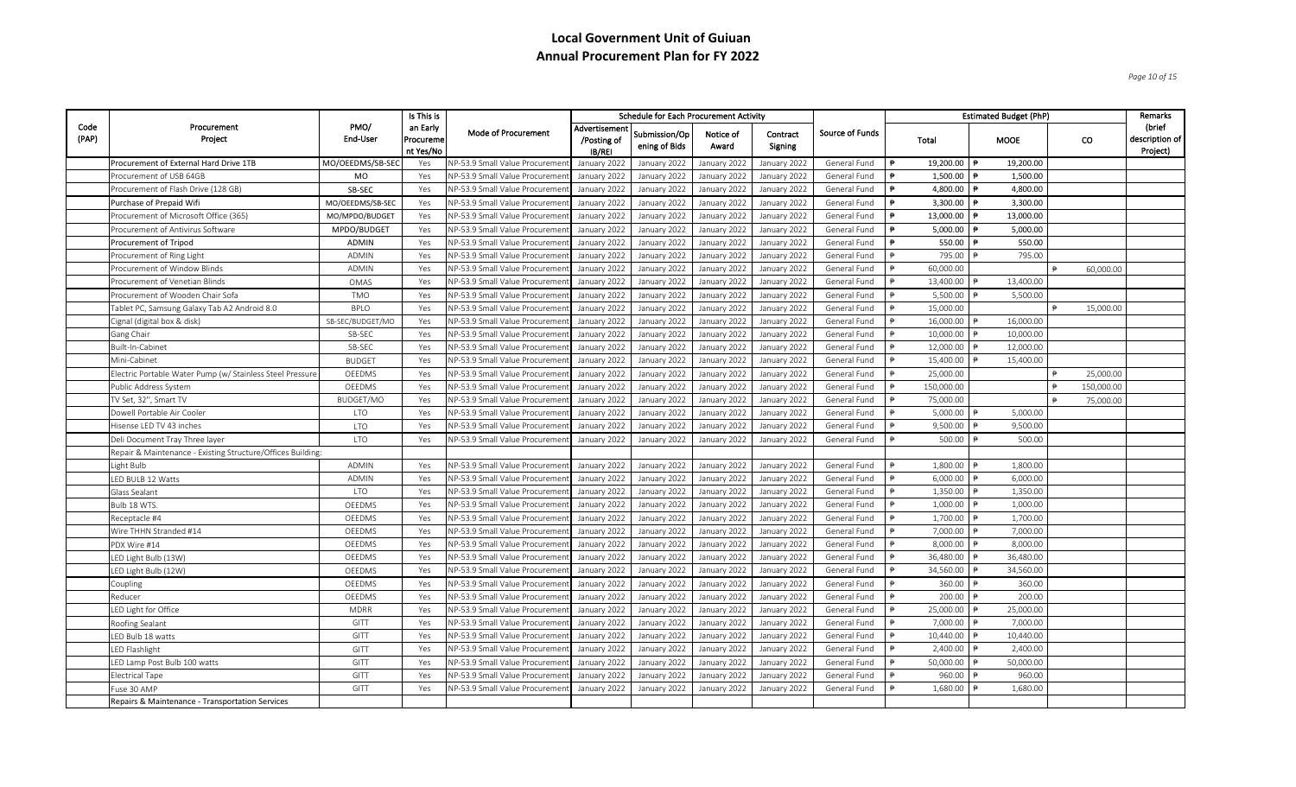*Page 10 of 15*

|               |                                                            |                  | Is This is                         |                                      |                                        | <b>Schedule for Each Procurement Activity</b> |                    |                     |                 |                           | <b>Estimated Budget (PhP)</b> |            |            | Remarks                                |
|---------------|------------------------------------------------------------|------------------|------------------------------------|--------------------------------------|----------------------------------------|-----------------------------------------------|--------------------|---------------------|-----------------|---------------------------|-------------------------------|------------|------------|----------------------------------------|
| Code<br>(PAP) | Procurement<br>Project                                     | PMO/<br>End-User | an Early<br>Procureme<br>nt Yes/No | Mode of Procurement                  | Advertisement<br>/Posting of<br>IB/REI | Submission/Op<br>ening of Bids                | Notice of<br>Award | Contract<br>Signing | Source of Funds | Total                     | <b>MOOE</b>                   |            | CO.        | (brief<br>description of  <br>Project) |
|               | Procurement of External Hard Drive 1TB                     | MO/OEEDMS/SB-SEC | Yes                                | NP-53.9 Small Value Procureme        | January 2022                           | January 2022                                  | January 2022       | January 2022        | General Fund    | 19,200.00 ₱<br>$\ddot{p}$ | 19,200.00                     |            |            |                                        |
|               | Procurement of USB 64GB                                    | <b>MO</b>        | Yes                                | VP-53.9 Small Value Procureme        | January 2022                           | January 2022                                  | January 2022       | January 2022        | General Fund    | 1,500.00                  | 1,500.00                      |            |            |                                        |
|               | Procurement of Flash Drive (128 GB)                        | SB-SEC           | Yes                                | NP-53.9 Small Value Procureme        | January 2022                           | January 2022                                  | January 2022       | January 2022        | General Fund    | 4,800.00                  | 4,800.00                      |            |            |                                        |
|               | Purchase of Prepaid Wifi                                   | MO/OEEDMS/SB-SEC | Yes                                | NP-53.9 Small Value Procureme        | January 2022                           | January 2022                                  | January 2022       | January 2022        | General Fund    | 3,300.00                  | 3,300.00                      |            |            |                                        |
|               | Procurement of Microsoft Office (365)                      | MO/MPDO/BUDGET   | Yes                                | NP-53.9 Small Value Procureme        | January 2022                           | January 2022                                  | January 2022       | January 2022        | General Fund    | 13,000.00                 | 13,000.00                     |            |            |                                        |
|               | Procurement of Antivirus Software                          | MPDO/BUDGET      | Yes                                | NP-53.9 Small Value Procuremer       | January 2022                           | January 2022                                  | January 2022       | January 2022        | General Fund    | 5,000.00                  | 5,000.00                      |            |            |                                        |
|               | Procurement of Tripod                                      | ADMIN            | Yes                                | NP-53.9 Small Value Procureme        | January 2022                           | January 2022                                  | January 2022       | January 2022        | General Fund    | 550.00                    | 550.00                        |            |            |                                        |
|               | Procurement of Ring Light                                  | <b>ADMIN</b>     | Yes                                | NP-53.9 Small Value Procureme        | January 2022                           | January 2022                                  | January 2022       | January 2022        | General Fund    | 795.00                    | 795.00                        |            |            |                                        |
|               | Procurement of Window Blinds                               | <b>ADMIN</b>     | Yes                                | NP-53.9 Small Value Procureme        | January 2022                           | January 2022                                  | January 2022       | January 2022        | General Fund    | 60,000.00                 |                               |            | 60,000.00  |                                        |
|               | Procurement of Venetian Blinds                             | OMAS             | Yes                                | NP-53.9 Small Value Procuremer       | January 2022                           | January 2022                                  | January 2022       | January 2022        | General Fund    | 13,400.00                 | 13,400.00                     |            |            |                                        |
|               | Procurement of Wooden Chair Sofa                           | TMO              | Yes                                | NP-53.9 Small Value Procureme        | January 2022                           | January 2022                                  | January 2022       | January 2022        | General Fund    | 5,500.00                  | 5,500.00                      |            |            |                                        |
|               | Tablet PC, Samsung Galaxy Tab A2 Android 8.0               | <b>BPLO</b>      | Yes                                | NP-53.9 Small Value Procureme        | January 2022                           | January 2022                                  | January 2022       | January 2022        | General Fund    | 15,000.00                 |                               |            | 15,000.00  |                                        |
|               | Cignal (digital box & disk)                                | SB-SEC/BUDGET/MO | Yes                                | <b>NP-53.9 Small Value Procureme</b> | January 2022                           | January 2022                                  | January 2022       | January 2022        | General Fund    | 16,000.00                 | 16,000.00                     |            |            |                                        |
|               | Gang Chair                                                 | SB-SEC           | Yes                                | NP-53.9 Small Value Procureme        | January 2022                           | January 2022                                  | January 2022       | January 2022        | General Fund    | 10,000.00                 | 10,000.00                     |            |            |                                        |
|               | Built-In-Cabinet                                           | SB-SEC           | Yes                                | NP-53.9 Small Value Procureme        | January 2022                           | January 2022                                  | January 2022       | January 2022        | General Fund    | 12,000.00                 | 12,000.00                     |            |            |                                        |
|               | Mini-Cabinet                                               | <b>BUDGET</b>    | Yes                                | NP-53.9 Small Value Procureme        | January 2022                           | January 2022                                  | January 2022       | January 2022        | General Fund    | 15,400.00                 | 15,400.00                     |            |            |                                        |
|               | Electric Portable Water Pump (w/ Stainless Steel Pressure  | OEEDMS           | Yes                                | <b>VP-53.9 Small Value Procureme</b> | January 2022                           | January 2022                                  | January 2022       | January 2022        | General Fund    | 25,000.00                 |                               |            | 25,000.00  |                                        |
|               | Public Address System                                      | <b>OEEDMS</b>    | Yes                                | NP-53.9 Small Value Procureme        | January 2022                           | January 2022                                  | January 2022       | January 2022        | General Fund    | 150,000.00                |                               | ₿          | 150,000,00 |                                        |
|               | TV Set, 32", Smart TV                                      | BUDGET/MO        | Yes                                | NP-53.9 Small Value Procureme        | January 2022                           | January 2022                                  | January 2022       | January 2022        | General Fund    | 75,000.00                 |                               | $\ddot{=}$ | 75,000.00  |                                        |
|               | Dowell Portable Air Cooler                                 | <b>LTO</b>       | Yes                                | NP-53.9 Small Value Procureme        | January 2022                           | January 2022                                  | January 2022       | January 2022        | General Fund    | 5,000.00                  | 5,000.00                      |            |            |                                        |
|               | Hisense LED TV 43 inches                                   | <b>LTO</b>       | Yes                                | VP-53.9 Small Value Procureme        | January 2022                           | January 2022                                  | January 2022       | January 2022        | General Fund    | 9,500.00                  | 9,500.00                      |            |            |                                        |
|               | Deli Document Tray Three layer                             | <b>LTO</b>       | Yes                                | VP-53.9 Small Value Procuremer       | January 2022                           | January 2022                                  | January 2022       | January 2022        | General Fund    | 500.00                    | 500.00                        |            |            |                                        |
|               | Repair & Maintenance - Existing Structure/Offices Building |                  |                                    |                                      |                                        |                                               |                    |                     |                 |                           |                               |            |            |                                        |
|               | Light Bulb                                                 | <b>ADMIN</b>     | Yes                                | VP-53.9 Small Value Procureme        | January 2022                           | January 2022                                  | January 2022       | January 2022        | General Fund    | 1,800.00                  | 1,800.00                      |            |            |                                        |
|               | LED BULB 12 Watts                                          | ADMIN            | Yes                                | NP-53.9 Small Value Procuremer       | January 2022                           | January 2022                                  | January 2022       | January 2022        | General Fund    | 6,000.00                  | 6,000.00                      |            |            |                                        |
|               | Glass Sealant                                              | <b>LTO</b>       | Yes                                | NP-53.9 Small Value Procureme        | January 2022                           | January 2022                                  | January 2022       | January 2022        | General Fund    | 1,350.00                  | 1,350.00                      |            |            |                                        |
|               | Bulb 18 WTS.                                               | OEEDMS           | Yes                                | NP-53.9 Small Value Procureme        | January 2022                           | January 2022                                  | January 2022       | January 2022        | General Fund    | 1,000.00                  | 1,000.00                      |            |            |                                        |
|               | Receptacle #4                                              | OEEDMS           | Yes                                | <b>VP-53.9 Small Value Procureme</b> | January 2022                           | January 2022                                  | January 2022       | January 2022        | General Fund    | 1,700.00                  | 1,700.00                      |            |            |                                        |
|               | Wire THHN Stranded #14                                     | OEEDMS           | Yes                                | <b>VP-53.9 Small Value Procureme</b> | January 2022                           | January 2022                                  | January 2022       | January 2022        | General Fund    | 7,000.00                  | 7,000.00                      |            |            |                                        |
|               | PDX Wire #14                                               | OEEDMS           | Yes                                | NP-53.9 Small Value Procureme        | January 2022                           | January 2022                                  | January 2022       | January 2022        | General Fund    | 8,000.00                  | 8,000.00                      |            |            |                                        |
|               | LED Light Bulb (13W)                                       | OEEDMS           | Yes                                | NP-53.9 Small Value Procureme        | January 2022                           | January 2022                                  | January 2022       | January 2022        | General Fund    | 36,480.00                 | 36,480.00                     |            |            |                                        |
|               | LED Light Bulb (12W)                                       | OEEDMS           | Yes                                | VP-53.9 Small Value Procureme        | January 2022                           | January 2022                                  | January 2022       | January 2022        | General Fund    | 34,560.00                 | 34,560.00                     |            |            |                                        |
|               | Coupling                                                   | OEEDMS           | Yes                                | NP-53.9 Small Value Procureme        | January 2022                           | January 2022                                  | January 2022       | January 2022        | General Fund    | 360.00                    | 360.00                        |            |            |                                        |
|               | Reducer                                                    | OEEDMS           | Yes                                | VP-53.9 Small Value Procureme        | January 2022                           | January 2022                                  | January 2022       | January 2022        | General Fund    | 200.00                    | 200.00                        |            |            |                                        |
|               | LED Light for Office                                       | <b>MDRR</b>      | Yes                                | <b>NP-53.9 Small Value Procureme</b> | January 2022                           | January 2022                                  | January 2022       | January 2022        | General Fund    | 25,000.00                 | 25,000.00                     |            |            |                                        |
|               | Roofing Sealant                                            | GITT             | Yes                                | <b>NP-53.9 Small Value Procureme</b> | January 2022                           | January 2022                                  | January 2022       | January 2022        | General Fund    | 7,000.00                  | 7,000.00                      |            |            |                                        |
|               | LED Bulb 18 watts                                          | GITT             | Yes                                | NP-53.9 Small Value Procureme        | January 2022                           | January 2022                                  | January 2022       | January 2022        | General Fund    | 10,440.00                 | 10,440.00                     |            |            |                                        |
|               | LED Flashlight                                             | GITT             | Yes                                | NP-53.9 Small Value Procureme        | January 2022                           | January 2022                                  | January 2022       | January 2022        | General Fund    | 2,400.00                  | 2,400.00                      |            |            |                                        |
|               | LED Lamp Post Bulb 100 watts                               | GITT             | Yes                                | NP-53.9 Small Value Procureme        | January 2022                           | January 2022                                  | January 2022       | January 2022        | General Fund    | 50,000.00                 | 50,000.00                     |            |            |                                        |
|               | <b>Electrical Tape</b>                                     | GITT             | Yes                                | NP-53.9 Small Value Procuremer       | January 2022                           | January 2022                                  | January 2022       | January 2022        | General Fund    | 960.00                    | 960.00                        |            |            |                                        |
|               | Fuse 30 AMP                                                | GITT             | Yes                                | VP-53.9 Small Value Procureme        | January 2022                           | January 2022                                  | January 2022       | January 2022        | General Fund    | 1,680.00                  | 1,680.00                      |            |            |                                        |
|               | Repairs & Maintenance - Transportation Services            |                  |                                    |                                      |                                        |                                               |                    |                     |                 |                           |                               |            |            |                                        |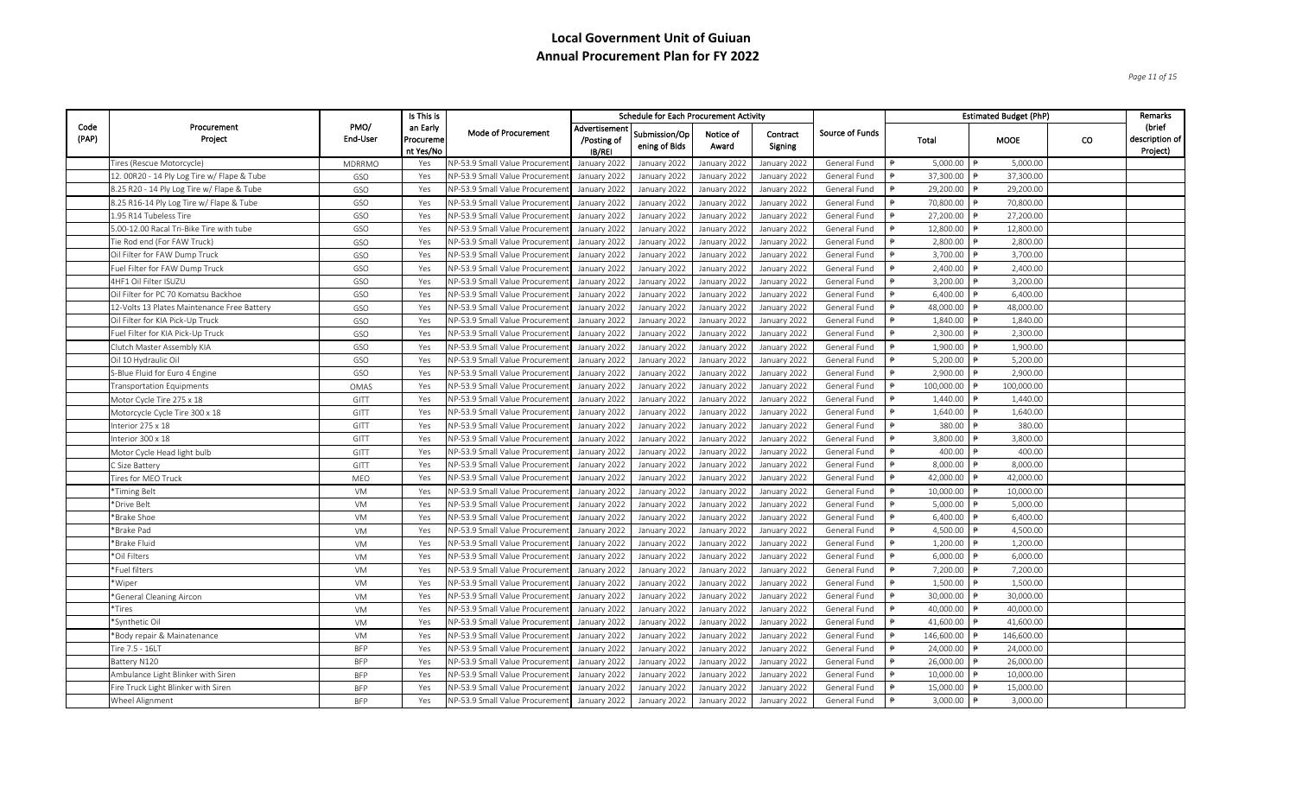*Page 11 of 15*

|               |                                             |                  | Is This is                         |                                       |                                              | <b>Schedule for Each Procurement Activity</b> |                    |                     |                        |               |            | <b>Estimated Budget (PhP)</b> |           | Remarks                                |
|---------------|---------------------------------------------|------------------|------------------------------------|---------------------------------------|----------------------------------------------|-----------------------------------------------|--------------------|---------------------|------------------------|---------------|------------|-------------------------------|-----------|----------------------------------------|
| Code<br>(PAP) | Procurement<br>Project                      | PMO/<br>End-User | an Early<br>Procureme<br>nt Yes/No | Mode of Procurement                   | Advertisemen<br>/Posting of<br><b>IB/REI</b> | Submission/Op<br>ening of Bids                | Notice of<br>Award | Contract<br>Signing | <b>Source of Funds</b> | Total         |            | <b>MOOE</b>                   | <b>CO</b> | (brief<br>description of  <br>Project) |
|               | Tires (Rescue Motorcycle)                   | MDRRMO           | Yes                                | NP-53.9 Small Value Procuremer        | January 2022                                 | January 2022                                  | January 2022       | January 2022        | General Fund           | $\theta$      | 5,000.00   | 5,000.00                      |           |                                        |
|               | 12. 00R20 - 14 Ply Log Tire w/ Flape & Tube | GSO              | Yes                                | NP-53.9 Small Value Procuremer        | January 2022                                 | January 2022                                  | January 2022       | January 2022        | General Fund           |               | 37,300.00  | 37,300.00                     |           |                                        |
|               | 8.25 R20 - 14 Ply Log Tire w/ Flape & Tube  | GSO              | Yes                                | NP-53.9 Small Value Procuremen        | January 2022                                 | January 2022                                  | January 2022       | January 2022        | General Fund           |               | 29,200.00  | 29,200.00                     |           |                                        |
|               | 8.25 R16-14 Ply Log Tire w/ Flape & Tube    | GSO              | Yes                                | NP-53.9 Small Value Procuremer        | January 2022                                 | January 2022                                  | January 2022       | January 2022        | General Fund           |               | 70,800.00  | 70,800.00                     |           |                                        |
|               | 1.95 R14 Tubeless Tire                      | GSO              | Yes                                | NP-53.9 Small Value Procuremer        | January 2022                                 | January 2022                                  | January 2022       | January 2022        | General Fund           |               | 27,200.00  | 27,200.00                     |           |                                        |
|               | 5.00-12.00 Racal Tri-Bike Tire with tube    | GSO              | Yes                                | NP-53.9 Small Value Procuremer        | January 2022                                 | January 2022                                  | January 2022       | January 2022        | General Fund           |               | 12,800.00  | 12,800.00                     |           |                                        |
|               | Tie Rod end (For FAW Truck)                 | GSO              | Yes                                | NP-53.9 Small Value Procuremer        | January 2022                                 | January 2022                                  | January 2022       | January 2022        | General Fund           |               | 2,800.00   | 2,800.00                      |           |                                        |
|               | Oil Filter for FAW Dump Truck               | GSO              | Yes                                | NP-53.9 Small Value Procuremer        | January 2022                                 | January 2022                                  | January 2022       | January 2022        | General Fund           |               | 3,700.00   | 3,700.00                      |           |                                        |
|               | Fuel Filter for FAW Dump Truck              | GSO              | Yes                                | NP-53.9 Small Value Procuremer        | January 2022                                 | January 2022                                  | January 2022       | January 2022        | General Fund           |               | 2,400.00   | 2,400.00                      |           |                                        |
|               | 4HF1 Oil Filter ISUZU                       | GSO              | Yes                                | NP-53.9 Small Value Procuremen        | January 2022                                 | January 2022                                  | January 2022       | January 2022        | General Fund           |               | 3,200.00   | 3,200.00                      |           |                                        |
|               | Oil Filter for PC 70 Komatsu Backhoe        | GSO              | Yes                                | NP-53.9 Small Value Procuremer        | January 2022                                 | January 2022                                  | January 2022       | January 2022        | General Fund           |               | 6,400.00   | 6,400.00                      |           |                                        |
|               | 12-Volts 13 Plates Maintenance Free Battery | GSO              | Yes                                | NP-53.9 Small Value Procuremer        | January 2022                                 | January 2022                                  | January 2022       | January 2022        | General Fund           |               | 48,000.00  | 48,000.00                     |           |                                        |
|               | Oil Filter for KIA Pick-Up Truck            | GSO              | Yes                                | NP-53.9 Small Value Procuremer        | January 2022                                 | January 2022                                  | January 2022       | January 2022        | General Fund           |               | 1,840.00   | 1,840.00                      |           |                                        |
|               | Fuel Filter for KIA Pick-Up Truck           | GSO              | Yes                                | NP-53.9 Small Value Procuremen        | January 2022                                 | January 2022                                  | January 2022       | January 2022        | General Fund           |               | 2,300.00   | 2,300.00                      |           |                                        |
|               | Clutch Master Assembly KIA                  | GSO              | Yes                                | NP-53.9 Small Value Procuremer        | January 2022                                 | January 2022                                  | January 2022       | January 2022        | General Fund           |               | 1,900.00   | 1,900.00                      |           |                                        |
|               | Oil 10 Hydraulic Oil                        | GSO              | Yes                                | NP-53.9 Small Value Procuremer        | January 2022                                 | January 2022                                  | January 2022       | January 2022        | General Fund           |               | 5,200.00   | 5,200.00                      |           |                                        |
|               | S-Blue Fluid for Euro 4 Engine              | GSO              | Yes                                | NP-53.9 Small Value Procuremen        | January 2022                                 | January 2022                                  | January 2022       | January 2022        | General Fund           |               | 2,900.00   | 2,900.00                      |           |                                        |
|               | <b>Transportation Equipments</b>            | OMAS             | Yes                                | NP-53.9 Small Value Procuremen        | January 2022                                 | January 2022                                  | January 2022       | January 2022        | General Fund           |               | 100,000.00 | 100,000.00                    |           |                                        |
|               | Motor Cycle Tire 275 x 18                   | GITT             | Yes                                | NP-53.9 Small Value Procuremer        | January 2022                                 | January 2022                                  | January 2022       | January 2022        | General Fund           |               | 1,440.00   | 1,440.00                      |           |                                        |
|               | Motorcycle Cycle Tire 300 x 18              | GITT             | Yes                                | NP-53.9 Small Value Procuremen        | January 2022                                 | January 2022                                  | January 2022       | January 2022        | General Fund           |               | 1,640.00   | 1,640.00                      |           |                                        |
|               | Interior 275 x 18                           | GITT             | Yes                                | NP-53.9 Small Value Procuremen        | January 2022                                 | January 2022                                  | January 2022       | January 2022        | General Fund           |               | 380.00     | 380.00                        |           |                                        |
|               | Interior 300 x 18                           | GITT             | Yes                                | NP-53.9 Small Value Procuremer        | January 2022                                 | January 2022                                  | January 2022       | January 2022        | General Fund           | ₿             | 3,800.00   | 3,800.00                      |           |                                        |
|               | Motor Cycle Head light bulb                 | GITT             | Yes                                | NP-53.9 Small Value Procuremer        | January 2022                                 | January 2022                                  | January 2022       | January 2022        | General Fund           |               | 400.00     | 400.00                        |           |                                        |
|               | C Size Battery                              | GITT             | Yes                                | NP-53.9 Small Value Procuremen        | January 2022                                 | January 2022                                  | January 2022       | January 2022        | General Fund           |               | 8,000.00   | 8,000.00                      |           |                                        |
|               | Tires for MEO Truck                         | MEO              | Yes                                | NP-53.9 Small Value Procuremen        | January 2022                                 | January 2022                                  | January 2022       | January 2022        | General Fund           | ₿             | 42,000.00  | 42,000.00                     |           |                                        |
|               | *Timing Belt                                | VM               | Yes                                | NP-53.9 Small Value Procuremer        | January 2022                                 | January 2022                                  | January 2022       | January 2022        | General Fund           |               | 10,000.00  | 10,000.00                     |           |                                        |
|               | *Drive Belt                                 | VM               | Yes                                | NP-53.9 Small Value Procuremer        | January 2022                                 | January 2022                                  | January 2022       | January 2022        | General Fund           |               | 5,000.00   | 5,000.00                      |           |                                        |
|               | *Brake Shoe                                 | VM               | Yes                                | NP-53.9 Small Value Procuremer        | January 2022                                 | January 2022                                  | January 2022       | January 2022        | General Fund           |               | 6,400.00   | 6,400.00                      |           |                                        |
|               | *Brake Pad                                  | VM               | Yes                                | NP-53.9 Small Value Procuremer        | January 2022                                 | January 2022                                  | January 2022       | January 2022        | General Fund           |               | 4,500.00   | 4,500.00                      |           |                                        |
|               | *Brake Fluid                                | VM               | Yes                                | NP-53.9 Small Value Procuremer        | January 2022                                 | January 2022                                  | January 2022       | January 2022        | General Fund           | $\theta$      | 1,200.00   | 1,200.00                      |           |                                        |
|               | *Oil Filters                                | VM               | Yes                                | NP-53.9 Small Value Procuremen        | January 2022                                 | January 2022                                  | January 2022       | January 2022        | General Fund           |               | 6,000.00   | 6,000.00                      |           |                                        |
|               | *Fuel filters                               | VM               | Yes                                | NP-53.9 Small Value Procuremen        | January 2022                                 | January 2022                                  | January 2022       | January 2022        | General Fund           |               | 7,200.00   | 7,200.00                      |           |                                        |
|               | *Wiper                                      | VM               | Yes                                | NP-53.9 Small Value Procuremer        | January 2022                                 | January 2022                                  | January 2022       | January 2022        | General Fund           |               | 1,500.00   | 1,500.00                      |           |                                        |
|               | *General Cleaning Aircon                    | VM               | Yes                                | NP-53.9 Small Value Procuremer        | January 2022                                 | January 2022                                  | January 2022       | January 2022        | General Fund           |               | 30,000.00  | 30,000.00                     |           |                                        |
|               | *Tires                                      | VM               | Yes                                | NP-53.9 Small Value Procuremen        | January 2022                                 | January 2022                                  | January 2022       | January 2022        | General Fund           |               | 40,000.00  | 40,000.00                     |           |                                        |
|               | *Synthetic Oil                              | VM               | Yes                                | NP-53.9 Small Value Procuremer        | January 2022                                 | January 2022                                  | January 2022       | January 2022        | General Fund           | $\Rightarrow$ | 41,600.00  | 41,600.00                     |           |                                        |
|               | *Body repair & Mainatenance                 | VM               | Yes                                | NP-53.9 Small Value Procuremer        | January 2022                                 | January 2022                                  | January 2022       | January 2022        | General Fund           |               | 146,600.00 | 146,600.00                    |           |                                        |
|               | Tire 7.5 - 16LT                             | <b>BFP</b>       | Yes                                | <b>NP-53.9 Small Value Procuremen</b> | January 2022                                 | January 2022                                  | January 2022       | January 2022        | General Fund           |               | 24,000.00  | 24,000.00                     |           |                                        |
|               | Battery N120                                | <b>BFP</b>       | Yes                                | NP-53.9 Small Value Procuremer        | January 2022                                 | January 2022                                  | January 2022       | January 2022        | General Fund           | ₿             | 26,000.00  | 26,000.00                     |           |                                        |
|               | Ambulance Light Blinker with Siren          | <b>BFP</b>       | Yes                                | NP-53.9 Small Value Procuremer        | January 2022                                 | January 2022                                  | January 2022       | January 2022        | General Fund           |               | 10,000.00  | 10,000.00                     |           |                                        |
|               | Fire Truck Light Blinker with Siren         | <b>BFP</b>       | Yes                                | NP-53.9 Small Value Procuremer        | January 2022                                 | January 2022                                  | January 2022       | January 2022        | General Fund           |               | 15,000.00  | 15,000.00                     |           |                                        |
|               | Wheel Alignment                             | <b>BFP</b>       | Yes                                | NP-53.9 Small Value Procurement       | January 2022                                 | January 2022                                  | January 2022       | January 2022        | General Fund           |               | 3,000.00   | 3,000.00                      |           |                                        |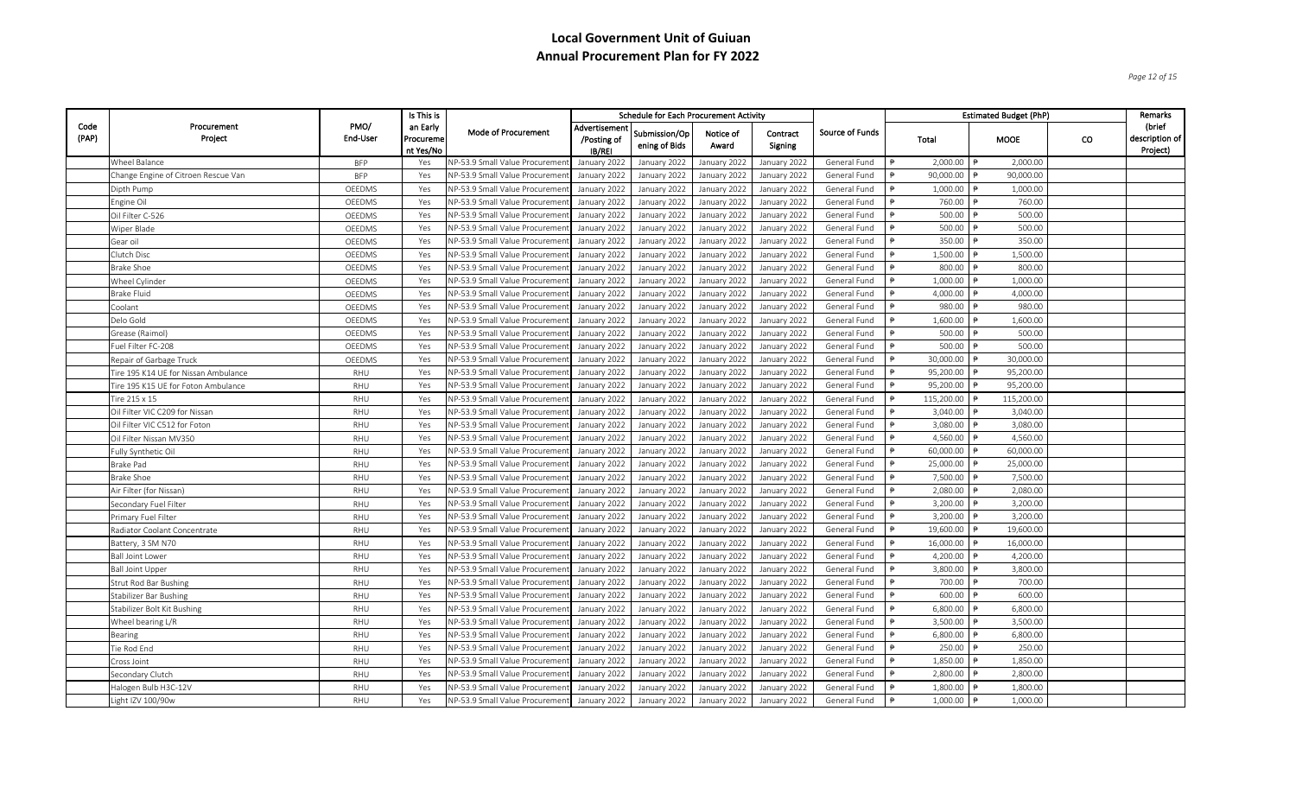*Page 12 of 15*

|               |                                      |                  | Is This is                         |                                        |                                              | <b>Schedule for Each Procurement Activity</b> |                    |                     |                 |                         |           | <b>Estimated Budget (PhP)</b> |     | <b>Remarks</b>                         |
|---------------|--------------------------------------|------------------|------------------------------------|----------------------------------------|----------------------------------------------|-----------------------------------------------|--------------------|---------------------|-----------------|-------------------------|-----------|-------------------------------|-----|----------------------------------------|
| Code<br>(PAP) | Procurement<br>Project               | PMO/<br>End-User | an Early<br>Procureme<br>nt Yes/No | Mode of Procurement                    | Advertisemen<br>/Posting of<br><b>IB/REI</b> | Submission/Op<br>ening of Bids                | Notice of<br>Award | Contract<br>Signing | Source of Funds | Total                   |           | <b>MOOE</b>                   | CO. | (brief<br>description of  <br>Project) |
|               | Wheel Balance                        | <b>BFP</b>       | Yes                                | NP-53.9 Small Value Procuremer         | January 2022                                 | January 2022                                  | January 2022       | January 2022        | General Fund    |                         | 2,000.00  | 2,000.00                      |     |                                        |
|               | Change Engine of Citroen Rescue Van  | <b>BFP</b>       | Yes                                | <b>NP-53.9 Small Value Procuremer</b>  | January 2022                                 | January 2022                                  | January 2022       | January 2022        | General Fund    | 90,000.00               |           | 90,000.00                     |     |                                        |
|               | Dipth Pump                           | OEEDMS           | Yes                                | VP-53.9 Small Value Procuremen         | January 2022                                 | January 2022                                  | January 2022       | January 2022        | General Fund    |                         | 1,000.00  | 1,000.00                      |     |                                        |
|               | Engine Oil                           | OEEDMS           | Yes                                | NP-53.9 Small Value Procuremer         | January 2022                                 | January 2022                                  | January 2022       | January 2022        | General Fund    |                         | 760.00    | 760.00                        |     |                                        |
|               | Oil Filter C-526                     | OEEDMS           | Yes                                | NP-53.9 Small Value Procuremer         | January 2022                                 | January 2022                                  | January 2022       | January 2022        | General Fund    |                         | 500.00    | 500.00                        |     |                                        |
|               | Wiper Blade                          | OEEDMS           | Yes                                | <b>VP-53.9 Small Value Procurement</b> | January 2022                                 | January 2022                                  | January 2022       | January 2022        | General Fund    |                         | 500.00    | 500.00                        |     |                                        |
|               | Gear oil                             | OEEDMS           | Yes                                | NP-53.9 Small Value Procuremen         | January 2022                                 | January 2022                                  | January 2022       | January 2022        | General Fund    |                         | 350.00    | 350.00                        |     |                                        |
|               | Clutch Disc                          | OEEDMS           | Yes                                | NP-53.9 Small Value Procuremer         | January 2022                                 | January 2022                                  | January 2022       | January 2022        | General Fund    |                         | 1,500.00  | 1,500.00                      |     |                                        |
|               | <b>Brake Shoe</b>                    | OEEDMS           | Yes                                | NP-53.9 Small Value Procuremer         | January 2022                                 | January 2022                                  | January 2022       | January 2022        | General Fund    |                         | 800.00    | 800.00                        |     |                                        |
|               | Wheel Cylinder                       | OEEDMS           | Yes                                | NP-53.9 Small Value Procuremen         | January 2022                                 | January 2022                                  | January 2022       | January 2022        | General Fund    |                         | 1,000.00  | 1,000.00                      |     |                                        |
|               | <b>Brake Fluid</b>                   | OEEDMS           | Yes                                | NP-53.9 Small Value Procuremen         | January 2022                                 | January 2022                                  | January 2022       | January 2022        | General Fund    | ₿                       | 4,000.00  | 4,000.00                      |     |                                        |
|               | Coolant                              | OEEDMS           | Yes                                | NP-53.9 Small Value Procuremen         | January 2022                                 | January 2022                                  | January 2022       | January 2022        | General Fund    |                         | 980.00    | 980.00                        |     |                                        |
|               | Delo Gold                            | OEEDMS           | Yes                                | NP-53.9 Small Value Procuremer         | January 2022                                 | January 2022                                  | January 2022       | January 2022        | General Fund    |                         | 1,600.00  | 1,600.00                      |     |                                        |
|               | Grease (Raimol)                      | OEEDMS           | Yes                                | NP-53.9 Small Value Procuremen         | January 2022                                 | January 2022                                  | January 2022       | January 2022        | General Fund    |                         | 500.00    | 500.00                        |     |                                        |
|               | Fuel Filter FC-208                   | OEEDMS           | Yes                                | NP-53.9 Small Value Procuremer         | January 2022                                 | January 2022                                  | January 2022       | January 2022        | General Fund    |                         | 500.00    | 500.00                        |     |                                        |
|               | Repair of Garbage Truck              | OEEDMS           | Yes                                | NP-53.9 Small Value Procuremer         | January 2022                                 | January 2022                                  | January 2022       | January 2022        | General Fund    | 30,000.00               |           | 30,000.00                     |     |                                        |
|               | Tire 195 K14 UE for Nissan Ambulance | RHU              | Yes                                | <b>NP-53.9 Small Value Procuremen</b>  | January 2022                                 | January 2022                                  | January 2022       | January 2022        | General Fund    |                         | 95,200.00 | 95,200.00                     |     |                                        |
|               | Tire 195 K15 UE for Foton Ambulance  | RHU              | Yes                                | NP-53.9 Small Value Procuremer         | January 2022                                 | January 2022                                  | January 2022       | January 2022        | General Fund    | 95,200.00               |           | 95,200.00                     |     |                                        |
|               | Tire 215 x 15                        | RHU              | Yes                                | NP-53.9 Small Value Procuremer         | January 2022                                 | January 2022                                  | January 2022       | January 2022        | General Fund    | 115,200.00<br>₿         |           | 115,200.00                    |     |                                        |
|               | Oil Filter VIC C209 for Nissan       | RHU              | Yes                                | NP-53.9 Small Value Procuremer         | January 2022                                 | January 2022                                  | January 2022       | January 2022        | General Fund    |                         | 3,040.00  | 3,040.00                      |     |                                        |
|               | Oil Filter VIC C512 for Foton        | RHU              | Yes                                | NP-53.9 Small Value Procuremer         | January 2022                                 | January 2022                                  | January 2022       | January 2022        | General Fund    |                         | 3,080.00  | 3,080.00                      |     |                                        |
|               | Oil Filter Nissan MV350              | RHU              | Yes                                | NP-53.9 Small Value Procuremer         | January 2022                                 | January 2022                                  | January 2022       | January 2022        | General Fund    | $\theta$                | 4,560.00  | 4,560.00                      |     |                                        |
|               | Fully Synthetic Oil                  | RHU              | Yes                                | NP-53.9 Small Value Procuremer         | January 2022                                 | January 2022                                  | January 2022       | January 2022        | General Fund    | 60,000.00               |           | 60,000.00                     |     |                                        |
|               | <b>Brake Pad</b>                     | RHU              | Yes                                | NP-53.9 Small Value Procuremer         | January 2022                                 | January 2022                                  | January 2022       | January 2022        | General Fund    | 25,000.00               |           | 25,000.00                     |     |                                        |
|               | <b>Brake Shoe</b>                    | RHU              | Yes                                | NP-53.9 Small Value Procuremer         | January 2022                                 | January 2022                                  | January 2022       | January 2022        | General Fund    | $\Rightarrow$           | 7,500.00  | 7,500.00                      |     |                                        |
|               | Air Filter (for Nissan)              | RHU              | Yes                                | NP-53.9 Small Value Procuremer         | January 2022                                 | January 2022                                  | January 2022       | January 2022        | General Fund    |                         | 2,080.00  | 2,080.00                      |     |                                        |
|               | Secondary Fuel Filter                | RHU              | Yes                                | NP-53.9 Small Value Procuremer         | January 2022                                 | January 2022                                  | January 2022       | January 2022        | General Fund    |                         | 3,200.00  | 3,200.00                      |     |                                        |
|               | Primary Fuel Filter                  | RHU              | Yes                                | <b>NP-53.9 Small Value Procuremen</b>  | January 2022                                 | January 2022                                  | January 2022       | January 2022        | General Fund    |                         | 3,200.00  | 3,200.00                      |     |                                        |
|               | Radiator Coolant Concentrate         | RHU              | Yes                                | NP-53.9 Small Value Procuremer         | January 2022                                 | January 2022                                  | January 2022       | January 2022        | General Fund    |                         | 19,600.00 | 19,600.00                     |     |                                        |
|               | Battery, 3 SM N70                    | RHU              | Yes                                | NP-53.9 Small Value Procuremer         | January 2022                                 | January 2022                                  | January 2022       | January 2022        | General Fund    | $\ddot{=}$<br>16,000.00 |           | 16,000.00                     |     |                                        |
|               | <b>Ball Joint Lower</b>              | RHU              | Yes                                | NP-53.9 Small Value Procuremer         | January 2022                                 | January 2022                                  | January 2022       | January 2022        | General Fund    |                         | 4,200.00  | 4,200.00                      |     |                                        |
|               | <b>Ball Joint Upper</b>              | RHU              | Yes                                | NP-53.9 Small Value Procuremer         | January 2022                                 | January 2022                                  | January 2022       | January 2022        | General Fund    |                         | 3,800.00  | 3,800.00                      |     |                                        |
|               | <b>Strut Rod Bar Bushing</b>         | RHU              | Yes                                | NP-53.9 Small Value Procuremer         | January 2022                                 | January 2022                                  | January 2022       | January 2022        | General Fund    |                         | 700.00    | 700.00                        |     |                                        |
|               | Stabilizer Bar Bushing               | RHU              | Yes                                | NP-53.9 Small Value Procuremer         | January 2022                                 | January 2022                                  | January 2022       | January 2022        | General Fund    |                         | 600.00    | 600.00                        |     |                                        |
|               | Stabilizer Bolt Kit Bushing          | RHU              | Yes                                | NP-53.9 Small Value Procuremen         | January 2022                                 | January 2022                                  | January 2022       | January 2022        | General Fund    |                         | 6,800.00  | 6,800.00                      |     |                                        |
|               | Wheel bearing L/R                    | RHU              | Yes                                | NP-53.9 Small Value Procuremen         | January 2022                                 | January 2022                                  | January 2022       | January 2022        | General Fund    |                         | 3,500.00  | 3,500.00                      |     |                                        |
|               | <b>Bearing</b>                       | RHU              | Yes                                | NP-53.9 Small Value Procuremer         | January 2022                                 | January 2022                                  | January 2022       | January 2022        | General Fund    |                         | 6,800.00  | 6,800.00                      |     |                                        |
|               | Tie Rod End                          | RHU              | Yes                                | NP-53.9 Small Value Procuremer         | January 2022                                 | January 2022                                  | January 2022       | January 2022        | General Fund    |                         | 250.00    | 250.00                        |     |                                        |
|               | Cross Joint                          | RHU              | Yes                                | NP-53.9 Small Value Procuremen         | January 2022                                 | January 2022                                  | January 2022       | January 2022        | General Fund    |                         | 1,850.00  | 1,850.00                      |     |                                        |
|               | Secondary Clutch                     | RHU              | Yes                                | NP-53.9 Small Value Procuremer         | January 2022                                 | January 2022                                  | January 2022       | January 2022        | General Fund    |                         | 2,800.00  | 2,800.00                      |     |                                        |
|               | Halogen Bulb H3C-12V                 | RHU              | Yes                                | NP-53.9 Small Value Procuremer         | January 2022                                 | January 2022                                  | January 2022       | January 2022        | General Fund    |                         | 1,800.00  | 1,800.00                      |     |                                        |
|               | Light IZV 100/90w                    | RHU              | Yes                                | NP-53.9 Small Value Procurement        | January 2022                                 | January 2022                                  | January 2022       | January 2022        | General Fund    |                         | 1.000.00  | 1.000.00                      |     |                                        |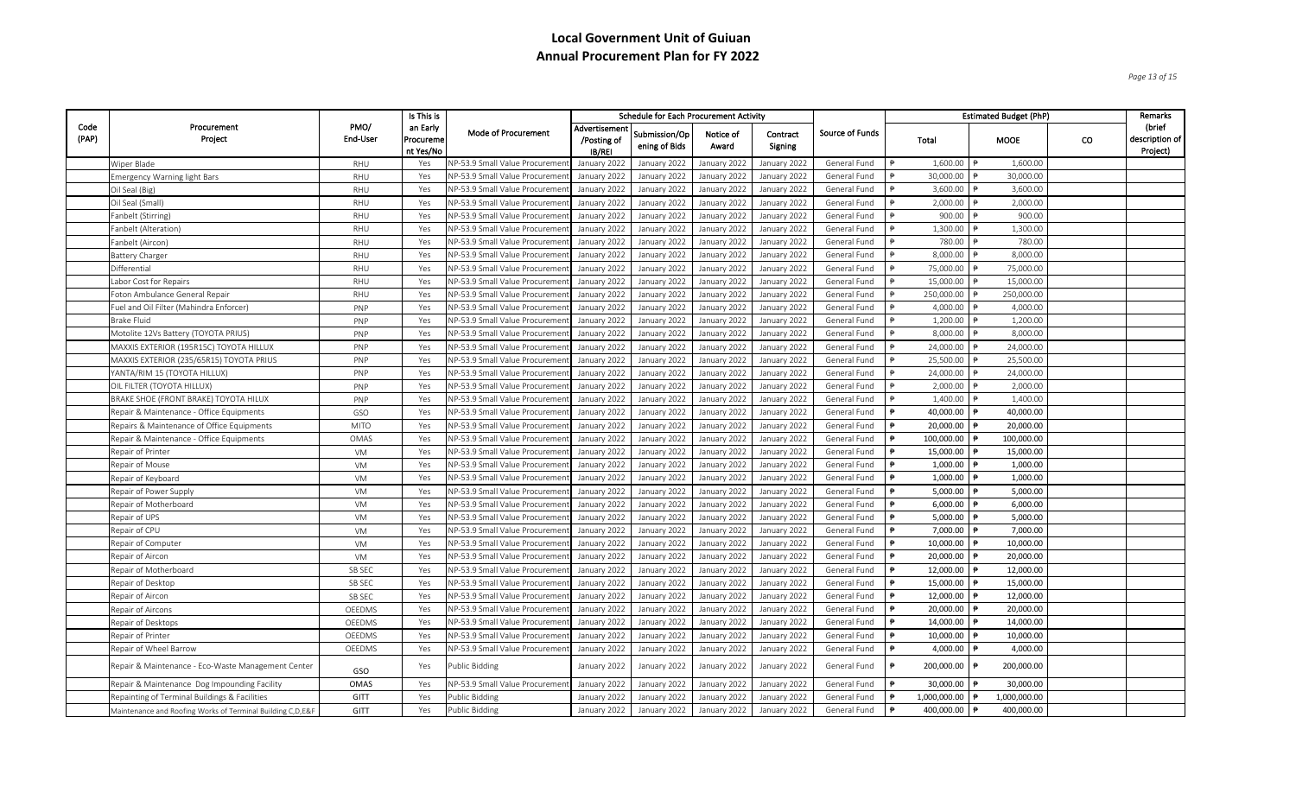*Page 13 of 15*

|               |                                                            |                  | Is This is                         |                                       | Schedule for Each Procurement Activity |                                |                    |                     | <b>Estimated Budget (PhP)</b> | Remarks                          |              |    |                                        |
|---------------|------------------------------------------------------------|------------------|------------------------------------|---------------------------------------|----------------------------------------|--------------------------------|--------------------|---------------------|-------------------------------|----------------------------------|--------------|----|----------------------------------------|
| Code<br>(PAP) | Procurement<br>Project                                     | PMO/<br>End-User | an Early<br>Procureme<br>nt Yes/No | Mode of Procurement                   | Advertisement<br>/Posting of<br>IB/REI | Submission/Op<br>ening of Bids | Notice of<br>Award | Contract<br>Signing | Source of Funds               | Total                            | <b>MOOE</b>  | co | (brief<br>description of  <br>Project) |
|               | Wiper Blade                                                | RHU              | Yes                                | <b>NP-53.9 Small Value Procureme</b>  | January 2022                           | January 2022                   | January 2022       | January 2022        | General Fund                  | 1,600.00<br>$\overrightarrow{P}$ | 1,600.00     |    |                                        |
|               | <b>Emergency Warning light Bars</b>                        | RHU              | Yes                                | <b>NP-53.9 Small Value Procureme</b>  | January 2022                           | January 2022                   | January 2022       | January 2022        | General Fund                  | 30,000.00                        | 30,000.00    |    |                                        |
|               | Oil Seal (Big)                                             | RHU              | Yes                                | VP-53.9 Small Value Procureme         | January 2022                           | January 2022                   | January 2022       | January 2022        | General Fund                  | 3,600.00                         | 3,600.00     |    |                                        |
|               | Oil Seal (Small)                                           | RHU              | Yes                                | VP-53.9 Small Value Procuremer        | January 2022                           | January 2022                   | January 2022       | January 2022        | General Fund                  | 2,000.00                         | 2,000.00     |    |                                        |
|               | Fanbelt (Stirring)                                         | RHU              | Yes                                | <b>NP-53.9 Small Value Procureme</b>  | January 2022                           | January 2022                   | January 2022       | January 2022        | General Fund                  | 900.00                           | 900.00       |    |                                        |
|               | Fanbelt (Alteration)                                       | RHU              | Yes                                | <b>NP-53.9 Small Value Procureme</b>  | January 2022                           | January 2022                   | January 2022       | January 2022        | General Fund                  | 1,300.00                         | 1,300.00     |    |                                        |
|               | Fanbelt (Aircon)                                           | RHU              | Yes                                | <b>NP-53.9 Small Value Procureme</b>  | January 2022                           | January 2022                   | January 2022       | January 2022        | General Fund                  | 780.00                           | 780.00       |    |                                        |
|               | <b>Battery Charger</b>                                     | RHU              | Yes                                | NP-53.9 Small Value Procureme         | January 2022                           | January 2022                   | January 2022       | January 2022        | General Fund                  | 8,000.00                         | 8,000.00     |    |                                        |
|               | Differential                                               | RHU              | Yes                                | <b>VP-53.9 Small Value Procureme</b>  | January 2022                           | January 2022                   | January 2022       | January 2022        | General Fund                  | 75,000.00                        | 75,000.00    |    |                                        |
|               | Labor Cost for Repairs                                     | RHU              | Yes                                | VP-53.9 Small Value Procureme         | January 2022                           | January 2022                   | January 2022       | January 2022        | General Fund                  | 15,000.00                        | 15,000.00    |    |                                        |
|               | Foton Ambulance General Repair                             | RHU              | Yes                                | <b>VP-53.9 Small Value Procureme</b>  | January 2022                           | January 2022                   | January 2022       | January 2022        | General Fund                  | 250,000.00                       | 250,000.00   |    |                                        |
|               | Fuel and Oil Filter (Mahindra Enforcer)                    | PNP              | Yes                                | NP-53.9 Small Value Procureme         | January 2022                           | January 2022                   | January 2022       | January 2022        | General Fund                  | 4.000.00                         | 4.000.00     |    |                                        |
|               | <b>Brake Fluid</b>                                         | PNP              | Yes                                | <b>NP-53.9 Small Value Procureme</b>  | January 2022                           | January 2022                   | January 2022       | January 2022        | General Fund                  | 1,200.00                         | 1,200.00     |    |                                        |
|               | Motolite 12Vs Battery (TOYOTA PRIUS)                       | PNP              | Yes                                | NP-53.9 Small Value Procureme         | January 2022                           | January 2022                   | January 2022       | January 2022        | General Fund                  | 8,000.00                         | 8,000.00     |    |                                        |
|               | MAXXIS EXTERIOR (195R15C) TOYOTA HILLUX                    | PNP              | Yes                                | <b>NP-53.9 Small Value Procureme</b>  | January 2022                           | January 2022                   | January 2022       | January 2022        | General Fund                  | 24,000.00                        | 24,000.00    |    |                                        |
|               | MAXXIS EXTERIOR (235/65R15) TOYOTA PRIUS                   | PNP              | Yes                                | NP-53.9 Small Value Procureme         | January 2022                           | January 2022                   | January 2022       | January 2022        | General Fund                  | 25,500.00                        | 25,500.00    |    |                                        |
|               | YANTA/RIM 15 (TOYOTA HILLUX)                               | PNP              | Yes                                | <b>VP-53.9 Small Value Procureme</b>  | January 2022                           | January 2022                   | January 2022       | January 2022        | General Fund                  | 24,000.00                        | 24,000.00    |    |                                        |
|               | OIL FILTER (TOYOTA HILLUX)                                 | PNP              | Yes                                | NP-53.9 Small Value Procureme         | January 2022                           | January 2022                   | January 2022       | January 2022        | General Fund                  | 2,000.00                         | 2,000.00     |    |                                        |
|               | BRAKE SHOE (FRONT BRAKE) TOYOTA HILUX                      | PNP              | Yes                                | <b>NP-53.9 Small Value Procureme</b>  | January 2022                           | January 2022                   | January 2022       | January 2022        | General Fund                  | 1,400.00                         | 1,400.00     |    |                                        |
|               | Repair & Maintenance - Office Equipments                   | GSO              | Yes                                | <b>NP-53.9 Small Value Procureme</b>  | January 2022                           | January 2022                   | January 2022       | January 2022        | General Fund                  | 40,000.00                        | 40,000.00    |    |                                        |
|               | Repairs & Maintenance of Office Equipments                 | <b>MITO</b>      | Yes                                | <b>NP-53.9 Small Value Procureme</b>  | January 2022                           | January 2022                   | January 2022       | January 2022        | General Fund                  | 20,000.00                        | 20,000.00    |    |                                        |
|               | Repair & Maintenance - Office Equipments                   | OMAS             | Yes                                | NP-53.9 Small Value Procureme         | January 2022                           | January 2022                   | January 2022       | January 2022        | General Fund                  | 100,000.00                       | 100,000.00   |    |                                        |
|               | Repair of Printer                                          | VM               | Yes                                | <b>NP-53.9 Small Value Procureme</b>  | January 2022                           | January 2022                   | January 2022       | January 2022        | General Fund                  | 15,000.00<br>$\ddot{ }$          | 15,000.00    |    |                                        |
|               | Repair of Mouse                                            | VM               | Yes                                | <b>NP-53.9 Small Value Procureme</b>  | January 2022                           | January 2022                   | January 2022       | January 2022        | General Fund                  | 1,000.00                         | 1,000.00     |    |                                        |
|               | Repair of Keyboard                                         | VM               | Yes                                | <b>NP-53.9 Small Value Procureme</b>  | January 2022                           | January 2022                   | January 2022       | January 2022        | General Fund                  | 1,000.00                         | 1,000.00     |    |                                        |
|               | Repair of Power Supply                                     | VM               | Yes                                | <b>JP-53.9 Small Value Procureme</b>  | January 2022                           | January 2022                   | January 2022       | January 2022        | General Fund                  | 5,000.00                         | 5,000.00     |    |                                        |
|               | Repair of Motherboard                                      | VM               | Yes                                | <b>NP-53.9 Small Value Procureme</b>  | January 2022                           | January 2022                   | January 2022       | January 2022        | General Fund                  | 6,000.00                         | 6,000.00     |    |                                        |
|               | Repair of UPS                                              | VM               | Yes                                | NP-53.9 Small Value Procureme         | January 2022                           | January 2022                   | January 2022       | January 2022        | General Fund                  | 5,000.00                         | 5,000.00     |    |                                        |
|               | Repair of CPU                                              | VM               | Yes                                | NP-53.9 Small Value Procureme         | January 2022                           | January 2022                   | January 2022       | January 2022        | General Fund                  | 7.000.00                         | 7.000.00     |    |                                        |
|               | Repair of Computer                                         | VM               | Yes                                | VP-53.9 Small Value Procureme         | January 2022                           | January 2022                   | January 2022       | January 2022        | General Fund                  | 10,000.00                        | 10,000.00    |    |                                        |
|               | Repair of Aircon                                           | VM               | Yes                                | NP-53.9 Small Value Procureme         | January 2022                           | January 2022                   | January 2022       | January 2022        | General Fund                  | 20,000.00                        | 20,000.00    |    |                                        |
|               | Repair of Motherboard                                      | SB SEC           | Yes                                | <b>NP-53.9 Small Value Procureme</b>  | January 2022                           | January 2022                   | January 2022       | January 2022        | General Fund                  | 12,000.00                        | 12,000.00    |    |                                        |
|               | Repair of Desktop                                          | SB SEC           | Yes                                | <b>NP-53.9 Small Value Procureme</b>  | January 2022                           | January 2022                   | January 2022       | January 2022        | General Fund                  | 15,000.00                        | 15,000.00    |    |                                        |
|               | Repair of Aircon                                           | SB SEC           | Yes                                | VP-53.9 Small Value Procureme         | January 2022                           | January 2022                   | January 2022       | January 2022        | General Fund                  | 12,000.00                        | 12,000.00    |    |                                        |
|               | Repair of Aircons                                          | OEEDMS           | Yes                                | <b>NP-53.9 Small Value Procureme</b>  | January 2022                           | January 2022                   | January 2022       | January 2022        | General Fund                  | 20,000.00                        | 20,000.00    |    |                                        |
|               | Repair of Desktops                                         | OEEDMS           | Yes                                | <b>VP-53.9 Small Value Procureme</b>  | January 2022                           | January 2022                   | January 2022       | January 2022        | General Fund                  | 14,000.00 ₱<br>$\ddot{p}$        | 14,000.00    |    |                                        |
|               | Repair of Printer                                          | OEEDMS           | Yes                                | <b>VP-53.9 Small Value Procureme</b>  | January 2022                           | January 2022                   | January 2022       | January 2022        | General Fund                  | 10,000.00<br>₿                   | 10,000.00    |    |                                        |
|               | Repair of Wheel Barrow                                     | OEEDMS           | Yes                                | VP-53.9 Small Value Procureme         | January 2022                           | January 2022                   | January 2022       | January 2022        | General Fund                  | 4,000.00                         | 4,000.00     |    |                                        |
|               | Repair & Maintenance - Eco-Waste Management Center         | GSO              | Yes                                | Public Bidding                        | January 2022                           | January 2022                   | January 2022       | January 2022        | General Fund                  | 200,000.00                       | 200,000.00   |    |                                        |
|               | Repair & Maintenance Dog Impounding Facility               | OMAS             | Yes                                | <b>VP-53.9 Small Value Procuremer</b> | January 2022                           | January 2022                   | January 2022       | January 2022        | General Fund                  | 30,000.00                        | 30,000.00    |    |                                        |
|               | Repainting of Terminal Buildings & Facilities              | GITT             | Yes                                | Public Bidding                        | January 2022                           | January 2022                   | January 2022       | January 2022        | General Fund                  | 1,000,000.00                     | 1,000,000.00 |    |                                        |
|               | Maintenance and Roofing Works of Terminal Building C,D,E&F | GITT             | Yes                                | Public Bidding                        | January 2022                           | January 2022                   | January 2022       | January 2022        | General Fund                  | 400,000.00                       | 400,000.00   |    |                                        |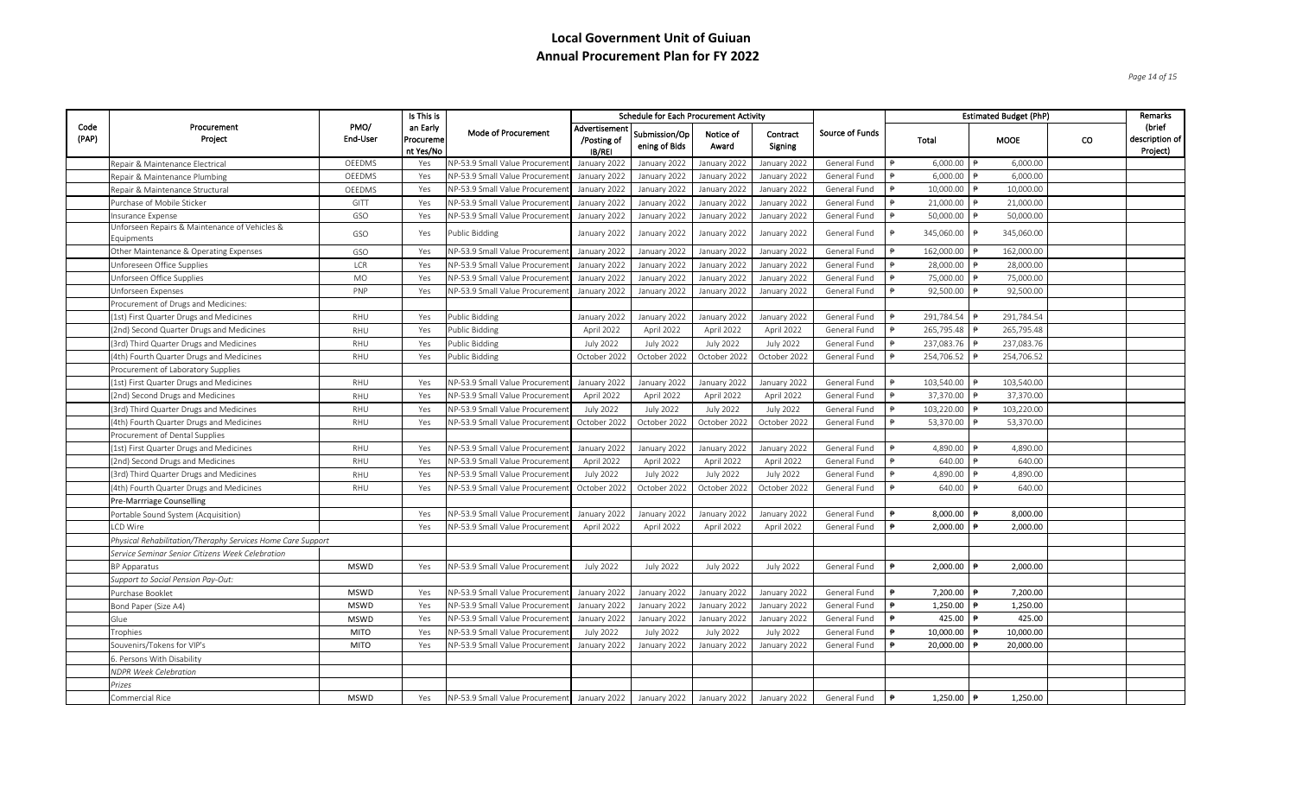*Page 14 of 15*

|               |                                                             | Is This is<br><b>Schedule for Each Procurement Activity</b> |                                           |                                                                                           |                                        |                                |                    | Remarks             |                 |               |                        |                          |               |                                      |
|---------------|-------------------------------------------------------------|-------------------------------------------------------------|-------------------------------------------|-------------------------------------------------------------------------------------------|----------------------------------------|--------------------------------|--------------------|---------------------|-----------------|---------------|------------------------|--------------------------|---------------|--------------------------------------|
| Code<br>(PAP) | Procurement<br>Project                                      | PMO/<br>End-User                                            | an Early<br><b>Procureme</b><br>nt Yes/No | Mode of Procurement                                                                       | Advertisement<br>/Posting of<br>IB/REI | Submission/Op<br>ening of Bids | Notice of<br>Award | Contract<br>Signing | Source of Funds |               | Total                  | MOOE                     | <sub>co</sub> | (brief<br>description of<br>Project) |
|               | Repair & Maintenance Electrical                             | OEEDMS                                                      | Yes                                       | NP-53.9 Small Value Procuremen                                                            | January 2022                           | January 2022                   | January 2022       | January 2022        | General Fund    |               | 6,000.00               | 6,000.00                 |               |                                      |
|               | Repair & Maintenance Plumbing                               | OEEDMS                                                      | Yes                                       | NP-53.9 Small Value Procuremer                                                            | January 2022                           | January 2022                   | January 2022       | January 2022        | General Fund    |               | 6,000.00               | 6,000.00                 |               |                                      |
|               | Repair & Maintenance Structural                             | OEEDMS                                                      | Yes                                       | NP-53.9 Small Value Procuremen                                                            | January 2022                           | January 2022                   | January 2022       | January 2022        | General Fund    | $\ddot{p}$    | 10,000.00              | 10,000.00                |               |                                      |
|               | Purchase of Mobile Sticker                                  | GITT                                                        | Yes                                       | NP-53.9 Small Value Procuremer                                                            | January 2022                           | January 2022                   | January 2022       | January 2022        | General Fund    |               | 21,000.00              | 21,000.00                |               |                                      |
|               | Insurance Expense                                           | GSO                                                         | Yes                                       | NP-53.9 Small Value Procuremer                                                            | January 2022                           | January 2022                   | January 2022       | January 2022        | General Fund    |               | 50,000.00              | 50,000.00                |               |                                      |
|               | Unforseen Repairs & Maintenance of Vehicles &<br>Equipments | GSO                                                         | Yes                                       | Public Bidding                                                                            | January 2022                           | January 2022                   | January 2022       | January 2022        | General Fund    | ₿             | 345,060.00             | 345,060.00<br>$\ddot{P}$ |               |                                      |
|               | Other Maintenance & Operating Expenses                      | GSO                                                         | Yes                                       | NP-53.9 Small Value Procuremen                                                            | January 2022                           | January 2022                   | January 2022       | January 2022        | General Fund    |               | 162,000.00             | 162,000.00               |               |                                      |
|               | Unforeseen Office Supplies                                  | LCR                                                         | Yes                                       | NP-53.9 Small Value Procuremer                                                            | January 2022                           | January 2022                   | January 2022       | January 2022        | General Fund    | $\Rightarrow$ | 28,000.00              | 28,000.00                |               |                                      |
|               | Unforseen Office Supplies                                   | MO                                                          | Yes                                       | NP-53.9 Small Value Procuremer                                                            | January 2022                           | January 2022                   | January 2022       | January 2022        | General Fund    |               | 75,000.00              | 75,000.00                |               |                                      |
|               | Unforseen Expenses                                          | PNP                                                         | Yes                                       | NP-53.9 Small Value Procuremen                                                            | January 2022                           | January 2022                   | January 2022       | January 2022        | General Fund    |               | 92,500.00              | 92,500.00                |               |                                      |
|               | Procurement of Drugs and Medicines:                         |                                                             |                                           |                                                                                           |                                        |                                |                    |                     |                 |               |                        |                          |               |                                      |
|               | (1st) First Quarter Drugs and Medicines                     | RHU                                                         | Yes                                       | Public Bidding                                                                            | January 2022                           | January 2022                   | January 2022       | January 2022        | General Fund    |               | 291,784.54             | 291,784.54               |               |                                      |
|               | (2nd) Second Quarter Drugs and Medicines                    | RHU                                                         | Yes                                       | <b>Public Bidding</b>                                                                     | April 2022                             | April 2022                     | April 2022         | April 2022          | General Fund    |               | 265,795.48             | 265,795.48               |               |                                      |
|               | (3rd) Third Quarter Drugs and Medicines                     | RHU                                                         | Yes                                       | <b>Public Bidding</b>                                                                     | <b>July 2022</b>                       | <b>July 2022</b>               | <b>July 2022</b>   | <b>July 2022</b>    | General Fund    |               | 237,083.76             | 237,083.76               |               |                                      |
|               | (4th) Fourth Quarter Drugs and Medicines                    | RHU                                                         | Yes                                       | Public Bidding                                                                            | October 2022                           | October 2022                   | October 2022       | October 2022        | General Fund    | $\ddot{P}$    | 254,706.52             | 254,706.52               |               |                                      |
|               | Procurement of Laboratory Supplies                          |                                                             |                                           |                                                                                           |                                        |                                |                    |                     |                 |               |                        |                          |               |                                      |
|               | (1st) First Quarter Drugs and Medicines                     | RHU                                                         | Yes                                       | NP-53.9 Small Value Procuremen                                                            | January 2022                           | January 2022                   | January 2022       | January 2022        | General Fund    |               | 103,540.00             | 103,540.00               |               |                                      |
|               | (2nd) Second Drugs and Medicines                            | RHU                                                         | Yes                                       | NP-53.9 Small Value Procurement                                                           | April 2022                             | April 2022                     | April 2022         | April 2022          | General Fund    | $\Rightarrow$ | 37,370.00              | 37,370.00                |               |                                      |
|               | (3rd) Third Quarter Drugs and Medicines                     | RHU                                                         | Yes                                       | NP-53.9 Small Value Procuremen                                                            | <b>July 2022</b>                       | <b>July 2022</b>               | <b>July 2022</b>   | <b>July 2022</b>    | General Fund    |               | 103,220.00             | 103,220.00               |               |                                      |
|               | (4th) Fourth Quarter Drugs and Medicines                    | RHU                                                         | Yes                                       | NP-53.9 Small Value Procuremer                                                            | October 2022                           | October 2022                   | October 2022       | October 2022        | General Fund    |               | 53,370.00              | 53,370.00                |               |                                      |
|               | Procurement of Dental Supplies                              |                                                             |                                           |                                                                                           |                                        |                                |                    |                     |                 |               |                        |                          |               |                                      |
|               | (1st) First Quarter Drugs and Medicines                     | RHU                                                         | Yes                                       | NP-53.9 Small Value Procuremen                                                            | January 2022                           | January 2022                   | January 2022       | January 2022        | General Fund    |               | 4,890.00               | 4,890.00                 |               |                                      |
|               | (2nd) Second Drugs and Medicines                            | RHU                                                         | Yes                                       | NP-53.9 Small Value Procuremen                                                            | April 2022                             | April 2022                     | April 2022         | April 2022          | General Fund    |               | 640.00                 | 640.00                   |               |                                      |
|               | (3rd) Third Quarter Drugs and Medicines                     | RHU                                                         | Yes                                       | NP-53.9 Small Value Procurement                                                           | <b>July 2022</b>                       | <b>July 2022</b>               | <b>July 2022</b>   | <b>July 2022</b>    | General Fund    |               | 4,890.00               | 4,890.00                 |               |                                      |
|               | (4th) Fourth Quarter Drugs and Medicines                    | RHU                                                         | Yes                                       | NP-53.9 Small Value Procuremen                                                            | October 2022                           | October 2022                   | October 2022       | October 2022        | General Fund    |               | 640.00                 | 640.00                   |               |                                      |
|               | Pre-Marrriage Counselling                                   |                                                             |                                           |                                                                                           |                                        |                                |                    |                     |                 |               |                        |                          |               |                                      |
|               | Portable Sound System (Acquisition)                         |                                                             | Yes                                       | NP-53.9 Small Value Procurement                                                           | January 2022                           | January 2022                   | January 2022       | January 2022        | General Fund    |               | 8,000.00               | 8,000.00                 |               |                                      |
|               | LCD Wire                                                    |                                                             | Yes                                       | NP-53.9 Small Value Procurement                                                           | April 2022                             | April 2022                     | April 2022         | April 2022          | General Fund    | $\theta$      | 2,000.00               | 2,000.00                 |               |                                      |
|               | Physical Rehabilitation/Theraphy Services Home Care Support |                                                             |                                           |                                                                                           |                                        |                                |                    |                     |                 |               |                        |                          |               |                                      |
|               | Service Seminar Senior Citizens Week Celebration            |                                                             |                                           |                                                                                           |                                        |                                |                    |                     |                 |               |                        |                          |               |                                      |
|               | <b>BP</b> Apparatus                                         | <b>MSWD</b>                                                 | Yes                                       | NP-53.9 Small Value Procurement                                                           | <b>July 2022</b>                       | <b>July 2022</b>               | <b>July 2022</b>   | July 2022           | General Fund    |               | 2,000.00               | 2,000.00                 |               |                                      |
|               | Support to Social Pension Pay-Out:                          |                                                             |                                           |                                                                                           |                                        |                                |                    |                     |                 |               |                        |                          |               |                                      |
|               | Purchase Booklet                                            | <b>MSWD</b>                                                 | Yes                                       | NP-53.9 Small Value Procuremen                                                            | January 2022                           | January 2022                   | January 2022       | January 2022        | General Fund    | $\ddot{ }$    | 7,200.00               | 7,200.00                 |               |                                      |
|               | Bond Paper (Size A4)                                        | <b>MSWD</b>                                                 | Yes                                       | NP-53.9 Small Value Procuremen                                                            | January 2022                           | January 2022                   | January 2022       | January 2022        | General Fund    |               | 1,250.00               | 1,250.00                 |               |                                      |
|               | Glue                                                        | <b>MSWD</b>                                                 | Yes                                       | NP-53.9 Small Value Procuremer                                                            | January 2022                           | January 2022                   | January 2022       | January 2022        | General Fund    | $\ddot{p}$    | 425.00                 | 425.00                   |               |                                      |
|               | Trophies                                                    | <b>MITO</b>                                                 | Yes                                       | NP-53.9 Small Value Procuremer                                                            | <b>July 2022</b>                       | <b>July 2022</b>               | <b>July 2022</b>   | July 2022           | General Fund    | $\ddot{ }$    | 10,000.00              | 10,000.00                |               |                                      |
|               | Souvenirs/Tokens for VIP's                                  | <b>MITO</b>                                                 | Yes                                       | NP-53.9 Small Value Procuremen                                                            | January 2022                           | January 2022                   | January 2022       | January 2022        | General Fund    |               | 20,000.00              | 20,000.00                |               |                                      |
|               | 6. Persons With Disability                                  |                                                             |                                           |                                                                                           |                                        |                                |                    |                     |                 |               |                        |                          |               |                                      |
|               | <b>NDPR Week Celebration</b>                                |                                                             |                                           |                                                                                           |                                        |                                |                    |                     |                 |               |                        |                          |               |                                      |
|               | Prizes                                                      |                                                             |                                           |                                                                                           |                                        |                                |                    |                     |                 |               |                        |                          |               |                                      |
|               | Commercial Rice                                             | <b>MSWD</b>                                                 | Yes                                       | NP-53.9 Small Value Procurement January 2022   January 2022   January 2022   January 2022 |                                        |                                |                    |                     | General Fund    | $\ddot{P}$    | 1,250.00 $\rightarrow$ | 1.250.00                 |               |                                      |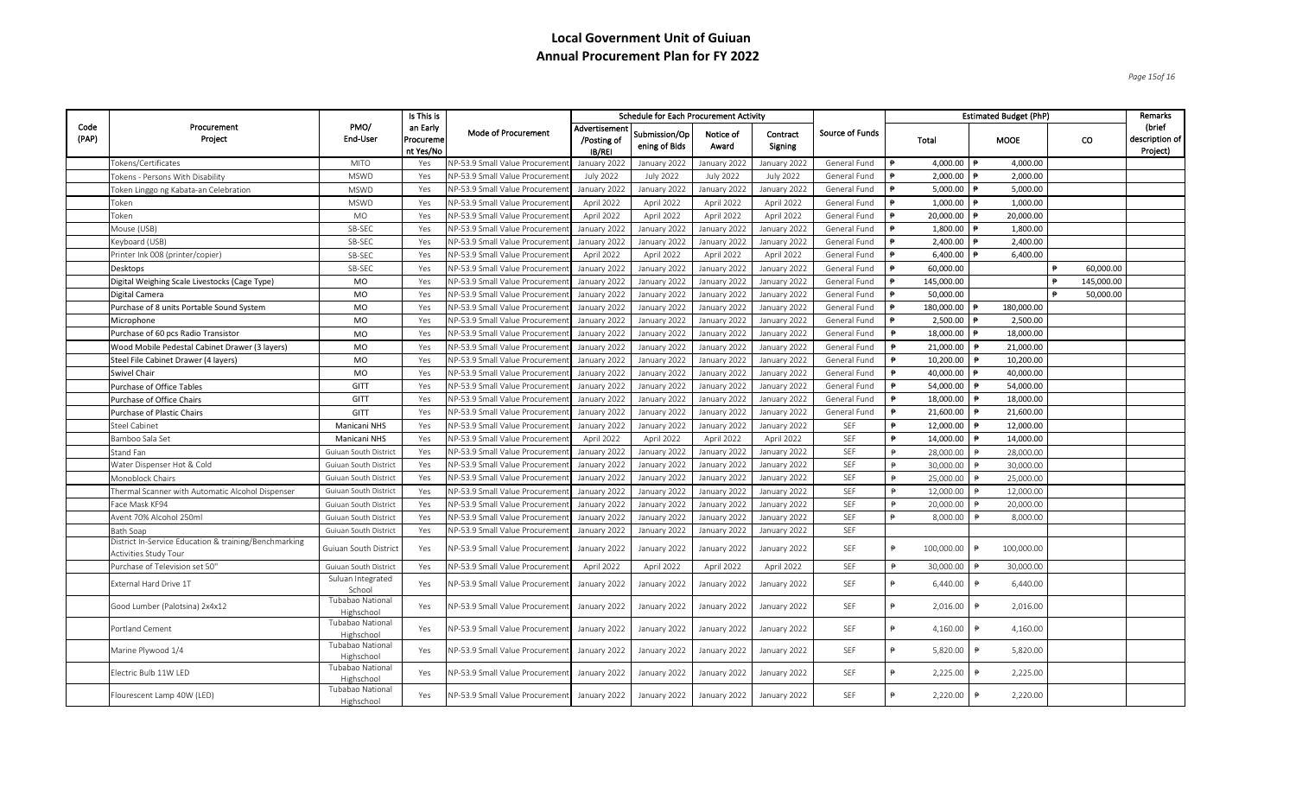*Page 15of 16*

|               |                                                                                |                                | Is This is                         |                                       | <b>Schedule for Each Procurement Activity</b> |                                |                    |                     | Remarks                |                |                        |                        |            |            |                                      |
|---------------|--------------------------------------------------------------------------------|--------------------------------|------------------------------------|---------------------------------------|-----------------------------------------------|--------------------------------|--------------------|---------------------|------------------------|----------------|------------------------|------------------------|------------|------------|--------------------------------------|
| Code<br>(PAP) | Procurement<br>Project                                                         | PMO/<br>End-User               | an Early<br>Procureme<br>nt Yes/No | Mode of Procurement                   | Advertisement<br>/Posting of<br>IB/REI        | Submission/Op<br>ening of Bids | Notice of<br>Award | Contract<br>Signing | <b>Source of Funds</b> | Total          |                        | <b>MOOE</b>            |            | co         | (brief<br>description of<br>Project) |
|               | Tokens/Certificates                                                            | <b>MITO</b>                    | Yes                                | VP-53.9 Small Value Procureme         | January 2022                                  | January 2022                   | January 2022       | January 2022        | General Fund           | $\ddot{p}$     | 4,000.00 $\rightarrow$ | 4,000.00               |            |            |                                      |
|               | Tokens - Persons With Disability                                               | <b>MSWD</b>                    | Yes                                | <b>VP-53.9 Small Value Procureme</b>  | <b>July 2022</b>                              | <b>July 2022</b>               | <b>July 2022</b>   | <b>July 2022</b>    | General Fund           |                | 2,000.00               | 2,000.00               |            |            |                                      |
|               | Token Linggo ng Kabata-an Celebration                                          | <b>MSWD</b>                    | Yes                                | <b>VP-53.9 Small Value Procureme</b>  | January 2022                                  | January 2022                   | January 2022       | January 2022        | General Fund           |                | 5,000.00               | 5,000.00               |            |            |                                      |
|               | Token                                                                          | <b>MSWD</b>                    | Yes                                | <b>VP-53.9 Small Value Procuremer</b> | April 2022                                    | April 2022                     | April 2022         | April 2022          | General Fund           |                | 1,000.00               | 1,000.00               |            |            |                                      |
|               | Token                                                                          | <b>MO</b>                      | Yes                                | <b>VP-53.9 Small Value Procureme</b>  | April 2022                                    | April 2022                     | April 2022         | April 2022          | General Fund           |                | 20,000.00              | 20,000.00              |            |            |                                      |
|               | Mouse (USB)                                                                    | SB-SEC                         | Yes                                | NP-53.9 Small Value Procureme         | January 2022                                  | January 2022                   | January 2022       | January 2022        | General Fund           |                | 1,800.00               | 1,800.00               |            |            |                                      |
|               | Keyboard (USB)                                                                 | SB-SEC                         | Yes                                | NP-53.9 Small Value Procuremer        | January 2022                                  | January 2022                   | January 2022       | January 2022        | General Fund           |                | 2,400.00               | 2,400.00               |            |            |                                      |
|               | Printer Ink 008 (printer/copier)                                               | SB-SEC                         | Yes                                | VP-53.9 Small Value Procureme         | April 2022                                    | April 2022                     | April 2022         | April 2022          | General Fund           |                | 6,400.00               | 6,400.00               |            |            |                                      |
|               | <b>Desktops</b>                                                                | SB-SEC                         | Yes                                | NP-53.9 Small Value Procureme         | January 2022                                  | January 2022                   | January 2022       | January 2022        | General Fund           |                | 60,000.00              |                        |            | 60,000.00  |                                      |
|               | Digital Weighing Scale Livestocks (Cage Type)                                  | MO                             | Yes                                | NP-53.9 Small Value Procureme         | January 2022                                  | January 2022                   | January 2022       | January 2022        | General Fund           |                | 145,000.00             |                        |            | 145,000.00 |                                      |
|               | Digital Camera                                                                 | <b>MO</b>                      | Yes                                | <b>VP-53.9 Small Value Procureme</b>  | January 2022                                  | January 2022                   | January 2022       | January 2022        | General Fund           | $\ddot{ }$     | 50,000.00              |                        | $\ddot{p}$ | 50,000.00  |                                      |
|               | Purchase of 8 units Portable Sound System                                      | <b>MO</b>                      | Yes                                | <b>VP-53.9 Small Value Procureme</b>  | January 2022                                  | January 2022                   | January 2022       | January 2022        | General Fund           |                | 180,000.00             | 180,000.00             |            |            |                                      |
|               | Microphone                                                                     | MO                             | Yes                                | <b>VP-53.9 Small Value Procureme</b>  | January 2022                                  | January 2022                   | January 2022       | January 2022        | General Fund           |                | 2,500.00               | 2,500.00               |            |            |                                      |
|               | Purchase of 60 pcs Radio Transistor                                            | <b>MO</b>                      | Yes                                | NP-53.9 Small Value Procureme         | January 2022                                  | January 2022                   | January 2022       | January 2022        | General Fund           | $\ddot{P}$     | 18,000.00 ₱            | 18,000.00              |            |            |                                      |
|               | Wood Mobile Pedestal Cabinet Drawer (3 layers)                                 | MO                             | Yes                                | <b>NP-53.9 Small Value Procureme</b>  | January 2022                                  | January 2022                   | January 2022       | January 2022        | General Fund           | $\ddot{ }$     | 21,000.00              | 21,000.00              |            |            |                                      |
|               | Steel File Cabinet Drawer (4 layers)                                           | <b>MO</b>                      | Yes                                | <b>VP-53.9 Small Value Procureme</b>  | January 2022                                  | January 2022                   | January 2022       | January 2022        | General Fund           |                | 10,200.00              | 10,200.00              |            |            |                                      |
|               | Swivel Chair                                                                   | <b>MO</b>                      | Yes                                | NP-53.9 Small Value Procuremer        | January 2022                                  | January 2022                   | January 2022       | January 2022        | General Fund           | ₱              | 40,000.00              | 40,000.00              |            |            |                                      |
|               | Purchase of Office Tables                                                      | GITT                           | Yes                                | NP-53.9 Small Value Procureme         | January 2022                                  | January 2022                   | January 2022       | January 2022        | General Fund           | $\ddot{P}$     | 54,000.00              | 54,000.00              |            |            |                                      |
|               | Purchase of Office Chairs                                                      | GITT                           | Yes                                | <b>NP-53.9 Small Value Procureme</b>  | January 2022                                  | January 2022                   | January 2022       | January 2022        | General Fund           | $\ddot{P}$     | 18,000.00              | 18,000.00              |            |            |                                      |
|               | Purchase of Plastic Chairs                                                     | GITT                           | Yes                                | VP-53.9 Small Value Procureme         | January 2022                                  | January 2022                   | January 2022       | January 2022        | General Fund           |                | 21,600.00              | 21,600.00              |            |            |                                      |
|               | Steel Cabinet                                                                  | Manicani NHS                   | Yes                                | <b>VP-53.9 Small Value Procureme</b>  | January 2022                                  | January 2022                   | January 2022       | January 2022        | SEF                    | $\ddot{ }$     | 12,000.00              | 12,000.00              |            |            |                                      |
|               | Bamboo Sala Set                                                                | Manicani NHS                   | Yes                                | <b>NP-53.9 Small Value Procureme</b>  | April 2022                                    | April 2022                     | April 2022         | April 2022          | SEF                    | $\ddot{ }$     | 14,000.00              | 14,000.00              |            |            |                                      |
|               | Stand Fan                                                                      | Guiuan South District          | Yes                                | NP-53.9 Small Value Procureme         | January 2022                                  | January 2022                   | January 2022       | January 2022        | SEF                    |                | 28,000.00              | 28,000.00              |            |            |                                      |
|               | Water Dispenser Hot & Cold                                                     | Guiuan South District          | Yes                                | <b>VP-53.9 Small Value Procureme</b>  | January 2022                                  | January 2022                   | January 2022       | January 2022        | SEF                    | ₿              | 30,000.00              | 30,000.00              |            |            |                                      |
|               | Monoblock Chairs                                                               | Guiuan South District          | Yes                                | <b>NP-53.9 Small Value Procureme</b>  | January 2022                                  | January 2022                   | January 2022       | January 2022        | SEF                    | $\overline{p}$ | 25,000.00              | 25,000.00              |            |            |                                      |
|               | Thermal Scanner with Automatic Alcohol Dispenser                               | Guiuan South District          | Yes                                | <b>VP-53.9 Small Value Procureme</b>  | January 2022                                  | January 2022                   | January 2022       | January 2022        | SEF                    | $\ddot{=}$     | 12,000.00              | 12,000.00              |            |            |                                      |
|               | Face Mask KF94                                                                 | Guiuan South District          | Yes                                | NP-53.9 Small Value Procureme         | January 2022                                  | January 2022                   | January 2022       | January 2022        | SEF                    |                | 20,000.00              | 20,000.00              |            |            |                                      |
|               | Avent 70% Alcohol 250ml                                                        | Guiuan South District          | Yes                                | <b>VP-53.9 Small Value Procureme</b>  | January 2022                                  | January 2022                   | January 2022       | January 2022        | SEF                    | $\Rightarrow$  | 8,000.00               | $\ddot{P}$<br>8,000.00 |            |            |                                      |
|               | <b>Bath Soap</b>                                                               | Guiuan South District          | Yes                                | NP-53.9 Small Value Procuremer        | January 2022                                  | January 2022                   | January 2022       | January 2022        | SEF                    |                |                        |                        |            |            |                                      |
|               | District In-Service Education & training/Benchmarking<br>Activities Study Tour | Guiuan South District          | Yes                                | NP-53.9 Small Value Procuremen        | January 2022                                  | January 2022                   | January 2022       | January 2022        | SEF                    |                | 100,000.00             | ₿<br>100,000.00        |            |            |                                      |
|               | Purchase of Television set 50"                                                 | Guiuan South District          | Yes                                | VP-53.9 Small Value Procuremer        | April 2022                                    | April 2022                     | April 2022         | April 2022          | SEF                    | ₱              | 30,000.00              | 30,000.00              |            |            |                                      |
|               | External Hard Drive 1T                                                         | Suluan Integrated<br>School    | Yes                                | NP-53.9 Small Value Procuremer        | January 2022                                  | January 2022                   | January 2022       | January 2022        | SEF                    |                | 6,440.00               | ₿<br>6,440.00          |            |            |                                      |
|               | Good Lumber (Palotsina) 2x4x12                                                 | Tubabao National<br>Highschool | Yes                                | NP-53.9 Small Value Procuremen        | January 2022                                  | January 2022                   | January 2022       | January 2022        | SEF                    |                | 2,016.00               | ₿<br>2,016.00          |            |            |                                      |
|               | <b>Portland Cement</b>                                                         | Tubabao National<br>Highschool | Yes                                | NP-53.9 Small Value Procuremen        | January 2022                                  | January 2022                   | January 2022       | January 2022        | SEF                    |                | 4,160.00               | 4,160.00               |            |            |                                      |
|               | Marine Plywood 1/4                                                             | Tubabao National<br>Highschool | Yes                                | NP-53.9 Small Value Procuremen        | January 2022                                  | January 2022                   | January 2022       | January 2022        | SEF                    |                | 5,820.00               | 5,820.00               |            |            |                                      |
|               | Electric Bulb 11W LED                                                          | Tubabao National<br>Highschool | Yes                                | NP-53.9 Small Value Procuremen        | January 2022                                  | January 2022                   | January 2022       | January 2022        | SEF                    |                | 2,225.00               | ₿<br>2,225.00          |            |            |                                      |
|               | Flourescent Lamp 40W (LED)                                                     | Tubabao National<br>Highschool | Yes                                | NP-53.9 Small Value Procurement       | January 2022                                  | January 2022                   | January 2022       | January 2022        | SEF                    |                | 2,220.00               | ₿<br>2,220.00          |            |            |                                      |